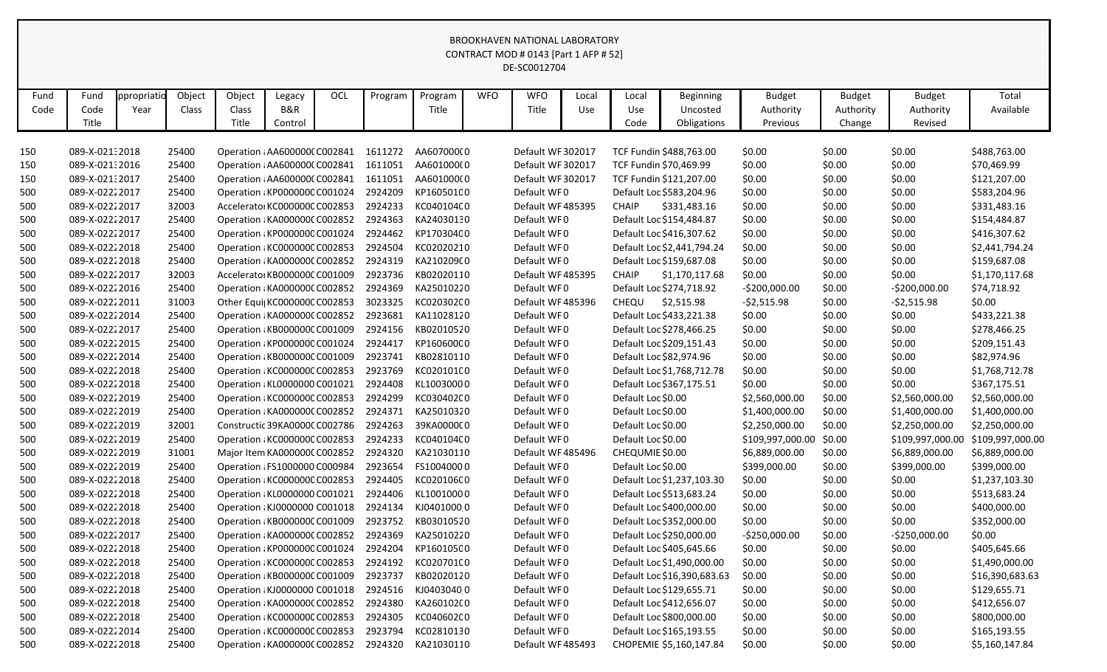|      |                |            |        |                               |         |            |         |            |            | CONTRACT MOD # 0143 [Part 1 AFP # 52] |       |                    |                             |                         |               |                  |                  |
|------|----------------|------------|--------|-------------------------------|---------|------------|---------|------------|------------|---------------------------------------|-------|--------------------|-----------------------------|-------------------------|---------------|------------------|------------------|
|      |                |            |        |                               |         |            |         |            |            | DE-SC0012704                          |       |                    |                             |                         |               |                  |                  |
|      |                |            |        |                               |         |            |         |            |            |                                       |       |                    |                             |                         |               |                  |                  |
| Fund | Fund           | ppropriati | Object | Object                        | Legacy  | <b>OCL</b> | Program | Program    | <b>WFO</b> | <b>WFO</b>                            | Local | Local              | <b>Beginning</b>            | <b>Budget</b>           | <b>Budget</b> | <b>Budget</b>    | Total            |
| Code | Code           | Year       | Class  | Class                         | B&R     |            |         | Title      |            | Title                                 | Use   | Use                | Uncosted                    | Authority               | Authority     | Authority        | Available        |
|      | Title          |            |        | Title                         | Control |            |         |            |            |                                       |       | Code               | Obligations                 | Previous                | Change        | Revised          |                  |
|      |                |            |        |                               |         |            |         |            |            |                                       |       |                    |                             |                         |               |                  |                  |
| 150  | 089-X-02132018 |            | 25400  | Operation : AA6000000 C002841 |         |            | 1611272 | AA60700000 |            | Default WF 302017                     |       |                    | TCF Fundin \$488,763.00     | \$0.00                  | \$0.00        | \$0.00           | \$488,763.00     |
| 150  | 089-X-021:2016 |            | 25400  | Operation : AA6000000 C002841 |         |            | 1611051 | AA601000(0 |            | Default WF 302017                     |       |                    | TCF Fundin \$70,469.99      | \$0.00                  | \$0.00        | \$0.00           | \$70,469.99      |
| 150  | 089-X-02132017 |            | 25400  | Operation : AA6000000 C002841 |         |            | 1611051 | AA601000(0 |            | Default WF 302017                     |       |                    | TCF Fundin \$121,207.00     | \$0.00                  | \$0.00        | \$0.00           | \$121,207.00     |
| 500  | 089-X-02222017 |            | 25400  | Operation : KP0000000 C001024 |         |            | 2924209 | KP16050100 |            | Default WF0                           |       |                    | Default Loc \$583,204.96    | \$0.00                  | \$0.00        | \$0.00           | \$583,204.96     |
| 500  | 089-X-02222017 |            | 32003  | Accelerator KC000000C C002853 |         |            | 2924233 | KC040104C0 |            | Default WF485395                      |       | <b>CHAIP</b>       | \$331,483.16                | \$0.00                  | \$0.00        | \$0.00           | \$331,483.16     |
| 500  | 089-X-02222017 |            | 25400  | Operation ¿KA000000C C002852  |         |            | 2924363 | KA24030130 |            | Default WF0                           |       |                    | Default Loc \$154,484.87    | \$0.00                  | \$0.00        | \$0.00           | \$154,484.87     |
| 500  | 089-X-02222017 |            | 25400  | Operation : KP0000000 C001024 |         |            | 2924462 | KP17030400 |            | Default WF0                           |       |                    | Default Loc \$416,307.62    | \$0.00                  | \$0.00        | \$0.00           | \$416,307.62     |
| 500  | 089-X-02222018 |            | 25400  | Operation : KC000000C C002853 |         |            | 2924504 | KC02020210 |            | Default WF0                           |       |                    | Default Loc \$2,441,794.24  | \$0.00                  | \$0.00        | \$0.00           | \$2,441,794.24   |
| 500  | 089-X-02222018 |            | 25400  | Operation : KA000000C C002852 |         |            | 2924319 | KA210209(0 |            | Default WF0                           |       |                    | Default Loc \$159,687.08    | \$0.00                  | \$0.00        | \$0.00           | \$159,687.08     |
| 500  | 089-X-02222017 |            | 32003  | Accelerator KB000000C C001009 |         |            | 2923736 | KB02020110 |            | Default WF485395                      |       | <b>CHAIP</b>       | \$1,170,117.68              | \$0.00                  | \$0.00        | \$0.00           | \$1,170,117.68   |
| 500  | 089-X-02222016 |            | 25400  | Operation : KA000000C C002852 |         |            | 2924369 | KA25010220 |            | Default WF0                           |       |                    | Default Loc \$274,718.92    | $-5200,000.00$          | \$0.00        | $-5200,000.00$   | \$74,718.92      |
| 500  | 089-X-02222011 |            | 31003  | Other Equi  KC000000C C002853 |         |            | 3023325 | KC020302C0 |            | Default WF485396                      |       | CHEQU              | \$2,515.98                  | $-52,515.98$            | \$0.00        | $-52,515.98$     | \$0.00           |
| 500  | 089-X-02222014 |            | 25400  | Operation : KA000000C C002852 |         |            | 2923681 | KA11028120 |            | Default WF0                           |       |                    | Default Loc \$433,221.38    | \$0.00                  | \$0.00        | \$0.00           | \$433,221.38     |
| 500  | 089-X-02222017 |            | 25400  | Operation : KB000000C C001009 |         |            | 2924156 | KB02010520 |            | Default WF0                           |       |                    | Default Loc \$278,466.25    | \$0.00                  | \$0.00        | \$0.00           | \$278,466.25     |
| 500  | 089-X-02222015 |            | 25400  | Operation : KP0000000 C001024 |         |            | 2924417 | KP16060000 |            | Default WF0                           |       |                    | Default Loc \$209,151.43    | \$0.00                  | \$0.00        | \$0.00           | \$209,151.43     |
| 500  | 089-X-02222014 |            | 25400  | Operation : KB000000C C001009 |         |            | 2923741 | KB02810110 |            | Default WF0                           |       |                    | Default Loc \$82,974.96     | \$0.00                  | \$0.00        | \$0.00           | \$82,974.96      |
| 500  | 089-X-02222018 |            | 25400  | Operation : KC000000C C002853 |         |            | 2923769 | KC020101C0 |            | Default WF0                           |       |                    | Default Loc \$1,768,712.78  | \$0.00                  | \$0.00        | \$0.00           | \$1,768,712.78   |
| 500  | 089-X-02222018 |            | 25400  | Operation : KL0000000 C001021 |         |            | 2924408 | KL10030000 |            | Default WF0                           |       |                    | Default Loc \$367,175.51    | \$0.00                  | \$0.00        | \$0.00           | \$367,175.51     |
| 500  | 089-X-02222019 |            | 25400  | Operation : KC000000C C002853 |         |            | 2924299 | KC030402C0 |            | Default WF0                           |       | Default Loc \$0.00 |                             | \$2,560,000.00          | \$0.00        | \$2,560,000.00   | \$2,560,000.00   |
| 500  | 089-X-02222019 |            | 25400  | Operation : KA000000C C002852 |         |            | 2924371 | KA25010320 |            | Default WF0                           |       | Default Loc \$0.00 |                             | \$1,400,000.00          | \$0.00        | \$1,400,000.00   | \$1,400,000.00   |
| 500  | 089-X-02222019 |            | 32001  | Constructic 39KA0000C C002786 |         |            | 2924263 | 39KA0000C0 |            | Default WF0                           |       | Default Loc \$0.00 |                             | \$2,250,000.00          | \$0.00        | \$2,250,000.00   | \$2,250,000.00   |
| 500  | 089-X-02222019 |            | 25400  | Operation : KC000000C C002853 |         |            | 2924233 | KC040104C0 |            | Default WF0                           |       | Default Loc \$0.00 |                             | \$109,997,000.00 \$0.00 |               | \$109,997,000.00 | \$109,997,000.00 |
| 500  | 089-X-02222019 |            | 31001  | Major Item KA000000C C002852  |         |            | 2924320 | KA21030110 |            | Default WF 485496                     |       | CHEQUMIE \$0.00    |                             | \$6,889,000.00          | \$0.00        | \$6,889,000.00   | \$6,889,000.00   |
| 500  | 089-X-02222019 |            | 25400  | Operation : FS1000000 C000984 |         |            | 2923654 | FS10040000 |            | Default WF0                           |       | Default Loc \$0.00 |                             | \$399,000.00            | \$0.00        | \$399,000.00     | \$399,000.00     |
| 500  | 089-X-02222018 |            | 25400  | Operation : KC000000C C002853 |         |            | 2924405 | KC020106C0 |            | Default WF0                           |       |                    | Default Loc \$1,237,103.30  | \$0.00                  | \$0.00        | \$0.00           | \$1,237,103.30   |
| 500  | 089-X-02222018 |            | 25400  | Operation : KL0000000 C001021 |         |            | 2924406 | KL10010000 |            | Default WF0                           |       |                    | Default Loc \$513,683.24    | \$0.00                  | \$0.00        | \$0.00           | \$513,683.24     |
| 500  | 089-X-02222018 |            | 25400  | Operation : KJ0000000 C001018 |         |            | 2924134 | KJ04010000 |            | Default WF0                           |       |                    | Default Loc \$400,000.00    | \$0.00                  | \$0.00        | \$0.00           | \$400,000.00     |
| 500  | 089-X-02222018 |            | 25400  | Operation : KB000000C C001009 |         |            | 2923752 | KB03010520 |            | Default WF0                           |       |                    | Default Loc \$352,000.00    | \$0.00                  | \$0.00        | \$0.00           | \$352,000.00     |
| 500  | 089-X-02222017 |            | 25400  | Operation : KA000000C C002852 |         |            | 2924369 | KA25010220 |            | Default WF0                           |       |                    | Default Loc \$250,000.00    | $-5250,000.00$          | \$0.00        | $-5250,000.00$   | \$0.00           |
| 500  | 089-X-02222018 |            | 25400  | Operation : KP0000000 C001024 |         |            | 2924204 | KP16010500 |            | Default WF0                           |       |                    | Default Loc \$405,645.66    | \$0.00                  | \$0.00        | \$0.00           | \$405,645.66     |
| 500  | 089-X-02222018 |            | 25400  | Operation : KC000000C C002853 |         |            | 2924192 | KC020701C0 |            | Default WF0                           |       |                    | Default Loc \$1,490,000.00  | \$0.00                  | \$0.00        | \$0.00           | \$1,490,000.00   |
| 500  | 089-X-02222018 |            | 25400  | Operation : KB000000C C001009 |         |            | 2923737 | KB02020120 |            | Default WF0                           |       |                    | Default Loc \$16,390,683.63 | \$0.00                  | \$0.00        | \$0.00           | \$16,390,683.63  |
| 500  | 089-X-02222018 |            | 25400  | Operation : KJ0000000 C001018 |         |            | 2924516 | KJ04030400 |            | Default WF0                           |       |                    | Default Loc \$129,655.71    | \$0.00                  | \$0.00        | \$0.00           | \$129,655.71     |
| 500  | 089-X-02222018 |            | 25400  | Operation : KA000000C C002852 |         |            | 2924380 | KA26010200 |            | Default WF0                           |       |                    | Default Loc \$412,656.07    | \$0.00                  | \$0.00        | \$0.00           | \$412,656.07     |
| 500  | 089-X-02222018 |            | 25400  | Operation : KC000000C C002853 |         |            | 2924305 | KC040602C0 |            | Default WF0                           |       |                    | Default Loc \$800,000.00    | \$0.00                  | \$0.00        | \$0.00           | \$800,000.00     |
| 500  | 089-X-02222014 |            | 25400  | Operation : KC000000C C002853 |         |            | 2923794 | KC02810130 |            | Default WF0                           |       |                    | Default Loc \$165,193.55    | \$0.00                  | \$0.00        | \$0.00           | \$165,193.55     |
| 500  | 089-X-02222018 |            | 25400  | Operation : KA000000C C002852 |         |            | 2924320 | KA21030110 |            | Default WF485493                      |       |                    | CHOPEMIE \$5,160,147.84     | \$0.00                  | \$0.00        | \$0.00           | \$5,160,147.84   |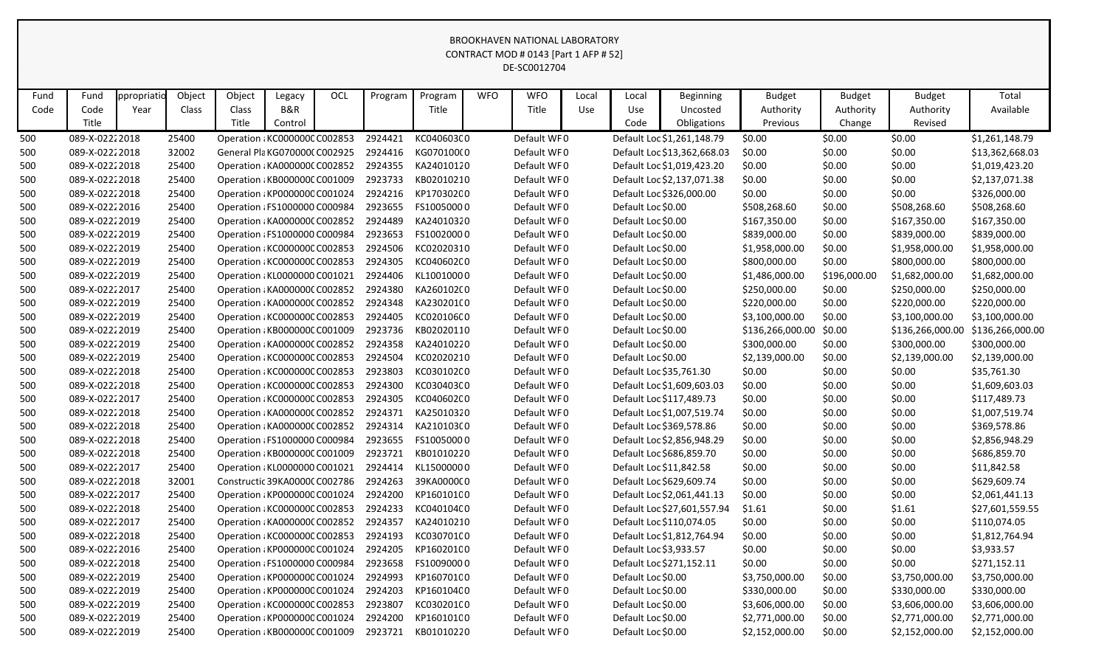|      |                                                                                                                                                                                                                                                                       |      |       |                                       |         |  |         |            |  | BROOKHAVEN NATIONAL LABORATORY |     |                    |                             |                  |              |                  |                  |
|------|-----------------------------------------------------------------------------------------------------------------------------------------------------------------------------------------------------------------------------------------------------------------------|------|-------|---------------------------------------|---------|--|---------|------------|--|--------------------------------|-----|--------------------|-----------------------------|------------------|--------------|------------------|------------------|
|      | CONTRACT MOD # 0143 [Part 1 AFP # 52]<br>DE-SC0012704<br>Object<br>Object<br>OCL<br><b>WFO</b><br>Total<br>Program<br><b>WFO</b><br><b>Budget</b><br>Fund<br>ppropriatio<br>Program<br>Local<br><b>Beginning</b><br><b>Budget</b><br><b>Budget</b><br>Legacy<br>Local |      |       |                                       |         |  |         |            |  |                                |     |                    |                             |                  |              |                  |                  |
|      |                                                                                                                                                                                                                                                                       |      |       |                                       |         |  |         |            |  |                                |     |                    |                             |                  |              |                  |                  |
| Fund |                                                                                                                                                                                                                                                                       |      |       |                                       |         |  |         |            |  |                                |     |                    |                             |                  |              |                  |                  |
| Code | Code                                                                                                                                                                                                                                                                  | Year | Class | Class                                 | B&R     |  |         | Title      |  | Title                          | Use | Use                | Uncosted                    | Authority        | Authority    | Authority        | Available        |
|      | Title                                                                                                                                                                                                                                                                 |      |       | Title                                 | Control |  |         |            |  |                                |     | Code               | Obligations                 | Previous         | Change       | Revised          |                  |
| 500  | 089-X-02222018                                                                                                                                                                                                                                                        |      | 25400 | Operation : KC000000C C002853         |         |  | 2924421 | KC040603C0 |  | Default WF0                    |     |                    | Default Loc \$1,261,148.79  | \$0.00           | \$0.00       | \$0.00           | \$1,261,148.79   |
| 500  | 089-X-02222018                                                                                                                                                                                                                                                        |      | 32002 | General Pla KG070000(C002925          |         |  | 2924416 | KG070100(0 |  | Default WF0                    |     |                    | Default Loc \$13,362,668.03 | \$0.00           | \$0.00       | \$0.00           | \$13,362,668.03  |
| 500  | 089-X-02222018                                                                                                                                                                                                                                                        |      | 25400 | Operation : KA000000C C002852         |         |  | 2924355 | KA24010120 |  | Default WF0                    |     |                    | Default Loc \$1,019,423.20  | \$0.00           | \$0.00       | \$0.00           | \$1,019,423.20   |
| 500  | 089-X-02222018                                                                                                                                                                                                                                                        |      | 25400 | Operation : KB000000C C001009         |         |  | 2923733 | KB02010210 |  | Default WF0                    |     |                    | Default Loc \$2,137,071.38  | \$0.00           | \$0.00       | \$0.00           | \$2,137,071.38   |
| 500  | 089-X-02222018                                                                                                                                                                                                                                                        |      | 25400 | Operation : KP0000000 C001024         |         |  | 2924216 | KP17030200 |  | Default WF0                    |     |                    | Default Loc \$326,000.00    | \$0.00           | \$0.00       | \$0.00           | \$326,000.00     |
| 500  | 089-X-02222016                                                                                                                                                                                                                                                        |      | 25400 | Operation : FS1000000 C000984         |         |  | 2923655 | FS10050000 |  | Default WF0                    |     | Default Loc \$0.00 |                             | \$508,268.60     | \$0.00       | \$508,268.60     | \$508,268.60     |
| 500  | 089-X-02222019                                                                                                                                                                                                                                                        |      | 25400 | Operation : KA000000C C002852         |         |  | 2924489 | KA24010320 |  | Default WF0                    |     | Default Loc \$0.00 |                             | \$167,350.00     | \$0.00       | \$167,350.00     | \$167,350.00     |
| 500  | 089-X-02222019                                                                                                                                                                                                                                                        |      | 25400 | Operation : FS1000000 C000984         |         |  | 2923653 | FS10020000 |  | Default WF0                    |     | Default Loc \$0.00 |                             | \$839,000.00     | \$0.00       | \$839,000.00     | \$839,000.00     |
| 500  | 089-X-02222019                                                                                                                                                                                                                                                        |      | 25400 | Operation : KC000000C C002853         |         |  | 2924506 | KC02020310 |  | Default WF0                    |     | Default Loc \$0.00 |                             | \$1,958,000.00   | \$0.00       | \$1,958,000.00   | \$1,958,000.00   |
| 500  | 089-X-02222019                                                                                                                                                                                                                                                        |      | 25400 | Operation : KC000000C C002853         |         |  | 2924305 | KC040602C0 |  | Default WF0                    |     | Default Loc \$0.00 |                             | \$800,000.00     | \$0.00       | \$800,000.00     | \$800,000.00     |
| 500  | 089-X-02222019                                                                                                                                                                                                                                                        |      | 25400 | Operation : KL0000000 C001021         |         |  | 2924406 | KL10010000 |  | Default WF0                    |     | Default Loc \$0.00 |                             | \$1,486,000.00   | \$196,000.00 | \$1,682,000.00   | \$1,682,000.00   |
| 500  | 089-X-02222017                                                                                                                                                                                                                                                        |      | 25400 | Operation : KA000000C C002852         |         |  | 2924380 | KA26010200 |  | Default WF0                    |     | Default Loc \$0.00 |                             | \$250,000.00     | \$0.00       | \$250,000.00     | \$250,000.00     |
| 500  | 089-X-02222019                                                                                                                                                                                                                                                        |      | 25400 | Operation : KA000000C C002852         |         |  | 2924348 | KA230201(0 |  | Default WF0                    |     | Default Loc \$0.00 |                             | \$220,000.00     | \$0.00       | \$220,000.00     | \$220,000.00     |
| 500  | 089-X-02222019                                                                                                                                                                                                                                                        |      | 25400 | Operation : KC000000C C002853         |         |  | 2924405 | KC020106C0 |  | Default WF0                    |     | Default Loc \$0.00 |                             | \$3,100,000.00   | \$0.00       | \$3,100,000.00   | \$3,100,000.00   |
| 500  | 089-X-02222019                                                                                                                                                                                                                                                        |      | 25400 | Operation : KB000000C C001009         |         |  | 2923736 | KB02020110 |  | Default WF0                    |     | Default Loc \$0.00 |                             | \$136,266,000.00 | \$0.00       | \$136,266,000.00 | \$136,266,000.00 |
| 500  | 089-X-02222019                                                                                                                                                                                                                                                        |      | 25400 | Operation : KA000000C C002852         |         |  | 2924358 | KA24010220 |  | Default WF0                    |     | Default Loc \$0.00 |                             | \$300,000.00     | \$0.00       | \$300,000.00     | \$300,000.00     |
| 500  | 089-X-02222019                                                                                                                                                                                                                                                        |      | 25400 | Operation : KC000000C C002853         |         |  | 2924504 | KC02020210 |  | Default WF0                    |     | Default Loc \$0.00 |                             | \$2,139,000.00   | \$0.00       | \$2,139,000.00   | \$2,139,000.00   |
| 500  | 089-X-02222018                                                                                                                                                                                                                                                        |      | 25400 | Operation : KC000000C C002853         |         |  | 2923803 | KC030102C0 |  | Default WF0                    |     |                    | Default Loc \$35,761.30     | \$0.00           | \$0.00       | \$0.00           | \$35,761.30      |
| 500  | 089-X-02222018                                                                                                                                                                                                                                                        |      | 25400 | Operation : KC000000C C002853         |         |  | 2924300 | KC030403C0 |  | Default WF0                    |     |                    | Default Loc \$1,609,603.03  | \$0.00           | \$0.00       | \$0.00           | \$1,609,603.03   |
| 500  | 089-X-02222017                                                                                                                                                                                                                                                        |      | 25400 | Operation : KC000000C C002853         |         |  | 2924305 | KC040602C0 |  | Default WF0                    |     |                    | Default Loc \$117,489.73    | \$0.00           | \$0.00       | \$0.00           | \$117,489.73     |
| 500  | 089-X-02222018                                                                                                                                                                                                                                                        |      | 25400 | Operation : KA000000C C002852         |         |  | 2924371 | KA25010320 |  | Default WF0                    |     |                    | Default Loc \$1,007,519.74  | \$0.00           | \$0.00       | \$0.00           | \$1,007,519.74   |
| 500  | 089-X-02222018                                                                                                                                                                                                                                                        |      | 25400 | Operation : KA0000000 C002852         |         |  | 2924314 | KA210103(0 |  | Default WF0                    |     |                    | Default Loc \$369,578.86    | \$0.00           | \$0.00       | \$0.00           | \$369,578.86     |
| 500  | 089-X-02222018                                                                                                                                                                                                                                                        |      | 25400 | Operation : FS1000000 C000984         |         |  | 2923655 | FS10050000 |  | Default WF0                    |     |                    | Default Loc \$2,856,948.29  | \$0.00           | \$0.00       | \$0.00           | \$2,856,948.29   |
| 500  | 089-X-02222018                                                                                                                                                                                                                                                        |      | 25400 | Operation : KB000000C C001009         |         |  | 2923721 | KB01010220 |  | Default WF0                    |     |                    | Default Loc \$686,859.70    | \$0.00           | \$0.00       | \$0.00           | \$686,859.70     |
| 500  | 089-X-02222017                                                                                                                                                                                                                                                        |      | 25400 | Operation : KL0000000 C001021 2924414 |         |  |         | KL15000000 |  | Default WF0                    |     |                    | Default Loc \$11,842.58     | \$0.00           | \$0.00       | \$0.00           | \$11,842.58      |
| 500  | 089-X-02222018                                                                                                                                                                                                                                                        |      | 32001 | Constructic 39KA0000C C002786 2924263 |         |  |         | 39KA0000C0 |  | Default WF0                    |     |                    | Default Loc \$629,609.74    | \$0.00           | \$0.00       | \$0.00           | \$629,609.74     |
| 500  | 089-X-02222017                                                                                                                                                                                                                                                        |      | 25400 | Operation : KP0000000 C001024         |         |  | 2924200 | KP16010100 |  | Default WF0                    |     |                    | Default Loc \$2,061,441.13  | \$0.00           | \$0.00       | \$0.00           | \$2,061,441.13   |
| 500  | 089-X-02222018                                                                                                                                                                                                                                                        |      | 25400 | Operation : KC000000C C002853         |         |  | 2924233 | KC040104C0 |  | Default WF0                    |     |                    | Default Loc \$27,601,557.94 | \$1.61           | \$0.00       | \$1.61           | \$27,601,559.55  |
| 500  | 089-X-02222017                                                                                                                                                                                                                                                        |      | 25400 | Operation : KA000000C C002852         |         |  | 2924357 | KA24010210 |  | Default WF0                    |     |                    | Default Loc \$110,074.05    | \$0.00           | \$0.00       | \$0.00           | \$110,074.05     |
| 500  | 089-X-02222018                                                                                                                                                                                                                                                        |      | 25400 | Operation : KC000000C C002853         |         |  | 2924193 | KC030701C0 |  | Default WF0                    |     |                    | Default Loc \$1,812,764.94  | \$0.00           | \$0.00       | \$0.00           | \$1,812,764.94   |
| 500  | 089-X-02222016                                                                                                                                                                                                                                                        |      | 25400 | Operation : KP0000000 C001024         |         |  | 2924205 | KP16020100 |  | Default WF0                    |     |                    | Default Loc \$3,933.57      | \$0.00           | \$0.00       | \$0.00           | \$3,933.57       |
| 500  | 089-X-02222018                                                                                                                                                                                                                                                        |      | 25400 | Operation : FS1000000 C000984         |         |  | 2923658 | FS10090000 |  | Default WF0                    |     |                    | Default Loc \$271,152.11    | \$0.00           | \$0.00       | \$0.00           | \$271,152.11     |
| 500  | 089-X-02222019                                                                                                                                                                                                                                                        |      | 25400 | Operation : KP0000000 C001024         |         |  | 2924993 | KP16070100 |  | Default WF0                    |     | Default Loc \$0.00 |                             | \$3,750,000.00   | \$0.00       | \$3,750,000.00   | \$3,750,000.00   |
| 500  | 089-X-02222019                                                                                                                                                                                                                                                        |      | 25400 | Operation : KP0000000 C001024         |         |  | 2924203 | KP16010400 |  | Default WF0                    |     | Default Loc \$0.00 |                             | \$330,000.00     | \$0.00       | \$330,000.00     | \$330,000.00     |
| 500  | 089-X-02222019                                                                                                                                                                                                                                                        |      | 25400 | Operation : KC000000C C002853         |         |  | 2923807 | KC030201C0 |  | Default WF0                    |     | Default Loc \$0.00 |                             | \$3,606,000.00   | \$0.00       | \$3,606,000.00   | \$3,606,000.00   |
| 500  | 089-X-02222019                                                                                                                                                                                                                                                        |      | 25400 | Operation : KP0000000 C001024         |         |  | 2924200 | KP16010100 |  | Default WF0                    |     | Default Loc \$0.00 |                             | \$2,771,000.00   | \$0.00       | \$2,771,000.00   | \$2,771,000.00   |
| 500  | 089-X-02222019                                                                                                                                                                                                                                                        |      | 25400 | Operation : KB000000C C001009         |         |  | 2923721 | KB01010220 |  | Default WF0                    |     | Default Loc \$0.00 |                             | \$2,152,000.00   | \$0.00       | \$2,152,000.00   | \$2,152,000.00   |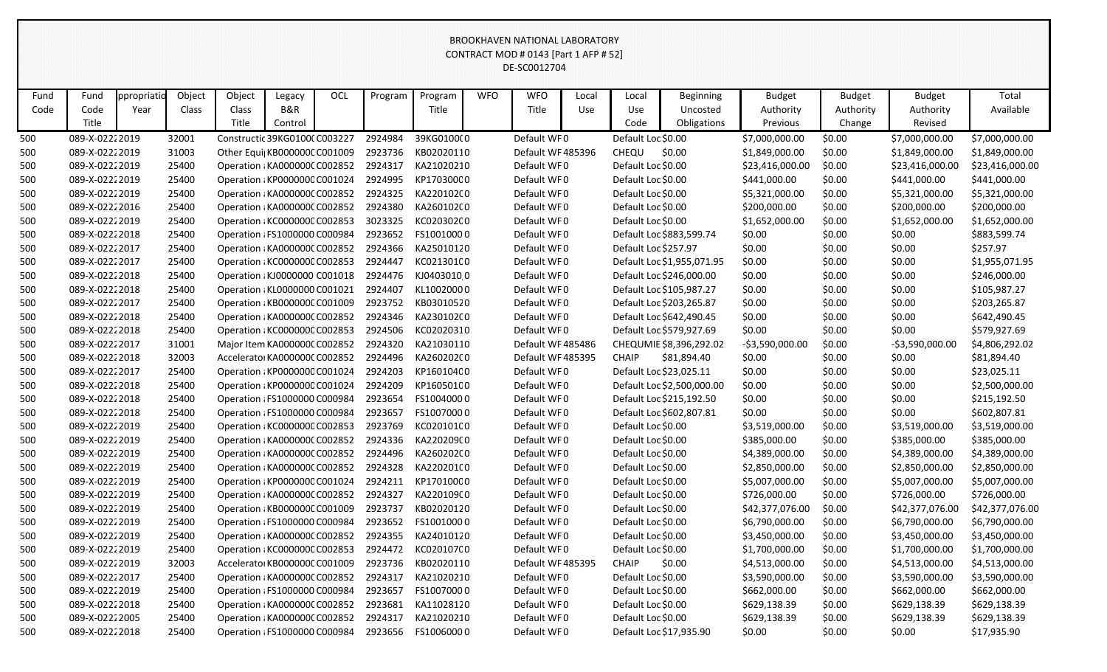|      | CONTRACT MOD # 0143 [Part 1 AFP # 52]<br>DE-SC0012704<br>Object<br>ppropriatio<br>Object<br>OCL<br>Program<br><b>WFO</b><br><b>WFO</b><br><b>Budget</b><br>Total<br>Fund<br>Program<br><b>Budget</b><br><b>Budget</b><br>Legacy<br>Local<br><b>Beginning</b><br>Local |      |       |                               |         |  |         |            |  |                  |     |                      |                            |                 |           |                  |                 |
|------|-----------------------------------------------------------------------------------------------------------------------------------------------------------------------------------------------------------------------------------------------------------------------|------|-------|-------------------------------|---------|--|---------|------------|--|------------------|-----|----------------------|----------------------------|-----------------|-----------|------------------|-----------------|
|      |                                                                                                                                                                                                                                                                       |      |       |                               |         |  |         |            |  |                  |     |                      |                            |                 |           |                  |                 |
| Fund |                                                                                                                                                                                                                                                                       |      |       |                               |         |  |         |            |  |                  |     |                      |                            |                 |           |                  |                 |
| Code | Code                                                                                                                                                                                                                                                                  | Year | Class | Class                         | B&R     |  |         | Title      |  | Title            | Use | Use                  | Uncosted                   | Authority       | Authority | Authority        | Available       |
|      | Title                                                                                                                                                                                                                                                                 |      |       | Title                         | Control |  |         |            |  |                  |     | Code                 | Obligations                | Previous        | Change    | Revised          |                 |
| 500  | 089-X-02222019                                                                                                                                                                                                                                                        |      | 32001 | Constructic 39KG0100(C003227  |         |  | 2924984 | 39KG0100(0 |  | Default WF0      |     | Default Loc \$0.00   |                            | \$7,000,000.00  | \$0.00    | \$7,000,000.00   | \$7,000,000.00  |
| 500  | 089-X-02222019                                                                                                                                                                                                                                                        |      | 31003 | Other Equi  KB000000C C001009 |         |  | 2923736 | KB02020110 |  | Default WF485396 |     | CHEQU                | \$0.00                     | \$1,849,000.00  | \$0.00    | \$1,849,000.00   | \$1,849,000.00  |
| 500  | 089-X-02222019                                                                                                                                                                                                                                                        |      | 25400 | Operation : KA0000000 C002852 |         |  | 2924317 | KA21020210 |  | Default WF0      |     | Default Loc \$0.00   |                            | \$23,416,000.00 | \$0.00    | \$23,416,000.00  | \$23,416,000.00 |
| 500  | 089-X-02222019                                                                                                                                                                                                                                                        |      | 25400 | Operation : KP0000000 C001024 |         |  | 2924995 | KP17030000 |  | Default WF0      |     | Default Loc \$0.00   |                            | \$441,000.00    | \$0.00    | \$441,000.00     | \$441,000.00    |
| 500  | 089-X-02222019                                                                                                                                                                                                                                                        |      | 25400 | Operation : KA000000C C002852 |         |  | 2924325 | KA22010200 |  | Default WF0      |     | Default Loc \$0.00   |                            | \$5,321,000.00  | \$0.00    | \$5,321,000.00   | \$5,321,000.00  |
| 500  | 089-X-02222016                                                                                                                                                                                                                                                        |      | 25400 | Operation : KA000000C C002852 |         |  | 2924380 | KA26010200 |  | Default WF0      |     | Default Loc \$0.00   |                            | \$200,000.00    | \$0.00    | \$200,000.00     | \$200,000.00    |
| 500  | 089-X-02222019                                                                                                                                                                                                                                                        |      | 25400 | Operation : KC000000C C002853 |         |  | 3023325 | KC020302C0 |  | Default WF0      |     | Default Loc \$0.00   |                            | \$1,652,000.00  | \$0.00    | \$1,652,000.00   | \$1,652,000.00  |
| 500  | 089-X-02222018                                                                                                                                                                                                                                                        |      | 25400 | Operation : FS1000000 C000984 |         |  | 2923652 | FS10010000 |  | Default WF0      |     |                      | Default Loc \$883,599.74   | \$0.00          | \$0.00    | \$0.00           | \$883,599.74    |
| 500  | 089-X-02222017                                                                                                                                                                                                                                                        |      | 25400 | Operation : KA000000C C002852 |         |  | 2924366 | KA25010120 |  | Default WF0      |     | Default Loc \$257.97 |                            | \$0.00          | \$0.00    | \$0.00           | \$257.97        |
| 500  | 089-X-02222017                                                                                                                                                                                                                                                        |      | 25400 | Operation : KC000000C C002853 |         |  | 2924447 | KC021301C0 |  | Default WF0      |     |                      | Default Loc \$1,955,071.95 | \$0.00          | \$0.00    | \$0.00           | \$1,955,071.95  |
| 500  | 089-X-02222018                                                                                                                                                                                                                                                        |      | 25400 | Operation : KJ0000000 C001018 |         |  | 2924476 | KJ04030100 |  | Default WF0      |     |                      | Default Loc \$246,000.00   | \$0.00          | \$0.00    | \$0.00           | \$246,000.00    |
| 500  | 089-X-02222018                                                                                                                                                                                                                                                        |      | 25400 | Operation : KL0000000 C001021 |         |  | 2924407 | KL10020000 |  | Default WF0      |     |                      | Default Loc \$105,987.27   | \$0.00          | \$0.00    | \$0.00           | \$105,987.27    |
| 500  | 089-X-02222017                                                                                                                                                                                                                                                        |      | 25400 | Operation : KB000000C C001009 |         |  | 2923752 | KB03010520 |  | Default WF0      |     |                      | Default Loc \$203,265.87   | \$0.00          | \$0.00    | \$0.00           | \$203,265.87    |
| 500  | 089-X-02222018                                                                                                                                                                                                                                                        |      | 25400 | Operation : KA000000C C002852 |         |  | 2924346 | KA23010200 |  | Default WF0      |     |                      | Default Loc \$642,490.45   | \$0.00          | \$0.00    | \$0.00           | \$642,490.45    |
| 500  | 089-X-02222018                                                                                                                                                                                                                                                        |      | 25400 | Operation : KC000000C C002853 |         |  | 2924506 | KC02020310 |  | Default WF0      |     |                      | Default Loc \$579,927.69   | \$0.00          | \$0.00    | \$0.00           | \$579,927.69    |
| 500  | 089-X-02222017                                                                                                                                                                                                                                                        |      | 31001 | Major Item KA000000C C002852  |         |  | 2924320 | KA21030110 |  | Default WF485486 |     |                      | CHEQUMIE \$8,396,292.02    | -\$3,590,000.00 | \$0.00    | $-53,590,000.00$ | \$4,806,292.02  |
| 500  | 089-X-02222018                                                                                                                                                                                                                                                        |      | 32003 | Accelerator KA000000C C002852 |         |  | 2924496 | KA26020200 |  | Default WF485395 |     | <b>CHAIP</b>         | \$81,894.40                | \$0.00          | \$0.00    | \$0.00           | \$81,894.40     |
| 500  | 089-X-02222017                                                                                                                                                                                                                                                        |      | 25400 | Operation : KP0000000 C001024 |         |  | 2924203 | KP16010400 |  | Default WF0      |     |                      | Default Loc \$23,025.11    | \$0.00          | \$0.00    | \$0.00           | \$23,025.11     |
| 500  | 089-X-02222018                                                                                                                                                                                                                                                        |      | 25400 | Operation : KP0000000 C001024 |         |  | 2924209 | KP16050100 |  | Default WF0      |     |                      | Default Loc \$2,500,000.00 | \$0.00          | \$0.00    | \$0.00           | \$2,500,000.00  |
| 500  | 089-X-02222018                                                                                                                                                                                                                                                        |      | 25400 | Operation : FS1000000 C000984 |         |  | 2923654 | FS10040000 |  | Default WF0      |     |                      | Default Loc \$215,192.50   | \$0.00          | \$0.00    | \$0.00           | \$215,192.50    |
| 500  | 089-X-02222018                                                                                                                                                                                                                                                        |      | 25400 | Operation : FS1000000 C000984 |         |  | 2923657 | FS10070000 |  | Default WF0      |     |                      | Default Loc \$602,807.81   | \$0.00          | \$0.00    | \$0.00           | \$602,807.81    |
| 500  | 089-X-02222019                                                                                                                                                                                                                                                        |      | 25400 | Operation : KC000000C C002853 |         |  | 2923769 | KC020101C0 |  | Default WF0      |     | Default Loc \$0.00   |                            | \$3,519,000.00  | \$0.00    | \$3,519,000.00   | \$3,519,000.00  |
| 500  | 089-X-02222019                                                                                                                                                                                                                                                        |      | 25400 | Operation : KA000000C C002852 |         |  | 2924336 | KA220209(0 |  | Default WF0      |     | Default Loc \$0.00   |                            | \$385,000.00    | \$0.00    | \$385,000.00     | \$385,000.00    |
| 500  | 089-X-02222019                                                                                                                                                                                                                                                        |      | 25400 | Operation : KA000000C C002852 |         |  | 2924496 | KA26020200 |  | Default WF0      |     | Default Loc \$0.00   |                            | \$4,389,000.00  | \$0.00    | \$4,389,000.00   | \$4,389,000.00  |
| 500  | 089-X-02222019                                                                                                                                                                                                                                                        |      | 25400 | Operation : KA000000C C002852 |         |  | 2924328 | KA220201(0 |  | Default WF0      |     | Default Loc \$0.00   |                            | \$2,850,000.00  | \$0.00    | \$2,850,000.00   | \$2,850,000.00  |
| 500  | 089-X-02222019                                                                                                                                                                                                                                                        |      | 25400 | Operation : KP0000000 C001024 |         |  | 2924211 | KP17010000 |  | Default WF0      |     | Default Loc \$0.00   |                            | \$5,007,000.00  | \$0.00    | \$5,007,000.00   | \$5,007,000.00  |
| 500  | 089-X-02222019                                                                                                                                                                                                                                                        |      | 25400 | Operation : KA000000C C002852 |         |  | 2924327 | KA220109(0 |  | Default WF0      |     | Default Loc \$0.00   |                            | \$726,000.00    | \$0.00    | \$726,000.00     | \$726,000.00    |
| 500  | 089-X-02222019                                                                                                                                                                                                                                                        |      | 25400 | Operation : KB000000C C001009 |         |  | 2923737 | KB02020120 |  | Default WF0      |     | Default Loc \$0.00   |                            | \$42,377,076.00 | \$0.00    | \$42,377,076.00  | \$42,377,076.00 |
| 500  | 089-X-02222019                                                                                                                                                                                                                                                        |      | 25400 | Operation : FS1000000 C000984 |         |  | 2923652 | FS10010000 |  | Default WF0      |     | Default Loc \$0.00   |                            | \$6,790,000.00  | \$0.00    | \$6,790,000.00   | \$6,790,000.00  |
| 500  | 089-X-02222019                                                                                                                                                                                                                                                        |      | 25400 | Operation : KA000000C C002852 |         |  | 2924355 | KA24010120 |  | Default WF0      |     | Default Loc \$0.00   |                            | \$3,450,000.00  | \$0.00    | \$3,450,000.00   | \$3,450,000.00  |
| 500  | 089-X-02222019                                                                                                                                                                                                                                                        |      | 25400 | Operation : KC000000C C002853 |         |  | 2924472 | KC020107C0 |  | Default WF0      |     | Default Loc \$0.00   |                            | \$1,700,000.00  | \$0.00    | \$1,700,000.00   | \$1,700,000.00  |
| 500  | 089-X-02222019                                                                                                                                                                                                                                                        |      | 32003 | Accelerator KB000000C C001009 |         |  | 2923736 | KB02020110 |  | Default WF485395 |     | <b>CHAIP</b>         | \$0.00                     | \$4,513,000.00  | \$0.00    | \$4,513,000.00   | \$4,513,000.00  |
| 500  | 089-X-02222017                                                                                                                                                                                                                                                        |      | 25400 | Operation : KA0000000 C002852 |         |  | 2924317 | KA21020210 |  | Default WF0      |     | Default Loc \$0.00   |                            | \$3,590,000.00  | \$0.00    | \$3,590,000.00   | \$3,590,000.00  |
| 500  | 089-X-02222019                                                                                                                                                                                                                                                        |      | 25400 | Operation : FS1000000 C000984 |         |  | 2923657 | FS10070000 |  | Default WF0      |     | Default Loc \$0.00   |                            | \$662,000.00    | \$0.00    | \$662,000.00     | \$662,000.00    |
| 500  | 089-X-02222018                                                                                                                                                                                                                                                        |      | 25400 | Operation : KA000000C C002852 |         |  | 2923681 | KA11028120 |  | Default WF0      |     | Default Loc \$0.00   |                            | \$629,138.39    | \$0.00    | \$629,138.39     | \$629,138.39    |
| 500  | 089-X-02222005                                                                                                                                                                                                                                                        |      | 25400 | Operation : KA000000C C002852 |         |  | 2924317 | KA21020210 |  | Default WF0      |     | Default Loc \$0.00   |                            | \$629,138.39    | \$0.00    | \$629,138.39     | \$629,138.39    |
| 500  | 089-X-02222018                                                                                                                                                                                                                                                        |      | 25400 | Operation : FS1000000 C000984 |         |  | 2923656 | FS10060000 |  | Default WF0      |     |                      | Default Loc \$17,935.90    | \$0.00          | \$0.00    | \$0.00           | \$17,935.90     |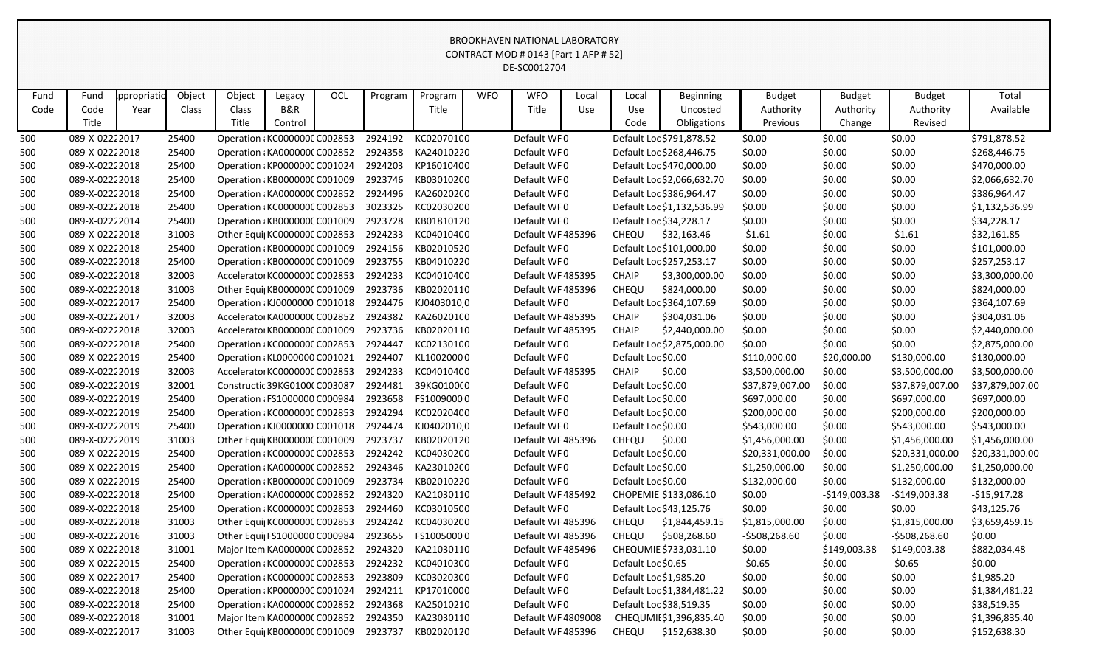|      |                                                                                                                                                                                                                                                             |      |       |                               |                |  |         |                                                  |  | BROOKHAVEN NATIONAL LABORATORY |     |                    |                            |                 |                |                 |                 |
|------|-------------------------------------------------------------------------------------------------------------------------------------------------------------------------------------------------------------------------------------------------------------|------|-------|-------------------------------|----------------|--|---------|--------------------------------------------------|--|--------------------------------|-----|--------------------|----------------------------|-----------------|----------------|-----------------|-----------------|
|      | CONTRACT MOD # 0143 [Part 1 AFP # 52]<br>DE-SC0012704<br>Object<br>ppropriatio<br>Object<br>OCL<br><b>WFO</b><br><b>WFO</b><br><b>Budget</b><br>Total<br>Fund<br>Program<br>Program<br>Local<br>Local<br><b>Beginning</b><br><b>Budget</b><br><b>Budget</b> |      |       |                               |                |  |         |                                                  |  |                                |     |                    |                            |                 |                |                 |                 |
|      |                                                                                                                                                                                                                                                             |      |       |                               |                |  |         |                                                  |  |                                |     |                    |                            |                 |                |                 |                 |
|      |                                                                                                                                                                                                                                                             |      |       |                               |                |  |         |                                                  |  |                                |     |                    |                            |                 |                |                 |                 |
| Fund |                                                                                                                                                                                                                                                             |      |       |                               | Legacy         |  |         |                                                  |  |                                |     |                    |                            |                 |                |                 |                 |
| Code | Code<br>Title                                                                                                                                                                                                                                               | Year | Class | Class<br>Title                | <b>B&amp;R</b> |  |         | Title                                            |  | Title                          | Use | Use                | Uncosted                   | Authority       | Authority      | Authority       | Available       |
|      |                                                                                                                                                                                                                                                             |      |       |                               | Control        |  |         |                                                  |  |                                |     | Code               | Obligations                | Previous        | Change         | Revised         |                 |
| 500  | 089-X-02222017                                                                                                                                                                                                                                              |      | 25400 | Operation : KC000000C C002853 |                |  | 2924192 | KC020701C0                                       |  | Default WF0                    |     |                    | Default Loc \$791,878.52   | \$0.00          | \$0.00         | \$0.00          | \$791,878.52    |
| 500  | 089-X-02222018                                                                                                                                                                                                                                              |      | 25400 | Operation : KA000000C C002852 |                |  | 2924358 | KA24010220                                       |  | Default WF0                    |     |                    | Default Loc \$268,446.75   | \$0.00          | \$0.00         | \$0.00          | \$268,446.75    |
| 500  | 089-X-02222018                                                                                                                                                                                                                                              |      | 25400 | Operation : KP0000000 C001024 |                |  | 2924203 | KP16010400                                       |  | Default WF0                    |     |                    | Default Loc \$470,000.00   | \$0.00          | \$0.00         | \$0.00          | \$470,000.00    |
| 500  | 089-X-02222018                                                                                                                                                                                                                                              |      | 25400 | Operation : KB000000C C001009 |                |  | 2923746 | KB030102C0                                       |  | Default WF0                    |     |                    | Default Loc \$2,066,632.70 | \$0.00          | \$0.00         | \$0.00          | \$2,066,632.70  |
| 500  | 089-X-02222018                                                                                                                                                                                                                                              |      | 25400 | Operation : KA000000C C002852 |                |  | 2924496 | KA26020200                                       |  | Default WF0                    |     |                    | Default Loc \$386,964.47   | \$0.00          | \$0.00         | \$0.00          | \$386,964.47    |
| 500  | 089-X-02222018                                                                                                                                                                                                                                              |      | 25400 | Operation : KC000000C C002853 |                |  | 3023325 | KC020302C0                                       |  | Default WF0                    |     |                    | Default Loc \$1,132,536.99 | \$0.00          | \$0.00         | \$0.00          | \$1,132,536.99  |
| 500  | 089-X-02222014                                                                                                                                                                                                                                              |      | 25400 | Operation : KB000000C C001009 |                |  | 2923728 | KB01810120                                       |  | Default WF0                    |     |                    | Default Loc \$34,228.17    | \$0.00          | \$0.00         | \$0.00          | \$34,228.17     |
| 500  | 089-X-02222018                                                                                                                                                                                                                                              |      | 31003 | Other Equi  KC000000C C002853 |                |  | 2924233 | KC040104C0                                       |  | Default WF485396               |     | CHEQU              | \$32,163.46                | $-51.61$        | \$0.00         | $-51.61$        | \$32,161.85     |
| 500  | 089-X-02222018                                                                                                                                                                                                                                              |      | 25400 | Operation : KB000000C C001009 |                |  | 2924156 | KB02010520                                       |  | Default WF0                    |     |                    | Default Loc \$101,000.00   | \$0.00          | \$0.00         | \$0.00          | \$101,000.00    |
| 500  | 089-X-02222018                                                                                                                                                                                                                                              |      | 25400 | Operation : KB000000C C001009 |                |  | 2923755 | KB04010220                                       |  | Default WF0                    |     |                    | Default Loc \$257,253.17   | \$0.00          | \$0.00         | \$0.00          | \$257,253.17    |
| 500  | 089-X-02222018                                                                                                                                                                                                                                              |      | 32003 | Accelerator KC000000C C002853 |                |  | 2924233 | KC040104C0                                       |  | Default WF485395               |     | <b>CHAIP</b>       | \$3,300,000.00             | \$0.00          | \$0.00         | \$0.00          | \$3,300,000.00  |
| 500  | 089-X-02222018                                                                                                                                                                                                                                              |      | 31003 | Other Equi  KB000000C C001009 |                |  | 2923736 | KB02020110                                       |  | Default WF485396               |     | CHEQU              | \$824,000.00               | \$0.00          | \$0.00         | \$0.00          | \$824,000.00    |
| 500  | 089-X-02222017                                                                                                                                                                                                                                              |      | 25400 | Operation : KJ0000000 C001018 |                |  | 2924476 | KJ04030100                                       |  | Default WF0                    |     |                    | Default Loc \$364,107.69   | \$0.00          | \$0.00         | \$0.00          | \$364,107.69    |
| 500  | 089-X-02222017                                                                                                                                                                                                                                              |      | 32003 | Accelerator KA000000C C002852 |                |  | 2924382 | KA260201(0                                       |  | Default WF485395               |     | <b>CHAIP</b>       | \$304,031.06               | \$0.00          | \$0.00         | \$0.00          | \$304,031.06    |
| 500  | 089-X-02222018                                                                                                                                                                                                                                              |      | 32003 | Accelerator KB000000C C001009 |                |  | 2923736 | KB02020110                                       |  | Default WF485395               |     | <b>CHAIP</b>       | \$2,440,000.00             | \$0.00          | \$0.00         | \$0.00          | \$2,440,000.00  |
| 500  | 089-X-02222018                                                                                                                                                                                                                                              |      | 25400 | Operation : KC000000C C002853 |                |  | 2924447 | KC021301C0                                       |  | Default WF0                    |     |                    | Default Loc \$2,875,000.00 | \$0.00          | \$0.00         | \$0.00          | \$2,875,000.00  |
| 500  | 089-X-02222019                                                                                                                                                                                                                                              |      | 25400 | Operation : KL0000000 C001021 |                |  | 2924407 | KL10020000                                       |  | Default WF0                    |     | Default Loc \$0.00 |                            | \$110,000.00    | \$20,000.00    | \$130,000.00    | \$130,000.00    |
| 500  | 089-X-02222019                                                                                                                                                                                                                                              |      | 32003 | Accelerator KC000000C C002853 |                |  | 2924233 | KC040104C0                                       |  | Default WF485395               |     | <b>CHAIP</b>       | \$0.00                     | \$3,500,000.00  | \$0.00         | \$3,500,000.00  | \$3,500,000.00  |
| 500  | 089-X-02222019                                                                                                                                                                                                                                              |      | 32001 | Constructic 39KG0100(C003087  |                |  | 2924481 | 39KG0100(0                                       |  | Default WF0                    |     | Default Loc \$0.00 |                            | \$37,879,007.00 | \$0.00         | \$37,879,007.00 | \$37,879,007.00 |
| 500  | 089-X-02222019                                                                                                                                                                                                                                              |      | 25400 | Operation : FS1000000 C000984 |                |  | 2923658 | FS10090000                                       |  | Default WF0                    |     | Default Loc \$0.00 |                            | \$697,000.00    | \$0.00         | \$697,000.00    | \$697,000.00    |
| 500  | 089-X-02222019                                                                                                                                                                                                                                              |      | 25400 | Operation : KC000000C C002853 |                |  | 2924294 | KC020204C0                                       |  | Default WF0                    |     | Default Loc \$0.00 |                            | \$200,000.00    | \$0.00         | \$200,000.00    | \$200,000.00    |
| 500  | 089-X-02222019                                                                                                                                                                                                                                              |      | 25400 | Operation : KJ0000000 C001018 |                |  | 2924474 | KJ04020100                                       |  | Default WF0                    |     | Default Loc \$0.00 |                            | \$543,000.00    | \$0.00         | \$543,000.00    | \$543,000.00    |
| 500  | 089-X-02222019                                                                                                                                                                                                                                              |      | 31003 | Other Equi  KB000000C C001009 |                |  | 2923737 | KB02020120                                       |  | Default WF485396               |     | CHEQU              | \$0.00                     | \$1,456,000.00  | \$0.00         | \$1,456,000.00  | \$1,456,000.00  |
| 500  | 089-X-02222019                                                                                                                                                                                                                                              |      | 25400 | Operation : KC000000C C002853 |                |  | 2924242 | KC040302C0                                       |  | Default WF0                    |     | Default Loc \$0.00 |                            | \$20,331,000.00 | \$0.00         | \$20,331,000.00 | \$20,331,000.00 |
| 500  | 089-X-02222019                                                                                                                                                                                                                                              |      | 25400 |                               |                |  |         | Operation / KA000000C C002852 2924346 KA230102CO |  | Default WF0                    |     | Default Loc \$0.00 |                            | \$1,250,000.00  | \$0.00         | \$1,250,000.00  | \$1,250,000.00  |
| 500  | 089-X-02222019                                                                                                                                                                                                                                              |      | 25400 | Operation : KB000000C C001009 |                |  | 2923734 | KB02010220                                       |  | Default WF0                    |     | Default Loc \$0.00 |                            | \$132,000.00    | \$0.00         | \$132,000.00    | \$132,000.00    |
| 500  | 089-X-02222018                                                                                                                                                                                                                                              |      | 25400 | Operation : KA000000C C002852 |                |  | 2924320 | KA21030110                                       |  | Default WF485492               |     |                    | CHOPEMIE \$133,086.10      | \$0.00          | $-$149,003.38$ | $-$149,003.38$  | $-$15,917.28$   |
| 500  | 089-X-02222018                                                                                                                                                                                                                                              |      | 25400 | Operation : KC000000C C002853 |                |  | 2924460 | KC030105C0                                       |  | Default WF0                    |     |                    | Default Loc \$43,125.76    | \$0.00          | \$0.00         | \$0.00          | \$43,125.76     |
| 500  | 089-X-02222018                                                                                                                                                                                                                                              |      | 31003 | Other Equi  KC000000C C002853 |                |  | 2924242 | KC040302C0                                       |  | Default WF485396               |     | CHEQU              | \$1,844,459.15             | \$1,815,000.00  | \$0.00         | \$1,815,000.00  | \$3,659,459.15  |
| 500  | 089-X-02222016                                                                                                                                                                                                                                              |      | 31003 | Other Equi  FS1000000 C000984 |                |  | 2923655 | FS10050000                                       |  | Default WF485396               |     | CHEQU              | \$508,268.60               | $-5508,268.60$  | \$0.00         | -\$508,268.60   | \$0.00          |
| 500  | 089-X-02222018                                                                                                                                                                                                                                              |      | 31001 | Major Item KA000000C C002852  |                |  | 2924320 | KA21030110                                       |  | Default WF485496               |     |                    | CHEQUMIE \$733,031.10      | \$0.00          | \$149,003.38   | \$149,003.38    | \$882,034.48    |
| 500  | 089-X-02222015                                                                                                                                                                                                                                              |      | 25400 | Operation : KC000000C C002853 |                |  | 2924232 | KC040103C0                                       |  | Default WF0                    |     | Default Loc \$0.65 |                            | $-50.65$        | \$0.00         | $-50.65$        | \$0.00          |
| 500  | 089-X-02222017                                                                                                                                                                                                                                              |      | 25400 | Operation : KC000000C C002853 |                |  | 2923809 | KC030203C0                                       |  | Default WF0                    |     |                    | Default Loc \$1,985.20     | \$0.00          | \$0.00         | \$0.00          | \$1,985.20      |
| 500  | 089-X-02222018                                                                                                                                                                                                                                              |      | 25400 | Operation : KP0000000 C001024 |                |  | 2924211 | KP17010000                                       |  | Default WF0                    |     |                    | Default Loc \$1,384,481.22 | \$0.00          | \$0.00         | \$0.00          | \$1,384,481.22  |
| 500  | 089-X-02222018                                                                                                                                                                                                                                              |      | 25400 | Operation : KA000000C C002852 |                |  | 2924368 | KA25010210                                       |  | Default WF0                    |     |                    | Default Loc \$38,519.35    | \$0.00          | \$0.00         | \$0.00          | \$38,519.35     |
| 500  | 089-X-02222018                                                                                                                                                                                                                                              |      | 31001 | Major Item KA0000000 C002852  |                |  | 2924350 | KA23030110                                       |  | Default WF 4809008             |     |                    | CHEQUMII \$1,396,835.40    | \$0.00          | \$0.00         | \$0.00          | \$1,396,835.40  |
| 500  | 089-X-02222017                                                                                                                                                                                                                                              |      | 31003 | Other Equi  KB000000C C001009 |                |  | 2923737 | KB02020120                                       |  | Default WF485396               |     | CHEQU              | \$152,638.30               | \$0.00          | \$0.00         | \$0.00          | \$152,638.30    |
|      |                                                                                                                                                                                                                                                             |      |       |                               |                |  |         |                                                  |  |                                |     |                    |                            |                 |                |                 |                 |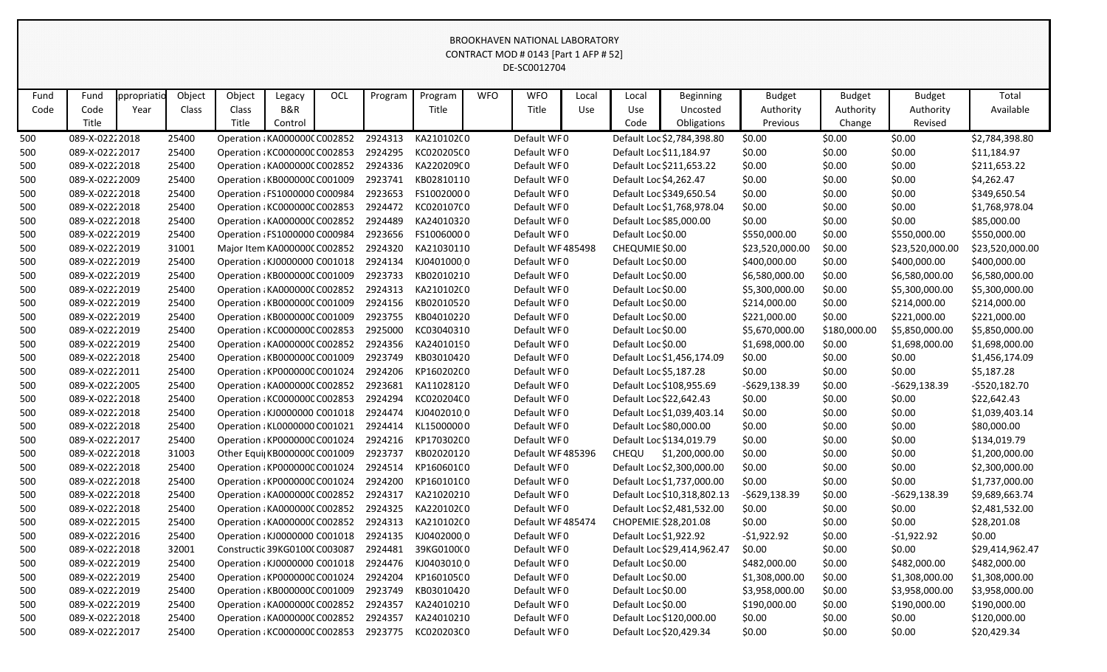|      | CONTRACT MOD # 0143 [Part 1 AFP # 52]<br>DE-SC0012704<br>Object<br><b>OCL</b><br><b>WFO</b><br><b>WFO</b><br>Object<br>Program<br>Total<br>Fund<br>ppropriatio<br><b>Beginning</b><br><b>Budget</b><br><b>Budget</b><br><b>Budget</b><br>Legacy<br>Program<br>Local<br>Local |      |       |                               |         |  |         |            |  |                  |     |                        |                             |                 |              |                  |                 |
|------|------------------------------------------------------------------------------------------------------------------------------------------------------------------------------------------------------------------------------------------------------------------------------|------|-------|-------------------------------|---------|--|---------|------------|--|------------------|-----|------------------------|-----------------------------|-----------------|--------------|------------------|-----------------|
|      |                                                                                                                                                                                                                                                                              |      |       |                               |         |  |         |            |  |                  |     |                        |                             |                 |              |                  |                 |
| Fund |                                                                                                                                                                                                                                                                              |      |       |                               |         |  |         |            |  |                  |     |                        |                             |                 |              |                  |                 |
| Code | Code                                                                                                                                                                                                                                                                         | Year | Class | Class                         | B&R     |  |         | Title      |  | Title            | Use | Use                    | Uncosted                    | Authority       | Authority    | Authority        | Available       |
|      | Title                                                                                                                                                                                                                                                                        |      |       | Title                         | Control |  |         |            |  |                  |     | Code                   | Obligations                 | Previous        | Change       | Revised          |                 |
| 500  | 089-X-02222018                                                                                                                                                                                                                                                               |      | 25400 | Operation : KA000000C C002852 |         |  | 2924313 | KA21010200 |  | Default WF0      |     |                        | Default Loc \$2,784,398.80  | \$0.00          | \$0.00       | \$0.00           | \$2,784,398.80  |
| 500  | 089-X-02222017                                                                                                                                                                                                                                                               |      | 25400 | Operation : KC000000C C002853 |         |  | 2924295 | KC020205C0 |  | Default WF0      |     |                        | Default Loc \$11,184.97     | \$0.00          | \$0.00       | \$0.00           | \$11,184.97     |
| 500  | 089-X-02222018                                                                                                                                                                                                                                                               |      | 25400 | Operation : KA000000C C002852 |         |  | 2924336 | KA220209(0 |  | Default WF0      |     |                        | Default Loc \$211,653.22    | \$0.00          | \$0.00       | \$0.00           | \$211,653.22    |
| 500  | 089-X-02222009                                                                                                                                                                                                                                                               |      | 25400 | Operation : KB000000C C001009 |         |  | 2923741 | KB02810110 |  | Default WF0      |     | Default Loc \$4,262.47 |                             | \$0.00          | \$0.00       | \$0.00           | \$4,262.47      |
| 500  | 089-X-02222018                                                                                                                                                                                                                                                               |      | 25400 | Operation : FS1000000 C000984 |         |  | 2923653 | FS10020000 |  | Default WF0      |     |                        | Default Loc \$349,650.54    | \$0.00          | \$0.00       | \$0.00           | \$349,650.54    |
| 500  | 089-X-02222018                                                                                                                                                                                                                                                               |      | 25400 | Operation : KC000000C C002853 |         |  | 2924472 | KC020107C0 |  | Default WF0      |     |                        | Default Loc \$1,768,978.04  | \$0.00          | \$0.00       | \$0.00           | \$1,768,978.04  |
| 500  | 089-X-02222018                                                                                                                                                                                                                                                               |      | 25400 | Operation : KA000000C C002852 |         |  | 2924489 | KA24010320 |  | Default WF0      |     |                        | Default Loc \$85,000.00     | \$0.00          | \$0.00       | \$0.00           | \$85,000.00     |
| 500  | 089-X-02222019                                                                                                                                                                                                                                                               |      | 25400 | Operation : FS1000000 C000984 |         |  | 2923656 | FS10060000 |  | Default WF0      |     | Default Loc \$0.00     |                             | \$550,000.00    | \$0.00       | \$550,000.00     | \$550,000.00    |
| 500  | 089-X-02222019                                                                                                                                                                                                                                                               |      | 31001 | Major Item KA000000C C002852  |         |  | 2924320 | KA21030110 |  | Default WF485498 |     | CHEQUMIE \$0.00        |                             | \$23,520,000.00 | \$0.00       | \$23,520,000.00  | \$23,520,000.00 |
| 500  | 089-X-02222019                                                                                                                                                                                                                                                               |      | 25400 | Operation : KJ0000000 C001018 |         |  | 2924134 | KJ04010000 |  | Default WF0      |     | Default Loc \$0.00     |                             | \$400,000.00    | \$0.00       | \$400,000.00     | \$400,000.00    |
| 500  | 089-X-02222019                                                                                                                                                                                                                                                               |      | 25400 | Operation : KB000000C C001009 |         |  | 2923733 | KB02010210 |  | Default WF0      |     | Default Loc \$0.00     |                             | \$6,580,000.00  | \$0.00       | \$6,580,000.00   | \$6,580,000.00  |
| 500  | 089-X-02222019                                                                                                                                                                                                                                                               |      | 25400 | Operation : KA000000C C002852 |         |  | 2924313 | KA21010200 |  | Default WF0      |     | Default Loc \$0.00     |                             | \$5,300,000.00  | \$0.00       | \$5,300,000.00   | \$5,300,000.00  |
| 500  | 089-X-02222019                                                                                                                                                                                                                                                               |      | 25400 | Operation : KB000000C C001009 |         |  | 2924156 | KB02010520 |  | Default WF0      |     | Default Loc \$0.00     |                             | \$214,000.00    | \$0.00       | \$214,000.00     | \$214,000.00    |
| 500  | 089-X-02222019                                                                                                                                                                                                                                                               |      | 25400 | Operation : KB000000C C001009 |         |  | 2923755 | KB04010220 |  | Default WF0      |     | Default Loc \$0.00     |                             | \$221,000.00    | \$0.00       | \$221,000.00     | \$221,000.00    |
| 500  | 089-X-02222019                                                                                                                                                                                                                                                               |      | 25400 | Operation : KC000000C C002853 |         |  | 2925000 | KC03040310 |  | Default WF0      |     | Default Loc \$0.00     |                             | \$5,670,000.00  | \$180,000.00 | \$5,850,000.00   | \$5,850,000.00  |
| 500  | 089-X-02222019                                                                                                                                                                                                                                                               |      | 25400 | Operation : KA000000C C002852 |         |  | 2924356 | KA24010190 |  | Default WF0      |     | Default Loc \$0.00     |                             | \$1,698,000.00  | \$0.00       | \$1,698,000.00   | \$1,698,000.00  |
| 500  | 089-X-02222018                                                                                                                                                                                                                                                               |      | 25400 | Operation : KB000000C C001009 |         |  | 2923749 | KB03010420 |  | Default WF0      |     |                        | Default Loc \$1,456,174.09  | \$0.00          | \$0.00       | \$0.00           | \$1,456,174.09  |
| 500  | 089-X-02222011                                                                                                                                                                                                                                                               |      | 25400 | Operation : KP0000000 C001024 |         |  | 2924206 | KP16020200 |  | Default WF0      |     | Default Loc \$5,187.28 |                             | \$0.00          | \$0.00       | \$0.00           | \$5,187.28      |
| 500  | 089-X-02222005                                                                                                                                                                                                                                                               |      | 25400 | Operation : KA0000000 C002852 |         |  | 2923681 | KA11028120 |  | Default WF0      |     |                        | Default Loc \$108,955.69    | $-5629,138.39$  | \$0.00       | $-$ \$629,138.39 | -\$520,182.70   |
| 500  | 089-X-02222018                                                                                                                                                                                                                                                               |      | 25400 | Operation : KC000000C C002853 |         |  | 2924294 | KC020204C0 |  | Default WF0      |     |                        | Default Loc \$22,642.43     | \$0.00          | \$0.00       | \$0.00           | \$22,642.43     |
| 500  | 089-X-02222018                                                                                                                                                                                                                                                               |      | 25400 | Operation : KJ0000000 C001018 |         |  | 2924474 | KJ04020100 |  | Default WF0      |     |                        | Default Loc \$1,039,403.14  | \$0.00          | \$0.00       | \$0.00           | \$1,039,403.14  |
| 500  | 089-X-02222018                                                                                                                                                                                                                                                               |      | 25400 | Operation : KL0000000 C001021 |         |  | 2924414 | KL15000000 |  | Default WF0      |     |                        | Default Loc \$80,000.00     | \$0.00          | \$0.00       | \$0.00           | \$80,000.00     |
| 500  | 089-X-02222017                                                                                                                                                                                                                                                               |      | 25400 | Operation : KP0000000 C001024 |         |  | 2924216 | KP17030200 |  | Default WF0      |     |                        | Default Loc \$134,019.79    | \$0.00          | \$0.00       | \$0.00           | \$134,019.79    |
| 500  | 089-X-02222018                                                                                                                                                                                                                                                               |      | 31003 | Other Equi KB000000C C001009  |         |  | 2923737 | KB02020120 |  | Default WF485396 |     | CHEQU                  | \$1,200,000.00              | \$0.00          | \$0.00       | \$0.00           | \$1,200,000.00  |
| 500  | 089-X-02222018                                                                                                                                                                                                                                                               |      | 25400 | Operation : KP0000000 C001024 |         |  | 2924514 | KP16060100 |  | Default WF0      |     |                        | Default Loc \$2,300,000.00  | \$0.00          | \$0.00       | \$0.00           | \$2,300,000.00  |
| 500  | 089-X-02222018                                                                                                                                                                                                                                                               |      | 25400 | Operation : KP0000000 C001024 |         |  | 2924200 | KP16010100 |  | Default WF0      |     |                        | Default Loc \$1,737,000.00  | \$0.00          | \$0.00       | \$0.00           | \$1,737,000.00  |
| 500  | 089-X-02222018                                                                                                                                                                                                                                                               |      | 25400 | Operation : KA000000C C002852 |         |  | 2924317 | KA21020210 |  | Default WF0      |     |                        | Default Loc \$10,318,802.13 | $-$629,138.39$  | \$0.00       | $-5629,138.39$   | \$9,689,663.74  |
| 500  | 089-X-02222018                                                                                                                                                                                                                                                               |      | 25400 | Operation : KA000000C C002852 |         |  | 2924325 | KA220102C0 |  | Default WF0      |     |                        | Default Loc \$2,481,532.00  | \$0.00          | \$0.00       | \$0.00           | \$2,481,532.00  |
| 500  | 089-X-02222015                                                                                                                                                                                                                                                               |      | 25400 | Operation : KA000000C C002852 |         |  | 2924313 | KA210102(0 |  | Default WF485474 |     |                        | CHOPEMIE \$28,201.08        | \$0.00          | \$0.00       | \$0.00           | \$28,201.08     |
| 500  | 089-X-02222016                                                                                                                                                                                                                                                               |      | 25400 | Operation : KJ0000000 C001018 |         |  | 2924135 | KJ04020000 |  | Default WF0      |     | Default Loc \$1,922.92 |                             | $-$1,922.92$    | \$0.00       | -\$1,922.92      | \$0.00          |
| 500  | 089-X-02222018                                                                                                                                                                                                                                                               |      | 32001 | Constructic 39KG0100(C003087  |         |  | 2924481 | 39KG0100(0 |  | Default WF0      |     |                        | Default Loc \$29,414,962.47 | \$0.00          | \$0.00       | \$0.00           | \$29,414,962.47 |
| 500  | 089-X-02222019                                                                                                                                                                                                                                                               |      | 25400 | Operation : KJ0000000 C001018 |         |  | 2924476 | KJ04030100 |  | Default WF0      |     | Default Loc \$0.00     |                             | \$482,000.00    | \$0.00       | \$482,000.00     | \$482,000.00    |
| 500  | 089-X-02222019                                                                                                                                                                                                                                                               |      | 25400 | Operation : KP0000000 C001024 |         |  | 2924204 | KP16010500 |  | Default WF0      |     | Default Loc \$0.00     |                             | \$1,308,000.00  | \$0.00       | \$1,308,000.00   | \$1,308,000.00  |
| 500  | 089-X-02222019                                                                                                                                                                                                                                                               |      | 25400 | Operation : KB000000C C001009 |         |  | 2923749 | KB03010420 |  | Default WF0      |     | Default Loc \$0.00     |                             | \$3,958,000.00  | \$0.00       | \$3,958,000.00   | \$3,958,000.00  |
| 500  | 089-X-02222019                                                                                                                                                                                                                                                               |      | 25400 | Operation : KA0000000 C002852 |         |  | 2924357 | KA24010210 |  | Default WF0      |     | Default Loc \$0.00     |                             | \$190,000.00    | \$0.00       | \$190,000.00     | \$190,000.00    |
| 500  | 089-X-02222018                                                                                                                                                                                                                                                               |      | 25400 | Operation : KA000000C C002852 |         |  | 2924357 | KA24010210 |  | Default WF0      |     |                        | Default Loc \$120,000.00    | \$0.00          | \$0.00       | \$0.00           | \$120,000.00    |
| 500  | 089-X-02222017                                                                                                                                                                                                                                                               |      | 25400 | Operation : KC000000C C002853 |         |  | 2923775 | KC020203C0 |  | Default WF0      |     |                        | Default Loc \$20,429.34     | \$0.00          | \$0.00       | \$0.00           | \$20,429.34     |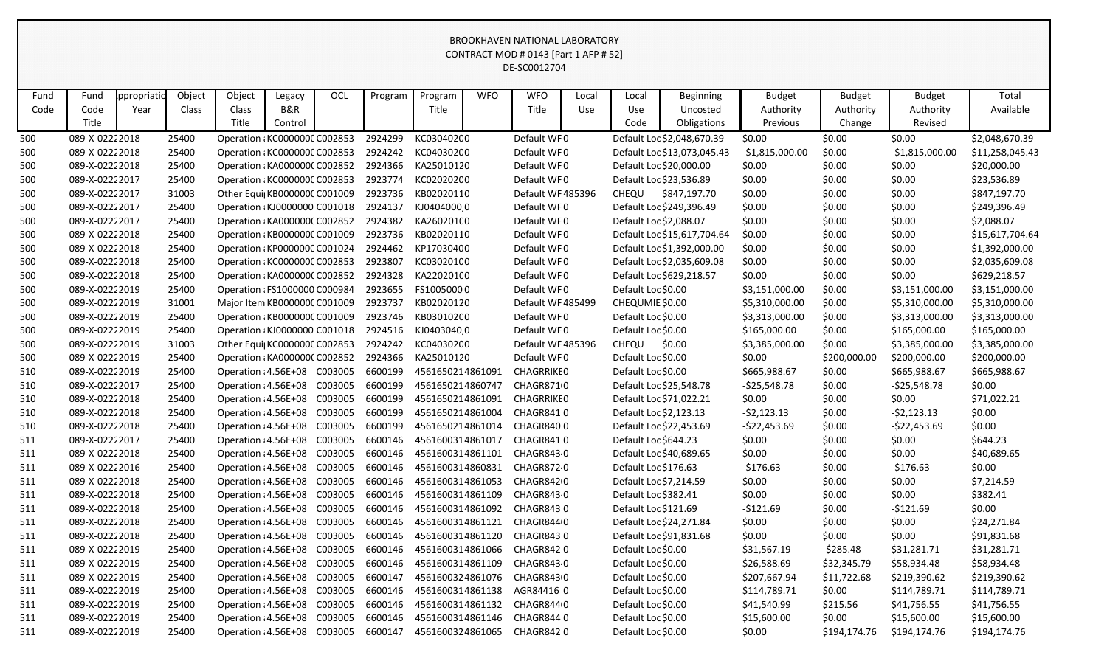|      | CONTRACT MOD # 0143 [Part 1 AFP # 52]<br>DE-SC0012704<br><b>OCL</b><br>ppropriatio<br>Object<br>Object<br><b>WFO</b><br><b>WFO</b><br>Total<br>Program<br>Local<br><b>Budget</b><br><b>Budget</b><br><b>Budget</b><br>Fund<br>Program<br><b>Beginning</b><br>Legacy<br>Local                                                         |  |       |                               |  |         |         |                  |  |                   |  |                      |                             |                  |                 |                  |                 |
|------|--------------------------------------------------------------------------------------------------------------------------------------------------------------------------------------------------------------------------------------------------------------------------------------------------------------------------------------|--|-------|-------------------------------|--|---------|---------|------------------|--|-------------------|--|----------------------|-----------------------------|------------------|-----------------|------------------|-----------------|
|      |                                                                                                                                                                                                                                                                                                                                      |  |       |                               |  |         |         |                  |  |                   |  |                      |                             |                  |                 |                  |                 |
|      |                                                                                                                                                                                                                                                                                                                                      |  |       |                               |  |         |         |                  |  |                   |  |                      |                             |                  |                 |                  |                 |
| Fund | B&R<br>Code<br>Title<br>Title<br>Class<br>Class<br>Use<br>Use<br>Uncosted<br>Authority<br>Authority<br>Available<br>Year<br>Authority<br>Title<br>Title<br>Obligations<br>Revised<br>Code<br>Previous<br>Change<br>Control                                                                                                           |  |       |                               |  |         |         |                  |  |                   |  |                      |                             |                  |                 |                  |                 |
| Code |                                                                                                                                                                                                                                                                                                                                      |  |       |                               |  |         |         |                  |  |                   |  |                      |                             |                  |                 |                  |                 |
|      |                                                                                                                                                                                                                                                                                                                                      |  |       |                               |  |         |         |                  |  |                   |  |                      |                             |                  |                 |                  |                 |
| 500  | 089-X-02222018                                                                                                                                                                                                                                                                                                                       |  | 25400 | Operation : KC000000C C002853 |  |         | 2924299 | KC030402C0       |  | Default WF0       |  |                      | Default Loc \$2,048,670.39  | \$0.00           | \$0.00          | \$0.00           | \$2,048,670.39  |
| 500  | 089-X-02222018                                                                                                                                                                                                                                                                                                                       |  | 25400 | Operation : KC000000C C002853 |  |         | 2924242 | KC040302C0       |  | Default WF0       |  |                      | Default Loc \$13,073,045.43 | $-$1,815,000.00$ | \$0.00          | $-$1,815,000.00$ | \$11,258,045.43 |
| 500  | 089-X-02222018                                                                                                                                                                                                                                                                                                                       |  | 25400 | Operation : KA000000C C002852 |  |         | 2924366 | KA25010120       |  | Default WF0       |  |                      | Default Loc \$20,000.00     | \$0.00           | \$0.00          | \$0.00           | \$20,000.00     |
| 500  | 089-X-02222017                                                                                                                                                                                                                                                                                                                       |  | 25400 | Operation : KC000000C C002853 |  |         | 2923774 | KC020202C0       |  | Default WF0       |  |                      | Default Loc \$23,536.89     | \$0.00           | \$0.00          | \$0.00           | \$23,536.89     |
| 500  | 089-X-02222017                                                                                                                                                                                                                                                                                                                       |  | 31003 | Other Equi  KB000000C C001009 |  |         | 2923736 | KB02020110       |  | Default WF 485396 |  | CHEQU                | \$847,197.70                | \$0.00           | \$0.00          | \$0.00           | \$847,197.70    |
| 500  | 25400<br>2924137<br>KJ04040000<br>Default WF0<br>Default Loc \$249,396.49<br>\$0.00<br>\$0.00<br>\$0.00<br>089-X-02222017<br>Operation : KJ0000000 C001018<br>25400<br>2924382<br>KA260201(0<br>Default WF0<br>Default Loc \$2,088.07<br>\$0.00<br>\$0.00<br>\$0.00<br>\$2,088.07<br>089-X-02222017<br>Operation : KA000000C C002852 |  |       |                               |  |         |         |                  |  |                   |  |                      |                             |                  |                 | \$249,396.49     |                 |
| 500  | 2923736<br>KB02020110<br>Default WF0<br>Default Loc \$15,617,704.64<br>089-X-02222018<br>25400<br>Operation : KB000000C C001009<br>\$0.00<br>\$0.00<br>\$0.00                                                                                                                                                                        |  |       |                               |  |         |         |                  |  |                   |  |                      |                             |                  |                 |                  |                 |
| 500  | KP17030400<br>Default WF0<br>Default Loc \$1,392,000.00<br>089-X-02222018<br>Operation : KP0000000 C001024                                                                                                                                                                                                                           |  |       |                               |  |         |         |                  |  |                   |  |                      |                             |                  | \$15,617,704.64 |                  |                 |
| 500  |                                                                                                                                                                                                                                                                                                                                      |  | 25400 |                               |  |         | 2924462 |                  |  |                   |  |                      |                             | \$0.00           | \$0.00          | \$0.00           | \$1,392,000.00  |
| 500  | 089-X-02222018                                                                                                                                                                                                                                                                                                                       |  | 25400 | Operation : KC000000C C002853 |  |         | 2923807 | KC030201C0       |  | Default WF0       |  |                      | Default Loc \$2,035,609.08  | \$0.00           | \$0.00          | \$0.00           | \$2,035,609.08  |
| 500  | 089-X-02222018                                                                                                                                                                                                                                                                                                                       |  | 25400 | Operation : KA000000C C002852 |  |         | 2924328 | KA220201(0       |  | Default WF0       |  |                      | Default Loc \$629,218.57    | \$0.00           | \$0.00          | \$0.00           | \$629,218.57    |
| 500  | 089-X-02222019                                                                                                                                                                                                                                                                                                                       |  | 25400 | Operation : FS1000000 C000984 |  |         | 2923655 | FS10050000       |  | Default WF0       |  | Default Loc \$0.00   |                             | \$3,151,000.00   | \$0.00          | \$3,151,000.00   | \$3,151,000.00  |
| 500  | 089-X-02222019                                                                                                                                                                                                                                                                                                                       |  | 31001 | Major Item KB000000C C001009  |  |         | 2923737 | KB02020120       |  | Default WF 485499 |  | CHEQUMIE \$0.00      |                             | \$5,310,000.00   | \$0.00          | \$5,310,000.00   | \$5,310,000.00  |
| 500  | 089-X-02222019                                                                                                                                                                                                                                                                                                                       |  | 25400 | Operation : KB000000C C001009 |  |         | 2923746 | KB030102C0       |  | Default WF0       |  | Default Loc \$0.00   |                             | \$3,313,000.00   | \$0.00          | \$3,313,000.00   | \$3,313,000.00  |
| 500  | 089-X-02222019                                                                                                                                                                                                                                                                                                                       |  | 25400 | Operation : KJ0000000 C001018 |  |         | 2924516 | KJ04030400       |  | Default WF0       |  | Default Loc \$0.00   |                             | \$165,000.00     | \$0.00          | \$165,000.00     | \$165,000.00    |
| 500  | 089-X-02222019                                                                                                                                                                                                                                                                                                                       |  | 31003 | Other Equi  KC000000C C002853 |  |         | 2924242 | KC040302C0       |  | Default WF485396  |  | CHEQU                | \$0.00                      | \$3,385,000.00   | \$0.00          | \$3,385,000.00   | \$3,385,000.00  |
| 500  | 089-X-02222019                                                                                                                                                                                                                                                                                                                       |  | 25400 | Operation : KA000000C C002852 |  |         | 2924366 | KA25010120       |  | Default WF0       |  | Default Loc \$0.00   |                             | \$0.00           | \$200,000.00    | \$200,000.00     | \$200,000.00    |
| 510  | 089-X-02222019                                                                                                                                                                                                                                                                                                                       |  | 25400 | Operation : 4.56E+08 C003005  |  |         | 6600199 | 4561650214861091 |  | <b>CHAGRRIKEO</b> |  | Default Loc \$0.00   |                             | \$665,988.67     | \$0.00          | \$665,988.67     | \$665,988.67    |
| 510  | 089-X-02222017                                                                                                                                                                                                                                                                                                                       |  | 25400 | Operation : 4.56E+08 C003005  |  |         | 6600199 | 4561650214860747 |  | CHAGR8710         |  |                      | Default Loc \$25,548.78     | $-525,548.78$    | \$0.00          | $-525,548.78$    | \$0.00          |
| 510  | 089-X-02222018                                                                                                                                                                                                                                                                                                                       |  | 25400 | Operation : 4.56E+08 C003005  |  |         | 6600199 | 4561650214861091 |  | <b>CHAGRRIKEO</b> |  |                      | Default Loc \$71,022.21     | \$0.00           | \$0.00          | \$0.00           | \$71,022.21     |
| 510  | 089-X-02222018                                                                                                                                                                                                                                                                                                                       |  | 25400 | Operation : 4.56E+08 C003005  |  |         | 6600199 | 4561650214861004 |  | CHAGR8410         |  |                      | Default Loc \$2,123.13      | $-52,123.13$     | \$0.00          | $-52,123.13$     | \$0.00          |
| 510  | 089-X-02222018                                                                                                                                                                                                                                                                                                                       |  | 25400 | Operation : 4.56E+08          |  | C003005 | 6600199 | 4561650214861014 |  | CHAGR8400         |  |                      | Default Loc \$22,453.69     | $-522,453.69$    | \$0.00          | $-$22,453.69$    | \$0.00          |
| 511  | 089-X-02222017                                                                                                                                                                                                                                                                                                                       |  | 25400 | Operation : 4.56E+08          |  | C003005 | 6600146 | 4561600314861017 |  | CHAGR8410         |  | Default Loc \$644.23 |                             | \$0.00           | \$0.00          | \$0.00           | \$644.23        |
| 511  | 089-X-02222018                                                                                                                                                                                                                                                                                                                       |  | 25400 | Operation : 4.56E+08          |  | C003005 | 6600146 | 4561600314861101 |  | <b>CHAGR8430</b>  |  |                      | Default Loc \$40,689.65     | \$0.00           | \$0.00          | \$0.00           | \$40,689.65     |
| 511  | 089-X-02222016                                                                                                                                                                                                                                                                                                                       |  | 25400 | Operation : 4.56E+08 C003005  |  |         | 6600146 | 4561600314860831 |  | CHAGR8720         |  | Default Loc \$176.63 |                             | $-$176.63$       | \$0.00          | $-$176.63$       | \$0.00          |
| 511  | 089-X-02222018                                                                                                                                                                                                                                                                                                                       |  | 25400 | Operation : 4.56E+08 C003005  |  |         | 6600146 | 4561600314861053 |  | CHAGR8420         |  |                      | Default Loc \$7,214.59      | \$0.00           | \$0.00          | \$0.00           | \$7,214.59      |
| 511  | 089-X-02222018                                                                                                                                                                                                                                                                                                                       |  | 25400 | Operation : 4.56E+08 C003005  |  |         | 6600146 | 4561600314861109 |  | CHAGR8430         |  | Default Loc \$382.41 |                             | \$0.00           | \$0.00          | \$0.00           | \$382.41        |
| 511  | 089-X-02222018                                                                                                                                                                                                                                                                                                                       |  | 25400 | Operation : 4.56E+08 C003005  |  |         | 6600146 | 4561600314861092 |  | CHAGR8430         |  | Default Loc \$121.69 |                             | $-5121.69$       | \$0.00          | $-5121.69$       | \$0.00          |
| 511  | 089-X-02222018                                                                                                                                                                                                                                                                                                                       |  | 25400 | Operation : 4.56E+08 C003005  |  |         | 6600146 | 4561600314861121 |  | CHAGR8440         |  |                      | Default Loc \$24,271.84     | \$0.00           | \$0.00          | \$0.00           | \$24,271.84     |
| 511  | 089-X-02222018                                                                                                                                                                                                                                                                                                                       |  | 25400 | Operation : 4.56E+08 C003005  |  |         | 6600146 | 4561600314861120 |  | CHAGR8430         |  |                      | Default Loc \$91,831.68     | \$0.00           | \$0.00          | \$0.00           | \$91,831.68     |
| 511  | 089-X-02222019                                                                                                                                                                                                                                                                                                                       |  | 25400 | Operation : 4.56E+08 C003005  |  |         | 6600146 | 4561600314861066 |  | CHAGR8420         |  | Default Loc \$0.00   |                             | \$31,567.19      | -\$285.48       | \$31,281.71      | \$31,281.71     |
| 511  | 089-X-02222019                                                                                                                                                                                                                                                                                                                       |  | 25400 | Operation : 4.56E+08 C003005  |  |         | 6600146 | 4561600314861109 |  | CHAGR8430         |  | Default Loc \$0.00   |                             | \$26,588.69      | \$32,345.79     | \$58,934.48      | \$58,934.48     |
| 511  | 089-X-02222019                                                                                                                                                                                                                                                                                                                       |  | 25400 | Operation : 4.56E+08 C003005  |  |         | 6600147 | 4561600324861076 |  | CHAGR8430         |  | Default Loc \$0.00   |                             | \$207,667.94     | \$11,722.68     | \$219,390.62     | \$219,390.62    |
| 511  | 089-X-02222019                                                                                                                                                                                                                                                                                                                       |  | 25400 | Operation : 4.56E+08 C003005  |  |         | 6600146 | 4561600314861138 |  | AGR84416 0        |  | Default Loc \$0.00   |                             | \$114,789.71     | \$0.00          | \$114,789.71     | \$114,789.71    |
| 511  | 089-X-02222019                                                                                                                                                                                                                                                                                                                       |  | 25400 | Operation : 4.56E+08 C003005  |  |         | 6600146 | 4561600314861132 |  | CHAGR8440         |  | Default Loc \$0.00   |                             | \$41,540.99      | \$215.56        | \$41,756.55      | \$41,756.55     |
| 511  | 089-X-02222019                                                                                                                                                                                                                                                                                                                       |  | 25400 | Operation : 4.56E+08 C003005  |  |         | 6600146 | 4561600314861146 |  | CHAGR8440         |  | Default Loc \$0.00   |                             | \$15,600.00      | \$0.00          | \$15,600.00      | \$15,600.00     |
| 511  | 089-X-02222019                                                                                                                                                                                                                                                                                                                       |  | 25400 | Operation : 4.56E+08 C003005  |  |         | 6600147 | 4561600324861065 |  | CHAGR8420         |  | Default Loc \$0.00   |                             | \$0.00           | \$194,174.76    | \$194,174.76     | \$194,174.76    |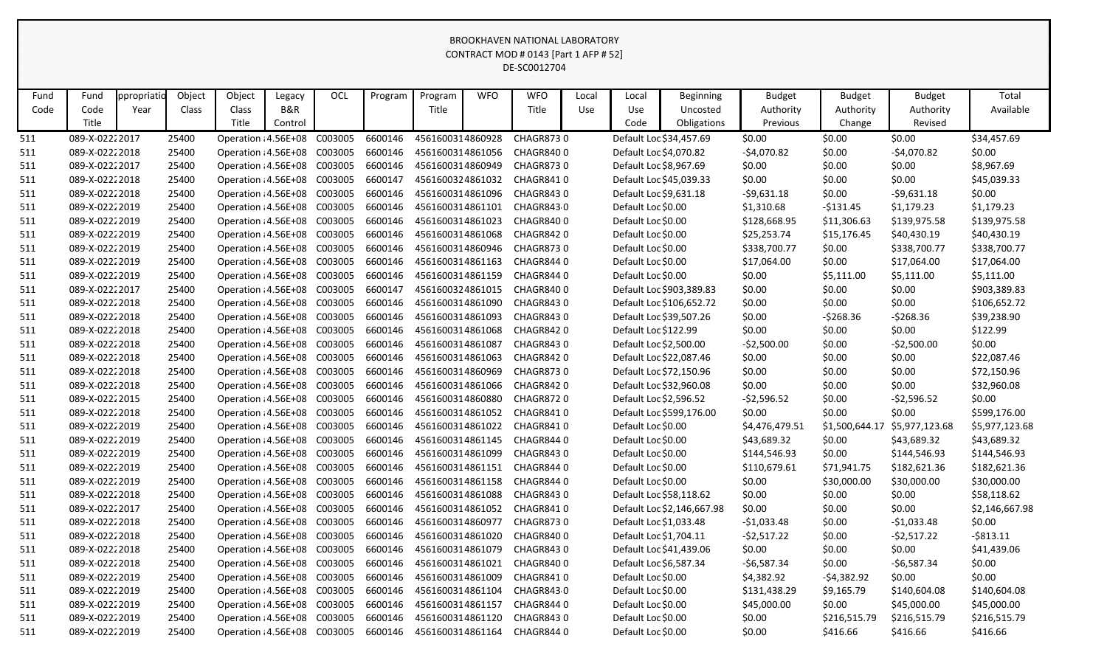|      | phooni inventional labonatoni<br>CONTRACT MOD # 0143 [Part 1 AFP # 52]<br>DE-SC0012704                                                                                                                                     |  |       |                                      |  |  |         |                  |  |                  |  |                        |                            |                |                |                |                |
|------|----------------------------------------------------------------------------------------------------------------------------------------------------------------------------------------------------------------------------|--|-------|--------------------------------------|--|--|---------|------------------|--|------------------|--|------------------------|----------------------------|----------------|----------------|----------------|----------------|
|      | OCL<br>Object<br>Object<br><b>WFO</b><br><b>WFO</b><br>Total<br>ppropriatio<br>Program<br>Program<br>Local<br><b>Budget</b><br><b>Budget</b><br><b>Budget</b><br>Fund<br>Local<br><b>Beginning</b><br>Legacy               |  |       |                                      |  |  |         |                  |  |                  |  |                        |                            |                |                |                |                |
|      |                                                                                                                                                                                                                            |  |       |                                      |  |  |         |                  |  |                  |  |                        |                            |                |                |                |                |
| Fund | B&R<br>Title<br>Code<br>Class<br>Title<br>Use<br>Authority<br>Authority<br>Available<br>Year<br>Class<br>Use<br>Uncosted<br>Authority<br>Title<br>Title<br>Code<br>Revised<br>Control<br>Obligations<br>Previous<br>Change |  |       |                                      |  |  |         |                  |  |                  |  |                        |                            |                |                |                |                |
| Code |                                                                                                                                                                                                                            |  |       |                                      |  |  |         |                  |  |                  |  |                        |                            |                |                |                |                |
|      |                                                                                                                                                                                                                            |  |       |                                      |  |  |         |                  |  |                  |  |                        |                            |                |                |                |                |
| 511  | 089-X-02222017                                                                                                                                                                                                             |  | 25400 | Operation : 4.56E+08 C003005         |  |  | 6600146 | 4561600314860928 |  | <b>CHAGR8730</b> |  |                        | Default Loc \$34,457.69    | \$0.00         | \$0.00         | \$0.00         | \$34,457.69    |
| 511  | 089-X-02222018                                                                                                                                                                                                             |  | 25400 | Operation : 4.56E+08 C003005         |  |  | 6600146 | 4561600314861056 |  | CHAGR8400        |  | Default Loc \$4,070.82 |                            | $-$4,070.82$   | \$0.00         | $-$4,070.82$   | \$0.00         |
| 511  | 089-X-02222017                                                                                                                                                                                                             |  | 25400 | Operation : 4.56E+08 C003005         |  |  | 6600146 | 4561600314860949 |  | CHAGR8730        |  | Default Loc \$8,967.69 |                            | \$0.00         | \$0.00         | \$0.00         | \$8,967.69     |
| 511  | 089-X-02222018                                                                                                                                                                                                             |  | 25400 | Operation : 4.56E+08 C003005         |  |  | 6600147 | 4561600324861032 |  | CHAGR8410        |  |                        | Default Loc \$45,039.33    | \$0.00         | \$0.00         | \$0.00         | \$45,039.33    |
| 511  | 089-X-02222018                                                                                                                                                                                                             |  | 25400 | Operation : 4.56E+08 C003005         |  |  | 6600146 | 4561600314861096 |  | CHAGR8430        |  | Default Loc \$9,631.18 |                            | $-59,631.18$   | \$0.00         | $-59,631.18$   | \$0.00         |
| 511  | 089-X-02222019                                                                                                                                                                                                             |  | 25400 | Operation : 4.56E+08 C003005         |  |  | 6600146 | 4561600314861101 |  | CHAGR8430        |  | Default Loc \$0.00     |                            | \$1,310.68     | -\$131.45      | \$1,179.23     | \$1,179.23     |
| 511  | 089-X-02222019                                                                                                                                                                                                             |  | 25400 | Operation : 4.56E+08 C003005         |  |  | 6600146 | 4561600314861023 |  | CHAGR8400        |  | Default Loc \$0.00     |                            | \$128,668.95   | \$11,306.63    | \$139,975.58   | \$139,975.58   |
| 511  | 089-X-02222019                                                                                                                                                                                                             |  | 25400 | Operation : 4.56E+08 C003005         |  |  | 6600146 | 4561600314861068 |  | CHAGR8420        |  | Default Loc \$0.00     |                            | \$25,253.74    | \$15,176.45    | \$40,430.19    | \$40,430.19    |
| 511  | 089-X-02222019                                                                                                                                                                                                             |  | 25400 | Operation : 4.56E+08 C003005         |  |  | 6600146 | 4561600314860946 |  | CHAGR8730        |  | Default Loc \$0.00     |                            | \$338,700.77   | \$0.00         | \$338,700.77   | \$338,700.77   |
| 511  | 089-X-02222019                                                                                                                                                                                                             |  | 25400 | Operation : 4.56E+08 C003005         |  |  | 6600146 | 4561600314861163 |  | CHAGR8440        |  | Default Loc \$0.00     |                            | \$17,064.00    | \$0.00         | \$17,064.00    | \$17,064.00    |
| 511  | 089-X-02222019                                                                                                                                                                                                             |  | 25400 | Operation : 4.56E+08 C003005         |  |  | 6600146 | 4561600314861159 |  | CHAGR8440        |  | Default Loc \$0.00     |                            | \$0.00         | \$5,111.00     | \$5,111.00     | \$5,111.00     |
| 511  | 089-X-02222017                                                                                                                                                                                                             |  | 25400 | Operation : 4.56E+08 C003005         |  |  | 6600147 | 4561600324861015 |  | CHAGR8400        |  |                        | Default Loc \$903,389.83   | \$0.00         | \$0.00         | \$0.00         | \$903,389.83   |
| 511  | 089-X-02222018                                                                                                                                                                                                             |  | 25400 | Operation : 4.56E+08 C003005         |  |  | 6600146 | 4561600314861090 |  | CHAGR8430        |  |                        | Default Loc \$106,652.72   | \$0.00         | \$0.00         | \$0.00         | \$106,652.72   |
| 511  | 089-X-02222018                                                                                                                                                                                                             |  | 25400 | Operation : 4.56E+08 C003005         |  |  | 6600146 | 4561600314861093 |  | CHAGR8430        |  |                        | Default Loc \$39,507.26    | \$0.00         | $-5268.36$     | -\$268.36      | \$39,238.90    |
| 511  | 089-X-02222018                                                                                                                                                                                                             |  | 25400 | Operation : 4.56E+08 C003005         |  |  | 6600146 | 4561600314861068 |  | CHAGR8420        |  | Default Loc \$122.99   |                            | \$0.00         | \$0.00         | \$0.00         | \$122.99       |
| 511  | 089-X-02222018                                                                                                                                                                                                             |  | 25400 | Operation : 4.56E+08 C003005         |  |  | 6600146 | 4561600314861087 |  | CHAGR8430        |  | Default Loc \$2,500.00 |                            | $-52,500.00$   | \$0.00         | $-52,500.00$   | \$0.00         |
| 511  | 089-X-02222018                                                                                                                                                                                                             |  | 25400 | Operation : 4.56E+08 C003005         |  |  | 6600146 | 4561600314861063 |  | CHAGR8420        |  |                        | Default Loc \$22,087.46    | \$0.00         | \$0.00         | \$0.00         | \$22,087.46    |
| 511  | 089-X-02222018                                                                                                                                                                                                             |  | 25400 | Operation : 4.56E+08 C003005         |  |  | 6600146 | 4561600314860969 |  | <b>CHAGR8730</b> |  |                        | Default Loc \$72,150.96    | \$0.00         | \$0.00         | \$0.00         | \$72,150.96    |
| 511  | 089-X-02222018                                                                                                                                                                                                             |  | 25400 | Operation : 4.56E+08 C003005         |  |  | 6600146 | 4561600314861066 |  | CHAGR8420        |  |                        | Default Loc \$32,960.08    | \$0.00         | \$0.00         | \$0.00         | \$32,960.08    |
| 511  | 089-X-02222015                                                                                                                                                                                                             |  | 25400 | Operation : 4.56E+08 C003005         |  |  | 6600146 | 4561600314860880 |  | CHAGR8720        |  |                        | Default Loc \$2,596.52     | $-52,596.52$   | \$0.00         | $-52,596.52$   | \$0.00         |
| 511  | 089-X-02222018                                                                                                                                                                                                             |  | 25400 | Operation : 4.56E+08 C003005         |  |  | 6600146 | 4561600314861052 |  | CHAGR8410        |  |                        | Default Loc \$599,176.00   | \$0.00         | \$0.00         | \$0.00         | \$599,176.00   |
| 511  | 089-X-02222019                                                                                                                                                                                                             |  | 25400 | Operation : 4.56E+08 C003005         |  |  | 6600146 | 4561600314861022 |  | CHAGR8410        |  | Default Loc \$0.00     |                            | \$4,476,479.51 | \$1,500,644.17 | \$5,977,123.68 | \$5,977,123.68 |
| 511  | 089-X-02222019                                                                                                                                                                                                             |  | 25400 | Operation : 4.56E+08 C003005         |  |  | 6600146 | 4561600314861145 |  | CHAGR8440        |  | Default Loc \$0.00     |                            | \$43,689.32    | \$0.00         | \$43,689.32    | \$43,689.32    |
| 511  | 089-X-02222019                                                                                                                                                                                                             |  | 25400 | Operation : 4.56E+08 C003005         |  |  | 6600146 | 4561600314861099 |  | CHAGR8430        |  | Default Loc \$0.00     |                            | \$144,546.93   | \$0.00         | \$144,546.93   | \$144,546.93   |
| 511  | 089-X-02222019                                                                                                                                                                                                             |  | 25400 | Operation : 4.56E+08 C003005         |  |  | 6600146 | 4561600314861151 |  | CHAGR8440        |  | Default Loc \$0.00     |                            | \$110,679.61   | \$71,941.75    | \$182,621.36   | \$182,621.36   |
| 511  | 089-X-02222019                                                                                                                                                                                                             |  | 25400 | Operation : 4.56E+08 C003005 6600146 |  |  |         | 4561600314861158 |  | CHAGR8440        |  | Default Loc \$0.00     |                            | \$0.00         | \$30,000.00    | \$30,000.00    | \$30,000.00    |
| 511  | 089-X-02222018                                                                                                                                                                                                             |  | 25400 | Operation : 4.56E+08 C003005         |  |  | 6600146 | 4561600314861088 |  | CHAGR8430        |  |                        | Default Loc \$58,118.62    | \$0.00         | \$0.00         | \$0.00         | \$58,118.62    |
| 511  | 089-X-02222017                                                                                                                                                                                                             |  | 25400 | Operation : 4.56E+08 C003005         |  |  | 6600146 | 4561600314861052 |  | CHAGR8410        |  |                        | Default Loc \$2,146,667.98 | \$0.00         | \$0.00         | \$0.00         | \$2,146,667.98 |
| 511  | 089-X-02222018                                                                                                                                                                                                             |  | 25400 | Operation : 4.56E+08 C003005         |  |  | 6600146 | 4561600314860977 |  | CHAGR8730        |  |                        | Default Loc \$1,033.48     | $-$1,033.48$   | \$0.00         | -\$1,033.48    | \$0.00         |
| 511  | 089-X-02222018                                                                                                                                                                                                             |  | 25400 | Operation : 4.56E+08 C003005         |  |  | 6600146 | 4561600314861020 |  | CHAGR8400        |  | Default Loc \$1,704.11 |                            | -\$2,517.22    | \$0.00         | -\$2,517.22    | $-$ \$813.11   |
| 511  | 089-X-02222018                                                                                                                                                                                                             |  | 25400 | Operation : 4.56E+08 C003005         |  |  | 6600146 | 4561600314861079 |  | CHAGR8430        |  |                        | Default Loc \$41,439.06    | \$0.00         | \$0.00         | \$0.00         | \$41,439.06    |
| 511  | 089-X-02222018                                                                                                                                                                                                             |  | 25400 | Operation : 4.56E+08 C003005         |  |  | 6600146 | 4561600314861021 |  | CHAGR8400        |  | Default Loc \$6,587.34 |                            | $-56,587.34$   | \$0.00         | $-56,587.34$   | \$0.00         |
| 511  | 089-X-02222019                                                                                                                                                                                                             |  | 25400 | Operation : 4.56E+08 C003005         |  |  | 6600146 | 4561600314861009 |  | CHAGR8410        |  | Default Loc \$0.00     |                            | \$4,382.92     | -\$4,382.92    | \$0.00         | \$0.00         |
| 511  | 089-X-02222019                                                                                                                                                                                                             |  | 25400 | Operation : 4.56E+08 C003005         |  |  | 6600146 | 4561600314861104 |  | CHAGR8430        |  | Default Loc \$0.00     |                            | \$131,438.29   | \$9,165.79     | \$140,604.08   | \$140,604.08   |
| 511  | 089-X-02222019                                                                                                                                                                                                             |  | 25400 | Operation : 4.56E+08 C003005         |  |  | 6600146 | 4561600314861157 |  | CHAGR8440        |  | Default Loc \$0.00     |                            | \$45,000.00    | \$0.00         | \$45,000.00    | \$45,000.00    |
| 511  | 089-X-02222019                                                                                                                                                                                                             |  | 25400 | Operation : 4.56E+08 C003005         |  |  | 6600146 | 4561600314861120 |  | CHAGR8430        |  | Default Loc \$0.00     |                            | \$0.00         | \$216,515.79   | \$216,515.79   | \$216,515.79   |
| 511  | 089-X-02222019                                                                                                                                                                                                             |  | 25400 | Operation : 4.56E+08 C003005 6600146 |  |  |         | 4561600314861164 |  | CHAGR8440        |  | Default Loc \$0.00     |                            | \$0.00         | \$416.66       | \$416.66       | \$416.66       |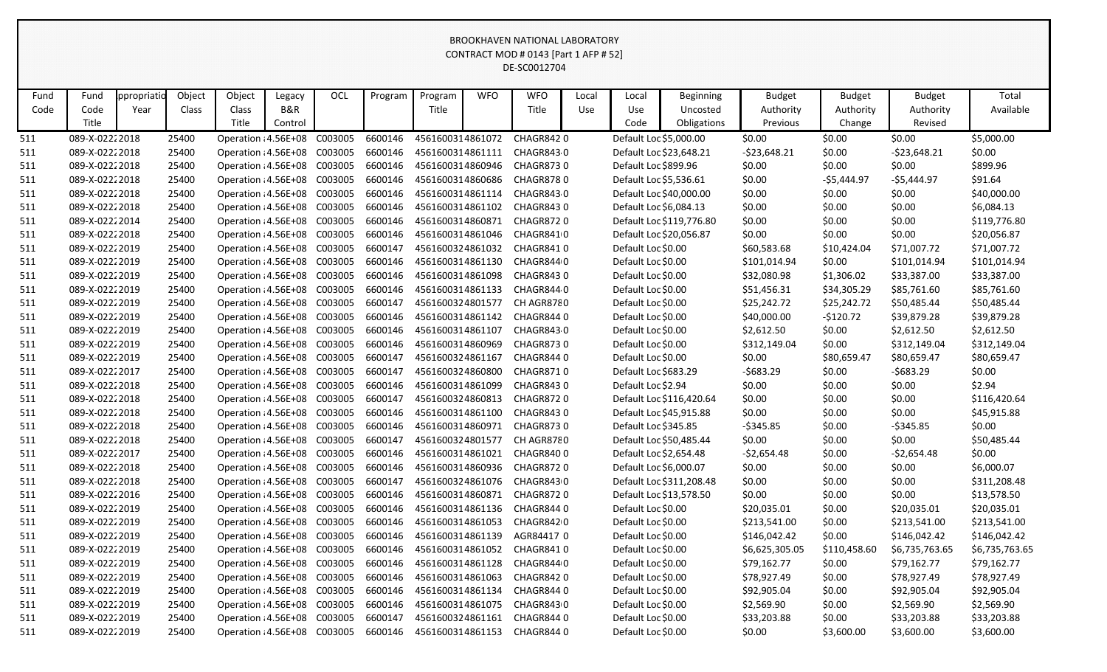|            | CONTRACT MOD # 0143 [Part 1 AFP # 52]<br>DE-SC0012704<br>OCL<br>Object<br>Object<br><b>WFO</b><br><b>WFO</b><br>Total<br>Fund<br>Program<br>Program<br><b>Budget</b><br><b>Budget</b><br><b>Budget</b><br>ppropriatio<br>Legacy<br>Local<br>Local<br><b>Beginning</b><br>B&R<br>Title<br>Title<br>Available<br>Code<br>Class<br>Class<br>Use<br>Use<br>Uncosted<br>Authority<br>Authority<br>Year<br>Authority |  |                |                                                              |         |         |                    |                                      |  |                        |  |                        |                          |                             |                       |                       |                             |
|------------|----------------------------------------------------------------------------------------------------------------------------------------------------------------------------------------------------------------------------------------------------------------------------------------------------------------------------------------------------------------------------------------------------------------|--|----------------|--------------------------------------------------------------|---------|---------|--------------------|--------------------------------------|--|------------------------|--|------------------------|--------------------------|-----------------------------|-----------------------|-----------------------|-----------------------------|
|            |                                                                                                                                                                                                                                                                                                                                                                                                                |  |                |                                                              |         |         |                    |                                      |  |                        |  |                        |                          |                             |                       |                       |                             |
| Fund       |                                                                                                                                                                                                                                                                                                                                                                                                                |  |                |                                                              |         |         |                    |                                      |  |                        |  |                        |                          |                             |                       |                       |                             |
| Code       |                                                                                                                                                                                                                                                                                                                                                                                                                |  |                |                                                              |         |         |                    |                                      |  |                        |  |                        |                          |                             |                       |                       |                             |
|            | Title                                                                                                                                                                                                                                                                                                                                                                                                          |  |                | Title                                                        | Control |         |                    |                                      |  |                        |  | Code                   | Obligations              | Previous                    | Change                | Revised               |                             |
| 511        | 089-X-02222018                                                                                                                                                                                                                                                                                                                                                                                                 |  | 25400          | Operation : 4.56E+08                                         |         | C003005 | 6600146            | 4561600314861072                     |  | CHAGR8420              |  | Default Loc \$5,000.00 |                          | \$0.00                      | \$0.00                | \$0.00                | \$5,000.00                  |
| 511        | 089-X-02222018                                                                                                                                                                                                                                                                                                                                                                                                 |  | 25400          | Operation : 4.56E+08 C003005                                 |         |         | 6600146            | 4561600314861111                     |  | CHAGR8430              |  |                        | Default Loc \$23,648.21  | $-523,648.21$               | \$0.00                | $-523,648.21$         | \$0.00                      |
| 511        | 089-X-02222018                                                                                                                                                                                                                                                                                                                                                                                                 |  | 25400          | Operation : 4.56E+08 C003005                                 |         |         | 6600146            | 4561600314860946                     |  | CHAGR8730              |  | Default Loc \$899.96   |                          | \$0.00                      | \$0.00                | \$0.00                | \$899.96                    |
| 511        | 089-X-02222018                                                                                                                                                                                                                                                                                                                                                                                                 |  | 25400          | Operation : 4.56E+08                                         |         | C003005 | 6600146            | 4561600314860686                     |  | CHAGR8780              |  | Default Loc \$5,536.61 |                          | \$0.00                      | $-$5,444.97$          | $-$5,444.97$          | \$91.64                     |
| 511        | 089-X-02222018                                                                                                                                                                                                                                                                                                                                                                                                 |  | 25400          | Operation : 4.56E+08 C003005                                 |         |         | 6600146            | 4561600314861114                     |  | CHAGR843.0             |  |                        | Default Loc \$40,000.00  | \$0.00                      | \$0.00                | \$0.00                | \$40,000.00                 |
| 511        | 089-X-02222018                                                                                                                                                                                                                                                                                                                                                                                                 |  | 25400          | Operation : 4.56E+08 C003005                                 |         |         | 6600146            | 4561600314861102                     |  | CHAGR8430<br>CHAGR8720 |  | Default Loc \$6,084.13 |                          | \$0.00                      | \$0.00                | \$0.00                | \$6,084.13                  |
| 511        | 089-X-02222014                                                                                                                                                                                                                                                                                                                                                                                                 |  | 25400          | Operation : 4.56E+08 C003005                                 |         |         | 6600146            | 4561600314860871                     |  | CHAGR8410              |  |                        | Default Loc \$119,776.80 | \$0.00                      | \$0.00                | \$0.00                | \$119,776.80                |
| 511        | 089-X-02222018<br>089-X-02222019                                                                                                                                                                                                                                                                                                                                                                               |  | 25400<br>25400 | Operation : 4.56E+08 C003005<br>Operation : 4.56E+08 C003005 |         |         | 6600146<br>6600147 | 4561600314861046<br>4561600324861032 |  | CHAGR8410              |  | Default Loc \$0.00     | Default Loc \$20,056.87  | \$0.00                      | \$0.00                | \$0.00<br>\$71,007.72 | \$20,056.87                 |
| 511<br>511 | 089-X-02222019                                                                                                                                                                                                                                                                                                                                                                                                 |  | 25400          | Operation : 4.56E+08 C003005                                 |         |         | 6600146            | 4561600314861130                     |  | CHAGR8440              |  | Default Loc \$0.00     |                          | \$60,583.68<br>\$101,014.94 | \$10,424.04<br>\$0.00 | \$101,014.94          | \$71,007.72<br>\$101,014.94 |
| 511        | 089-X-02222019                                                                                                                                                                                                                                                                                                                                                                                                 |  | 25400          | Operation : 4.56E+08 C003005                                 |         |         | 6600146            | 4561600314861098                     |  | CHAGR8430              |  | Default Loc \$0.00     |                          | \$32,080.98                 | \$1,306.02            | \$33,387.00           | \$33,387.00                 |
| 511        | 089-X-02222019                                                                                                                                                                                                                                                                                                                                                                                                 |  | 25400          | Operation : 4.56E+08 C003005                                 |         |         | 6600146            | 4561600314861133                     |  | CHAGR8440              |  | Default Loc \$0.00     |                          | \$51,456.31                 | \$34,305.29           | \$85,761.60           | \$85,761.60                 |
| 511        | 089-X-02222019                                                                                                                                                                                                                                                                                                                                                                                                 |  | 25400          | Operation : 4.56E+08 C003005                                 |         |         | 6600147            | 4561600324801577                     |  | CH AGR8780             |  | Default Loc \$0.00     |                          | \$25,242.72                 | \$25,242.72           | \$50,485.44           | \$50,485.44                 |
| 511        | 089-X-02222019                                                                                                                                                                                                                                                                                                                                                                                                 |  | 25400          | Operation : 4.56E+08 C003005                                 |         |         | 6600146            | 4561600314861142                     |  | CHAGR8440              |  | Default Loc \$0.00     |                          | \$40,000.00                 | -\$120.72             | \$39,879.28           | \$39,879.28                 |
| 511        | 089-X-02222019                                                                                                                                                                                                                                                                                                                                                                                                 |  | 25400          | Operation : 4.56E+08 C003005                                 |         |         | 6600146            | 4561600314861107                     |  | CHAGR843.0             |  | Default Loc \$0.00     |                          | \$2,612.50                  | \$0.00                | \$2,612.50            | \$2,612.50                  |
| 511        | 089-X-02222019                                                                                                                                                                                                                                                                                                                                                                                                 |  | 25400          | Operation : 4.56E+08 C003005                                 |         |         | 6600146            | 4561600314860969                     |  | <b>CHAGR8730</b>       |  | Default Loc \$0.00     |                          | \$312,149.04                | \$0.00                | \$312,149.04          | \$312,149.04                |
| 511        | 089-X-02222019                                                                                                                                                                                                                                                                                                                                                                                                 |  | 25400          | Operation : 4.56E+08 C003005                                 |         |         | 6600147            | 4561600324861167                     |  | CHAGR8440              |  | Default Loc \$0.00     |                          | \$0.00                      | \$80,659.47           | \$80,659.47           | \$80,659.47                 |
| 511        | 089-X-02222017                                                                                                                                                                                                                                                                                                                                                                                                 |  | 25400          | Operation : 4.56E+08                                         |         | C003005 | 6600147            | 4561600324860800                     |  | <b>CHAGR8710</b>       |  | Default Loc \$683.29   |                          | $-5683.29$                  | \$0.00                | -\$683.29             | \$0.00                      |
| 511        | 089-X-02222018                                                                                                                                                                                                                                                                                                                                                                                                 |  | 25400          | Operation : 4.56E+08 C003005                                 |         |         | 6600146            | 4561600314861099                     |  | CHAGR8430              |  | Default Loc \$2.94     |                          | \$0.00                      | \$0.00                | \$0.00                | \$2.94                      |
| 511        | 089-X-02222018                                                                                                                                                                                                                                                                                                                                                                                                 |  | 25400          | Operation : 4.56E+08 C003005                                 |         |         | 6600147            | 4561600324860813                     |  | CHAGR8720              |  |                        | Default Loc \$116,420.64 | \$0.00                      | \$0.00                | \$0.00                | \$116,420.64                |
| 511        | 089-X-02222018                                                                                                                                                                                                                                                                                                                                                                                                 |  | 25400          | Operation : 4.56E+08 C003005                                 |         |         | 6600146            | 4561600314861100                     |  | CHAGR8430              |  |                        | Default Loc \$45,915.88  | \$0.00                      | \$0.00                | \$0.00                | \$45,915.88                 |
| 511        | 089-X-02222018                                                                                                                                                                                                                                                                                                                                                                                                 |  | 25400          | Operation : 4.56E+08                                         |         | C003005 | 6600146            | 4561600314860971                     |  | CHAGR8730              |  | Default Loc \$345.85   |                          | $-$ \$345.85                | \$0.00                | $-5345.85$            | \$0.00                      |
| 511        | 089-X-02222018                                                                                                                                                                                                                                                                                                                                                                                                 |  | 25400          | Operation : 4.56E+08                                         |         | C003005 | 6600147            | 4561600324801577                     |  | CH AGR8780             |  |                        | Default Loc \$50,485.44  | \$0.00                      | \$0.00                | \$0.00                | \$50,485.44                 |
| 511        | 089-X-02222017                                                                                                                                                                                                                                                                                                                                                                                                 |  | 25400          | Operation : 4.56E+08 C003005                                 |         |         | 6600146            | 4561600314861021                     |  | CHAGR8400              |  | Default Loc \$2,654.48 |                          | $-52,654.48$                | \$0.00                | $-52,654.48$          | \$0.00                      |
| 511        | 089-X-02222018                                                                                                                                                                                                                                                                                                                                                                                                 |  | 25400          | Operation : 4.56E+08 C003005                                 |         |         | 6600146            | 4561600314860936                     |  | CHAGR8720              |  | Default Loc \$6,000.07 |                          | \$0.00                      | \$0.00                | \$0.00                | \$6,000.07                  |
| 511        | 089-X-02222018                                                                                                                                                                                                                                                                                                                                                                                                 |  | 25400          | Operation : 4.56E+08 C003005                                 |         |         | 6600147            | 4561600324861076                     |  | CHAGR8430              |  |                        | Default Loc \$311,208.48 | \$0.00                      | \$0.00                | \$0.00                | \$311,208.48                |
| 511        | 089-X-02222016                                                                                                                                                                                                                                                                                                                                                                                                 |  | 25400          | Operation : 4.56E+08 C003005                                 |         |         | 6600146            | 4561600314860871                     |  | CHAGR8720              |  |                        | Default Loc \$13,578.50  | \$0.00                      | \$0.00                | \$0.00                | \$13,578.50                 |
| 511        | 089-X-02222019                                                                                                                                                                                                                                                                                                                                                                                                 |  | 25400          | Operation : 4.56E+08 C003005                                 |         |         | 6600146            | 4561600314861136                     |  | CHAGR8440              |  | Default Loc \$0.00     |                          | \$20,035.01                 | \$0.00                | \$20,035.01           | \$20,035.01                 |
| 511        | 089-X-02222019                                                                                                                                                                                                                                                                                                                                                                                                 |  | 25400          | Operation : 4.56E+08 C003005                                 |         |         | 6600146            | 4561600314861053                     |  | CHAGR8420              |  | Default Loc \$0.00     |                          | \$213,541.00                | \$0.00                | \$213,541.00          | \$213,541.00                |
| 511        | 089-X-02222019                                                                                                                                                                                                                                                                                                                                                                                                 |  | 25400          | Operation : 4.56E+08 C003005                                 |         |         | 6600146            | 4561600314861139                     |  | AGR844170              |  | Default Loc \$0.00     |                          | \$146,042.42                | \$0.00                | \$146,042.42          | \$146,042.42                |
| 511        | 089-X-02222019                                                                                                                                                                                                                                                                                                                                                                                                 |  | 25400          | Operation : 4.56E+08 C003005                                 |         |         | 6600146            | 4561600314861052                     |  | CHAGR8410              |  | Default Loc \$0.00     |                          | \$6,625,305.05              | \$110,458.60          | \$6,735,763.65        | \$6,735,763.65              |
| 511        | 089-X-02222019                                                                                                                                                                                                                                                                                                                                                                                                 |  | 25400          | Operation : 4.56E+08 C003005                                 |         |         | 6600146            | 4561600314861128                     |  | CHAGR8440              |  | Default Loc \$0.00     |                          | \$79,162.77                 | \$0.00                | \$79,162.77           | \$79,162.77                 |
| 511        | 089-X-02222019                                                                                                                                                                                                                                                                                                                                                                                                 |  | 25400          | Operation : 4.56E+08 C003005                                 |         |         | 6600146            | 4561600314861063                     |  | CHAGR8420              |  | Default Loc \$0.00     |                          | \$78,927.49                 | \$0.00                | \$78,927.49           | \$78,927.49                 |
| 511        | 089-X-02222019                                                                                                                                                                                                                                                                                                                                                                                                 |  | 25400          | Operation : 4.56E+08 C003005                                 |         |         | 6600146            | 4561600314861134                     |  | CHAGR8440              |  | Default Loc \$0.00     |                          | \$92,905.04                 | \$0.00                | \$92,905.04           | \$92,905.04                 |
| 511        | 089-X-02222019                                                                                                                                                                                                                                                                                                                                                                                                 |  | 25400          | Operation : 4.56E+08 C003005                                 |         |         | 6600146            | 4561600314861075                     |  | CHAGR8430              |  | Default Loc \$0.00     |                          | \$2,569.90                  | \$0.00                | \$2,569.90            | \$2,569.90                  |
| 511        | 089-X-02222019                                                                                                                                                                                                                                                                                                                                                                                                 |  | 25400          | Operation : 4.56E+08 C003005                                 |         |         | 6600147            | 4561600324861161                     |  | CHAGR8440              |  | Default Loc \$0.00     |                          | \$33,203.88                 | \$0.00                | \$33,203.88           | \$33,203.88                 |
| 511        | 089-X-02222019                                                                                                                                                                                                                                                                                                                                                                                                 |  | 25400          | Operation : 4.56E+08 C003005                                 |         |         | 6600146            | 4561600314861153                     |  | CHAGR8440              |  | Default Loc \$0.00     |                          | \$0.00                      | \$3,600.00            | \$3,600.00            | \$3,600.00                  |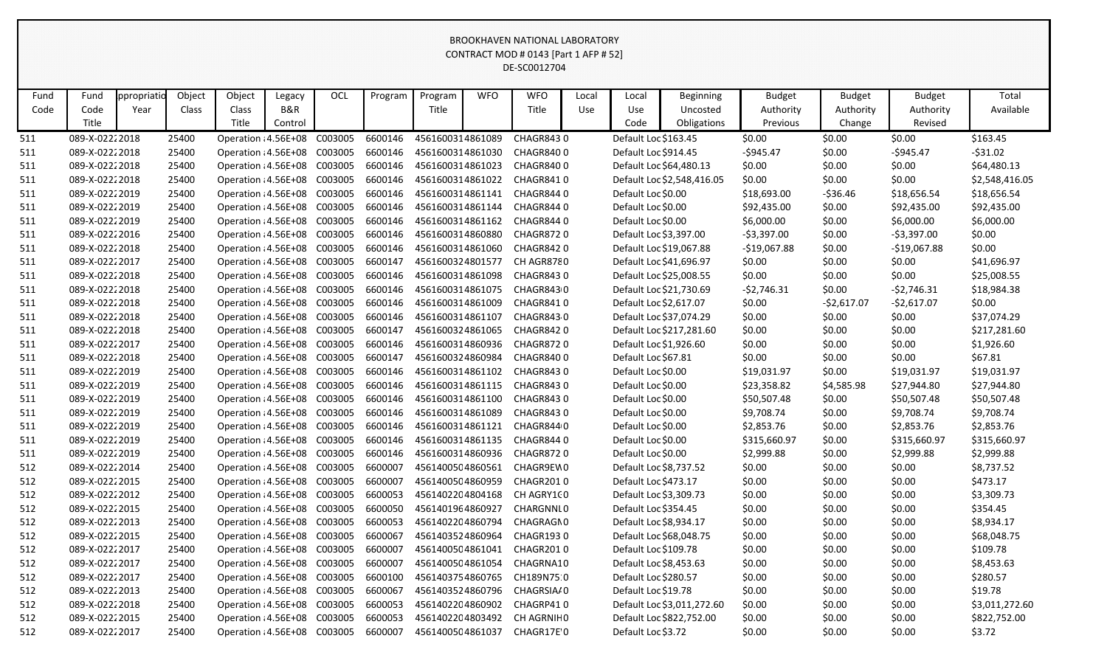|            | <b>DINOONITAVEN INATIONAL LADONATONT</b><br>CONTRACT MOD # 0143 [Part 1 AFP # 52]<br>DE-SC0012704                                                                                                            |      |                |                                                              |         |  |                    |                                      |  |                         |     |                        |                                                        |                  |                  |                  |                                |
|------------|--------------------------------------------------------------------------------------------------------------------------------------------------------------------------------------------------------------|------|----------------|--------------------------------------------------------------|---------|--|--------------------|--------------------------------------|--|-------------------------|-----|------------------------|--------------------------------------------------------|------------------|------------------|------------------|--------------------------------|
|            | OCL<br>Object<br>Object<br><b>WFO</b><br><b>WFO</b><br>Total<br>Fund<br>ppropriatic<br>Program<br>Program<br><b>Budget</b><br><b>Budget</b><br><b>Budget</b><br>Legacy<br>Local<br>Local<br><b>Beginning</b> |      |                |                                                              |         |  |                    |                                      |  |                         |     |                        |                                                        |                  |                  |                  |                                |
|            |                                                                                                                                                                                                              |      |                |                                                              |         |  |                    |                                      |  |                         |     |                        |                                                        |                  |                  |                  |                                |
| Fund       |                                                                                                                                                                                                              |      |                |                                                              |         |  |                    |                                      |  |                         |     |                        |                                                        |                  |                  |                  |                                |
| Code       | Code                                                                                                                                                                                                         | Year | Class          | Class                                                        | B&R     |  |                    | Title                                |  | Title                   | Use | Use                    | Uncosted                                               | Authority        | Authority        | Authority        | Available                      |
|            | Title                                                                                                                                                                                                        |      |                | Title                                                        | Control |  |                    |                                      |  |                         |     | Code                   | Obligations                                            | Previous         | Change           | Revised          |                                |
| 511        | 089-X-02222018                                                                                                                                                                                               |      | 25400          | Operation : 4.56E+08 C003005                                 |         |  | 6600146            | 4561600314861089                     |  | <b>CHAGR8430</b>        |     | Default Loc \$163.45   |                                                        | \$0.00           | \$0.00           | \$0.00           | \$163.45                       |
| 511        | 089-X-02222018                                                                                                                                                                                               |      | 25400          | Operation : 4.56E+08 C003005                                 |         |  | 6600146            | 4561600314861030                     |  | CHAGR8400               |     | Default Loc \$914.45   |                                                        | $-$945.47$       | \$0.00           | $-$945.47$       | $-531.02$                      |
| 511        | 089-X-02222018                                                                                                                                                                                               |      | 25400          | Operation : 4.56E+08 C003005                                 |         |  | 6600146            | 4561600314861023                     |  | CHAGR8400               |     |                        | Default Loc \$64,480.13                                | \$0.00           | \$0.00           | \$0.00           | \$64,480.13                    |
| 511        | 089-X-02222018                                                                                                                                                                                               |      | 25400          | Operation : 4.56E+08 C003005                                 |         |  | 6600146            | 4561600314861022                     |  | CHAGR8410               |     |                        | Default Loc \$2,548,416.05                             | \$0.00           | \$0.00           | \$0.00           | \$2,548,416.05                 |
| 511        | 089-X-02222019                                                                                                                                                                                               |      | 25400          | Operation : 4.56E+08 C003005                                 |         |  | 6600146            | 4561600314861141                     |  | CHAGR8440               |     | Default Loc \$0.00     |                                                        | \$18,693.00      | $-536.46$        | \$18,656.54      | \$18,656.54                    |
| 511        | 089-X-02222019                                                                                                                                                                                               |      | 25400          | Operation : 4.56E+08 C003005                                 |         |  | 6600146            | 4561600314861144                     |  | CHAGR8440               |     | Default Loc \$0.00     |                                                        | \$92,435.00      | \$0.00           | \$92,435.00      | \$92,435.00                    |
| 511        | 089-X-02222019                                                                                                                                                                                               |      | 25400          | Operation : 4.56E+08 C003005                                 |         |  | 6600146            | 4561600314861162                     |  | CHAGR8440               |     | Default Loc \$0.00     |                                                        | \$6,000.00       | \$0.00           | \$6,000.00       | \$6,000.00                     |
| 511        | 089-X-02222016                                                                                                                                                                                               |      | 25400          | Operation : 4.56E+08 C003005                                 |         |  | 6600146            | 4561600314860880                     |  | <b>CHAGR8720</b>        |     | Default Loc \$3,397.00 |                                                        | $-53,397.00$     | \$0.00           | $-53,397.00$     | \$0.00                         |
| 511        | 089-X-02222018                                                                                                                                                                                               |      | 25400          | Operation : 4.56E+08 C003005                                 |         |  | 6600146            | 4561600314861060                     |  | CHAGR8420               |     |                        | Default Loc \$19,067.88                                | $-$19,067.88$    | \$0.00           | $-$19,067.88$    | \$0.00                         |
| 511        | 089-X-02222017                                                                                                                                                                                               |      | 25400          | Operation : 4.56E+08 C003005                                 |         |  | 6600147            | 4561600324801577                     |  | CH AGR8780              |     |                        | Default Loc \$41,696.97                                | \$0.00           | \$0.00           | \$0.00           | \$41,696.97                    |
| 511        | 089-X-02222018                                                                                                                                                                                               |      | 25400          | Operation : 4.56E+08 C003005                                 |         |  | 6600146            | 4561600314861098                     |  | <b>CHAGR8430</b>        |     |                        | Default Loc \$25,008.55                                | \$0.00           | \$0.00           | \$0.00           | \$25,008.55                    |
| 511        | 089-X-02222018                                                                                                                                                                                               |      | 25400          | Operation : 4.56E+08 C003005                                 |         |  | 6600146            | 4561600314861075                     |  | CHAGR8430               |     |                        | Default Loc \$21,730.69                                | $-52,746.31$     | \$0.00           | $-52,746.31$     | \$18,984.38                    |
| 511        | 089-X-02222018                                                                                                                                                                                               |      | 25400          | Operation : 4.56E+08 C003005                                 |         |  | 6600146            | 4561600314861009                     |  | CHAGR8410               |     | Default Loc \$2,617.07 |                                                        | \$0.00           | $-52,617.07$     | $-52,617.07$     | \$0.00                         |
| 511        | 089-X-02222018                                                                                                                                                                                               |      | 25400          | Operation : 4.56E+08 C003005                                 |         |  | 6600146            | 4561600314861107                     |  | CHAGR843.0              |     |                        | Default Loc \$37,074.29                                | \$0.00           | \$0.00           | \$0.00           | \$37,074.29                    |
| 511        | 089-X-02222018                                                                                                                                                                                               |      | 25400          | Operation : 4.56E+08 C003005                                 |         |  | 6600147            | 4561600324861065                     |  | CHAGR8420               |     |                        | Default Loc \$217,281.60                               | \$0.00           | \$0.00           | \$0.00           | \$217,281.60                   |
| 511        | 089-X-02222017                                                                                                                                                                                               |      | 25400          | Operation : 4.56E+08 C003005                                 |         |  | 6600146            | 4561600314860936                     |  | CHAGR8720               |     | Default Loc \$1,926.60 |                                                        | \$0.00           | \$0.00           | \$0.00           | \$1,926.60                     |
| 511        | 089-X-02222018                                                                                                                                                                                               |      | 25400          | Operation : 4.56E+08 C003005                                 |         |  | 6600147            | 4561600324860984                     |  | CHAGR8400               |     | Default Loc \$67.81    |                                                        | \$0.00           | \$0.00           | \$0.00           | \$67.81                        |
| 511        | 089-X-02222019                                                                                                                                                                                               |      | 25400          | Operation : 4.56E+08 C003005                                 |         |  | 6600146            | 4561600314861102                     |  | CHAGR8430               |     | Default Loc \$0.00     |                                                        | \$19,031.97      | \$0.00           | \$19,031.97      | \$19,031.97                    |
| 511        | 089-X-02222019                                                                                                                                                                                               |      | 25400          | Operation : 4.56E+08 C003005                                 |         |  | 6600146            | 4561600314861115                     |  | CHAGR8430               |     | Default Loc \$0.00     |                                                        | \$23,358.82      | \$4,585.98       | \$27,944.80      | \$27,944.80                    |
| 511        | 089-X-02222019                                                                                                                                                                                               |      | 25400          | Operation : 4.56E+08 C003005                                 |         |  | 6600146            | 4561600314861100                     |  | CHAGR8430               |     | Default Loc \$0.00     |                                                        | \$50,507.48      | \$0.00           | \$50,507.48      | \$50,507.48                    |
| 511        | 089-X-02222019                                                                                                                                                                                               |      | 25400          | Operation : 4.56E+08 C003005                                 |         |  | 6600146            | 4561600314861089                     |  | CHAGR8430               |     | Default Loc \$0.00     |                                                        | \$9,708.74       | \$0.00           | \$9,708.74       | \$9,708.74                     |
| 511        | 089-X-02222019                                                                                                                                                                                               |      | 25400          | Operation : 4.56E+08 C003005                                 |         |  | 6600146            | 4561600314861121                     |  | CHAGR8440               |     | Default Loc \$0.00     |                                                        | \$2,853.76       | \$0.00           | \$2,853.76       | \$2,853.76                     |
| 511        | 089-X-02222019                                                                                                                                                                                               |      | 25400          | Operation : 4.56E+08 C003005                                 |         |  | 6600146            | 4561600314861135                     |  | CHAGR8440               |     | Default Loc \$0.00     |                                                        | \$315,660.97     | \$0.00           | \$315,660.97     | \$315,660.97                   |
| 511        | 089-X-02222019                                                                                                                                                                                               |      | 25400          | Operation : 4.56E+08 C003005                                 |         |  | 6600146            | 4561600314860936                     |  | CHAGR8720               |     | Default Loc \$0.00     |                                                        | \$2,999.88       | \$0.00           | \$2,999.88       | \$2,999.88                     |
| 512        | 089-X-02222014                                                                                                                                                                                               |      | 25400          | Operation : 4.56E+08 C003005                                 |         |  | 6600007            | 4561400504860561                     |  | CHAGR9EW0               |     | Default Loc \$8,737.52 |                                                        | \$0.00           | \$0.00           | \$0.00           | \$8,737.52                     |
| 512        | 089-X-02222015                                                                                                                                                                                               |      | 25400          | Operation : 4.56E+08 C003005                                 |         |  | 6600007            | 4561400504860959                     |  | CHAGR2010               |     | Default Loc \$473.17   |                                                        | \$0.00           | \$0.00           | \$0.00           | \$473.17                       |
| 512        | 089-X-02222012                                                                                                                                                                                               |      | 25400          | Operation : 4.56E+08 C003005                                 |         |  | 6600053            | 4561402204804168                     |  | CH AGRY1CO              |     | Default Loc \$3,309.73 |                                                        | \$0.00           | \$0.00           | \$0.00           | \$3,309.73                     |
| 512        | 089-X-02222015                                                                                                                                                                                               |      | 25400          | Operation : 4.56E+08 C003005                                 |         |  | 6600050            | 4561401964860927                     |  | CHARGNNL0               |     | Default Loc \$354.45   |                                                        | \$0.00           | \$0.00           | \$0.00           | \$354.45                       |
| 512        | 089-X-02222013                                                                                                                                                                                               |      | 25400          | Operation : 4.56E+08 C003005                                 |         |  | 6600053            | 4561402204860794                     |  | CHAGRAGN0               |     | Default Loc \$8,934.17 |                                                        | \$0.00           | \$0.00           | \$0.00           | \$8,934.17                     |
| 512        | 089-X-02222015                                                                                                                                                                                               |      | 25400          | Operation : 4.56E+08 C003005                                 |         |  | 6600067            | 4561403524860964                     |  | CHAGR1930               |     |                        | Default Loc \$68,048.75                                | \$0.00           | \$0.00           | \$0.00           | \$68,048.75                    |
| 512        | 089-X-02222017                                                                                                                                                                                               |      | 25400          | Operation : 4.56E+08 C003005                                 |         |  | 6600007            | 4561400504861041                     |  | CHAGR2010               |     | Default Loc \$109.78   |                                                        | \$0.00           | \$0.00           | \$0.00           | \$109.78                       |
| 512        | 089-X-02222017                                                                                                                                                                                               |      | 25400          | Operation : 4.56E+08 C003005                                 |         |  | 6600007            | 4561400504861054                     |  | CHAGRNA10               |     | Default Loc \$8,453.63 |                                                        | \$0.00           | \$0.00           | \$0.00           | \$8,453.63                     |
| 512        | 089-X-02222017                                                                                                                                                                                               |      | 25400          | Operation : 4.56E+08 C003005                                 |         |  | 6600100            | 4561403754860765                     |  | CH189N75 0              |     | Default Loc \$280.57   |                                                        | \$0.00           | \$0.00           | \$0.00           | \$280.57                       |
| 512        | 089-X-02222013<br>089-X-02222018                                                                                                                                                                             |      | 25400<br>25400 | Operation : 4.56E+08 C003005                                 |         |  | 6600067            | 4561403524860796<br>4561402204860902 |  | CHAGRSIA/0<br>CHAGRP410 |     | Default Loc \$19.78    |                                                        | \$0.00           | \$0.00           | \$0.00<br>\$0.00 | \$19.78                        |
| 512<br>512 | 089-X-02222015                                                                                                                                                                                               |      | 25400          | Operation : 4.56E+08 C003005<br>Operation : 4.56E+08 C003005 |         |  | 6600053<br>6600053 | 4561402204803492                     |  | CH AGRNIHO              |     |                        | Default Loc \$3,011,272.60<br>Default Loc \$822,752.00 | \$0.00<br>\$0.00 | \$0.00<br>\$0.00 | \$0.00           | \$3,011,272.60<br>\$822,752.00 |
| 512        | 089-X-02222017                                                                                                                                                                                               |      | 25400          | Operation : 4.56E+08 C003005                                 |         |  | 6600007            | 4561400504861037                     |  | CHAGR17E'0              |     | Default Loc \$3.72     |                                                        | \$0.00           | \$0.00           | \$0.00           | \$3.72                         |
|            |                                                                                                                                                                                                              |      |                |                                                              |         |  |                    |                                      |  |                         |     |                        |                                                        |                  |                  |                  |                                |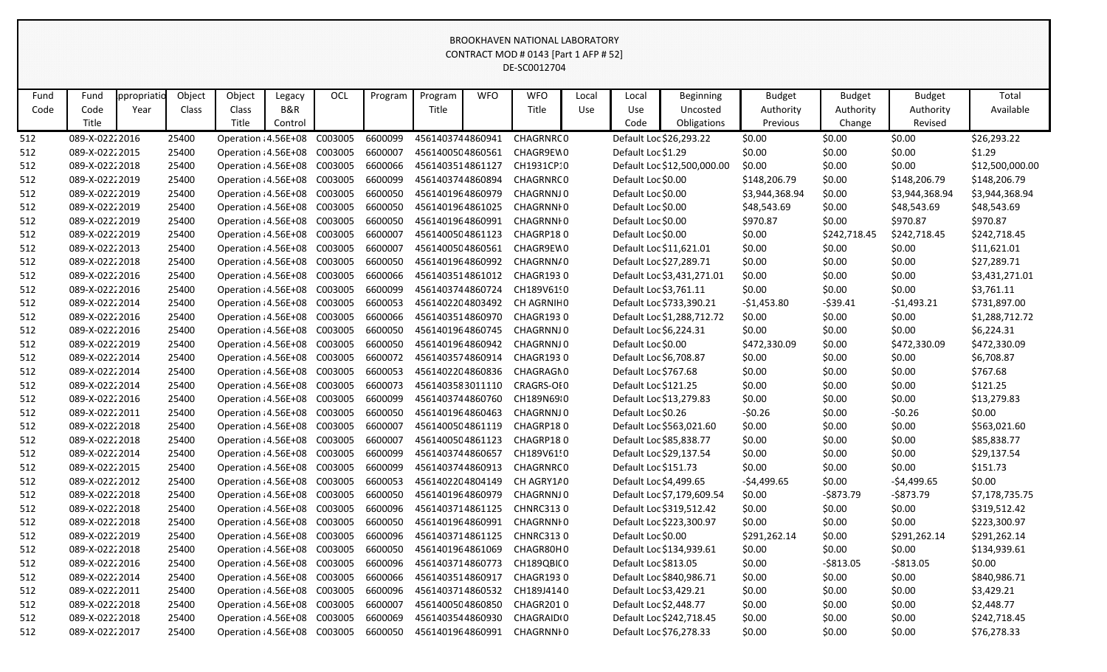|      | CONTRACT MOD # 0143 [Part 1 AFP # 52]<br>DE-SC0012704<br><b>OCL</b><br>Object<br>Object<br><b>WFO</b><br><b>WFO</b><br>ppropriatio<br>Program<br><b>Budget</b><br><b>Budget</b><br><b>Budget</b><br>Total<br>Fund<br>Legacy<br>Program<br>Local<br>Local<br><b>Beginning</b> |  |       |                              |         |  |         |                  |  |                  |  |                        |                             |                |              |                |                 |
|------|------------------------------------------------------------------------------------------------------------------------------------------------------------------------------------------------------------------------------------------------------------------------------|--|-------|------------------------------|---------|--|---------|------------------|--|------------------|--|------------------------|-----------------------------|----------------|--------------|----------------|-----------------|
|      | <b>B&amp;R</b><br>Available<br>Code<br>Year<br>Class<br>Title<br>Title<br>Use<br>Authority<br>Authority<br>Class<br><b>Use</b><br>Uncosted<br>Authority                                                                                                                      |  |       |                              |         |  |         |                  |  |                  |  |                        |                             |                |              |                |                 |
|      |                                                                                                                                                                                                                                                                              |  |       |                              |         |  |         |                  |  |                  |  |                        |                             |                |              |                |                 |
| Fund |                                                                                                                                                                                                                                                                              |  |       |                              |         |  |         |                  |  |                  |  |                        |                             |                |              |                |                 |
| Code |                                                                                                                                                                                                                                                                              |  |       |                              |         |  |         |                  |  |                  |  |                        |                             |                |              |                |                 |
|      | Title                                                                                                                                                                                                                                                                        |  |       | Title                        | Control |  |         |                  |  |                  |  | Code                   | Obligations                 | Previous       | Change       | Revised        |                 |
| 512  | 089-X-02222016                                                                                                                                                                                                                                                               |  | 25400 | Operation : 4.56E+08 C003005 |         |  | 6600099 | 4561403744860941 |  | CHAGRNRC0        |  |                        | Default Loc \$26,293.22     | \$0.00         | \$0.00       | \$0.00         | \$26,293.22     |
| 512  | 089-X-02222015                                                                                                                                                                                                                                                               |  | 25400 | Operation : 4.56E+08 C003005 |         |  | 6600007 | 4561400504860561 |  | CHAGR9EW0        |  | Default Loc \$1.29     |                             | \$0.00         | \$0.00       | \$0.00         | \$1.29          |
| 512  | 089-X-02222018                                                                                                                                                                                                                                                               |  | 25400 | Operation : 4.56E+08 C003005 |         |  | 6600066 | 4561403514861127 |  | CH1931CP10       |  |                        | Default Loc \$12,500,000.00 | \$0.00         | \$0.00       | \$0.00         | \$12,500,000.00 |
| 512  | 089-X-02222019                                                                                                                                                                                                                                                               |  | 25400 | Operation : 4.56E+08 C003005 |         |  | 6600099 | 4561403744860894 |  | CHAGRNRC0        |  | Default Loc \$0.00     |                             | \$148,206.79   | \$0.00       | \$148,206.79   | \$148,206.79    |
| 512  | 089-X-02222019                                                                                                                                                                                                                                                               |  | 25400 | Operation : 4.56E+08 C003005 |         |  | 6600050 | 4561401964860979 |  | CHAGRNNJ0        |  | Default Loc \$0.00     |                             | \$3,944,368.94 | \$0.00       | \$3,944,368.94 | \$3,944,368.94  |
| 512  | 089-X-02222019                                                                                                                                                                                                                                                               |  | 25400 | Operation : 4.56E+08 C003005 |         |  | 6600050 | 4561401964861025 |  | CHAGRNNI 0       |  | Default Loc \$0.00     |                             | \$48,543.69    | \$0.00       | \$48,543.69    | \$48,543.69     |
| 512  | 089-X-02222019                                                                                                                                                                                                                                                               |  | 25400 | Operation : 4.56E+08 C003005 |         |  | 6600050 | 4561401964860991 |  | CHAGRNNI 0       |  | Default Loc \$0.00     |                             | \$970.87       | \$0.00       | \$970.87       | \$970.87        |
| 512  | 089-X-02222019                                                                                                                                                                                                                                                               |  | 25400 | Operation : 4.56E+08 C003005 |         |  | 6600007 | 4561400504861123 |  | CHAGRP180        |  | Default Loc \$0.00     |                             | \$0.00         | \$242,718.45 | \$242,718.45   | \$242,718.45    |
| 512  | 089-X-02222013                                                                                                                                                                                                                                                               |  | 25400 | Operation : 4.56E+08 C003005 |         |  | 6600007 | 4561400504860561 |  | CHAGR9EW0        |  |                        | Default Loc \$11,621.01     | \$0.00         | \$0.00       | \$0.00         | \$11,621.01     |
| 512  | 089-X-02222018                                                                                                                                                                                                                                                               |  | 25400 | Operation : 4.56E+08 C003005 |         |  | 6600050 | 4561401964860992 |  | CHAGRNN/0        |  |                        | Default Loc \$27,289.71     | \$0.00         | \$0.00       | \$0.00         | \$27,289.71     |
| 512  | 089-X-02222016                                                                                                                                                                                                                                                               |  | 25400 | Operation : 4.56E+08 C003005 |         |  | 6600066 | 4561403514861012 |  | CHAGR1930        |  |                        | Default Loc \$3,431,271.01  | \$0.00         | \$0.00       | \$0.00         | \$3,431,271.01  |
| 512  | 089-X-02222016                                                                                                                                                                                                                                                               |  | 25400 | Operation : 4.56E+08 C003005 |         |  | 6600099 | 4561403744860724 |  | CH189V61!0       |  | Default Loc \$3,761.11 |                             | \$0.00         | \$0.00       | \$0.00         | \$3,761.11      |
| 512  | 089-X-02222014                                                                                                                                                                                                                                                               |  | 25400 | Operation : 4.56E+08 C003005 |         |  | 6600053 | 4561402204803492 |  | CH AGRNIHO       |  |                        | Default Loc \$733,390.21    | $-$1,453.80$   | $-539.41$    | $-$1,493.21$   | \$731,897.00    |
| 512  | 089-X-02222016                                                                                                                                                                                                                                                               |  | 25400 | Operation : 4.56E+08 C003005 |         |  | 6600066 | 4561403514860970 |  | CHAGR1930        |  |                        | Default Loc \$1,288,712.72  | \$0.00         | \$0.00       | \$0.00         | \$1,288,712.72  |
| 512  | 089-X-02222016                                                                                                                                                                                                                                                               |  | 25400 | Operation : 4.56E+08 C003005 |         |  | 6600050 | 4561401964860745 |  | CHAGRNNJ0        |  |                        | Default Loc \$6,224.31      | \$0.00         | \$0.00       | \$0.00         | \$6,224.31      |
| 512  | 089-X-02222019                                                                                                                                                                                                                                                               |  | 25400 | Operation : 4.56E+08 C003005 |         |  | 6600050 | 4561401964860942 |  | CHAGRNNJ0        |  | Default Loc \$0.00     |                             | \$472,330.09   | \$0.00       | \$472,330.09   | \$472,330.09    |
| 512  | 089-X-02222014                                                                                                                                                                                                                                                               |  | 25400 | Operation : 4.56E+08 C003005 |         |  | 6600072 | 4561403574860914 |  | CHAGR1930        |  | Default Loc \$6,708.87 |                             | \$0.00         | \$0.00       | \$0.00         | \$6,708.87      |
| 512  | 089-X-02222014                                                                                                                                                                                                                                                               |  | 25400 | Operation : 4.56E+08 C003005 |         |  | 6600053 | 4561402204860836 |  | CHAGRAGN0        |  | Default Loc \$767.68   |                             | \$0.00         | \$0.00       | \$0.00         | \$767.68        |
| 512  | 089-X-02222014                                                                                                                                                                                                                                                               |  | 25400 | Operation : 4.56E+08 C003005 |         |  | 6600073 | 4561403583011110 |  | CRAGRS-OI0       |  | Default Loc \$121.25   |                             | \$0.00         | \$0.00       | \$0.00         | \$121.25        |
| 512  | 089-X-02222016                                                                                                                                                                                                                                                               |  | 25400 | Operation : 4.56E+08 C003005 |         |  | 6600099 | 4561403744860760 |  | CH189N6910       |  |                        | Default Loc \$13,279.83     | \$0.00         | \$0.00       | \$0.00         | \$13,279.83     |
| 512  | 089-X-02222011                                                                                                                                                                                                                                                               |  | 25400 | Operation : 4.56E+08 C003005 |         |  | 6600050 | 4561401964860463 |  | CHAGRNNJ0        |  | Default Loc \$0.26     |                             | $-50.26$       | \$0.00       | $-50.26$       | \$0.00          |
| 512  | 089-X-02222018                                                                                                                                                                                                                                                               |  | 25400 | Operation : 4.56E+08 C003005 |         |  | 6600007 | 4561400504861119 |  | CHAGRP180        |  |                        | Default Loc \$563,021.60    | \$0.00         | \$0.00       | \$0.00         | \$563,021.60    |
| 512  | 089-X-02222018                                                                                                                                                                                                                                                               |  | 25400 | Operation : 4.56E+08 C003005 |         |  | 6600007 | 4561400504861123 |  | CHAGRP180        |  |                        | Default Loc \$85,838.77     | \$0.00         | \$0.00       | \$0.00         | \$85,838.77     |
| 512  | 089-X-02222014                                                                                                                                                                                                                                                               |  | 25400 | Operation : 4.56E+08 C003005 |         |  | 6600099 | 4561403744860657 |  | CH189V61!0       |  |                        | Default Loc \$29,137.54     | \$0.00         | \$0.00       | \$0.00         | \$29,137.54     |
| 512  | 089-X-02222015                                                                                                                                                                                                                                                               |  | 25400 | Operation : 4.56E+08 C003005 |         |  | 6600099 | 4561403744860913 |  | CHAGRNRC0        |  | Default Loc \$151.73   |                             | \$0.00         | \$0.00       | \$0.00         | \$151.73        |
| 512  | 089-X-02222012                                                                                                                                                                                                                                                               |  | 25400 | Operation : 4.56E+08 C003005 |         |  | 6600053 | 4561402204804149 |  | CH AGRY1/0       |  | Default Loc \$4,499.65 |                             | $-54,499.65$   | \$0.00       | -\$4,499.65    | \$0.00          |
| 512  | 089-X-02222018                                                                                                                                                                                                                                                               |  | 25400 | Operation : 4.56E+08 C003005 |         |  | 6600050 | 4561401964860979 |  | CHAGRNNJ0        |  |                        | Default Loc \$7,179,609.54  | \$0.00         | -\$873.79    | $-5873.79$     | \$7,178,735.75  |
| 512  | 089-X-02222018                                                                                                                                                                                                                                                               |  | 25400 | Operation : 4.56E+08 C003005 |         |  | 6600096 | 4561403714861125 |  | <b>CHNRC3130</b> |  |                        | Default Loc \$319,512.42    | \$0.00         | \$0.00       | \$0.00         | \$319,512.42    |
| 512  | 089-X-02222018                                                                                                                                                                                                                                                               |  | 25400 | Operation : 4.56E+08 C003005 |         |  | 6600050 | 4561401964860991 |  | CHAGRNNI 0       |  |                        | Default Loc \$223,300.97    | \$0.00         | \$0.00       | \$0.00         | \$223,300.97    |
| 512  | 089-X-02222019                                                                                                                                                                                                                                                               |  | 25400 | Operation : 4.56E+08 C003005 |         |  | 6600096 | 4561403714861125 |  | <b>CHNRC3130</b> |  | Default Loc \$0.00     |                             | \$291,262.14   | \$0.00       | \$291,262.14   | \$291,262.14    |
| 512  | 089-X-02222018                                                                                                                                                                                                                                                               |  | 25400 | Operation : 4.56E+08 C003005 |         |  | 6600050 | 4561401964861069 |  | CHAGR80H0        |  |                        | Default Loc \$134,939.61    | \$0.00         | \$0.00       | \$0.00         | \$134,939.61    |
| 512  | 089-X-02222016                                                                                                                                                                                                                                                               |  | 25400 | Operation : 4.56E+08 C003005 |         |  | 6600096 | 4561403714860773 |  | CH189QBIC0       |  | Default Loc \$813.05   |                             | \$0.00         | $-$ \$813.05 | $-5813.05$     | \$0.00          |
| 512  | 089-X-02222014                                                                                                                                                                                                                                                               |  | 25400 | Operation : 4.56E+08 C003005 |         |  | 6600066 | 4561403514860917 |  | CHAGR1930        |  |                        | Default Loc \$840,986.71    | \$0.00         | \$0.00       | \$0.00         | \$840,986.71    |
| 512  | 089-X-02222011                                                                                                                                                                                                                                                               |  | 25400 | Operation : 4.56E+08 C003005 |         |  | 6600096 | 4561403714860532 |  | CH189J4140       |  | Default Loc \$3,429.21 |                             | \$0.00         | \$0.00       | \$0.00         | \$3,429.21      |
| 512  | 089-X-02222018                                                                                                                                                                                                                                                               |  | 25400 | Operation : 4.56E+08 C003005 |         |  | 6600007 | 4561400504860850 |  | CHAGR2010        |  |                        | Default Loc \$2,448.77      | \$0.00         | \$0.00       | \$0.00         | \$2,448.77      |
| 512  | 089-X-02222018                                                                                                                                                                                                                                                               |  | 25400 | Operation : 4.56E+08 C003005 |         |  | 6600069 | 4561403544860930 |  | CHAGRAID(0       |  |                        | Default Loc \$242,718.45    | \$0.00         | \$0.00       | \$0.00         | \$242,718.45    |
| 512  | 089-X-02222017                                                                                                                                                                                                                                                               |  | 25400 | Operation : 4.56E+08 C003005 |         |  | 6600050 | 4561401964860991 |  | CHAGRNNI 0       |  |                        | Default Loc \$76,278.33     | \$0.00         | \$0.00       | \$0.00         | \$76,278.33     |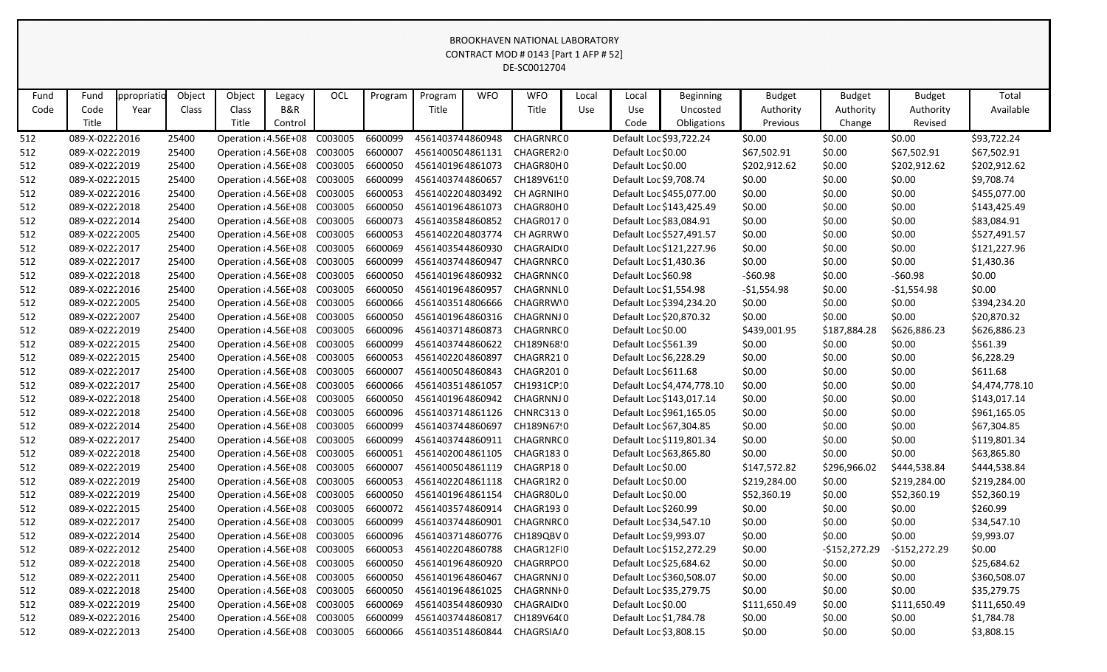|      | <b>DINUONITAVEN NATIONAL LABONATONT</b><br>CONTRACT MOD # 0143 [Part 1 AFP # 52]<br>DE-SC0012704                                                                                                             |      |       |                                      |         |         |         |                  |  |                            |     |                      |                            |              |               |               |                |
|------|--------------------------------------------------------------------------------------------------------------------------------------------------------------------------------------------------------------|------|-------|--------------------------------------|---------|---------|---------|------------------|--|----------------------------|-----|----------------------|----------------------------|--------------|---------------|---------------|----------------|
|      | OCL<br>Object<br>Object<br><b>WFO</b><br><b>WFO</b><br>Fund<br>Program<br>Program<br><b>Beginning</b><br><b>Budget</b><br>Total<br>ppropriatio<br>Legacy<br>Local<br>Local<br><b>Budget</b><br><b>Budget</b> |      |       |                                      |         |         |         |                  |  |                            |     |                      |                            |              |               |               |                |
|      |                                                                                                                                                                                                              |      |       |                                      |         |         |         |                  |  |                            |     |                      |                            |              |               |               |                |
| Fund |                                                                                                                                                                                                              |      |       |                                      |         |         |         |                  |  |                            |     |                      |                            |              |               |               |                |
| Code | Code                                                                                                                                                                                                         | Year | Class | Class                                | B&R     |         |         | Title            |  | Title                      | Use | Use                  | Uncosted                   | Authority    | Authority     | Authority     | Available      |
|      | Title                                                                                                                                                                                                        |      |       | Title                                | Control |         |         |                  |  |                            |     | Code                 | Obligations                | Previous     | Change        | Revised       |                |
| 512  | 089-X-02222016                                                                                                                                                                                               |      | 25400 | Operation : 4.56E+08 C003005         |         |         | 6600099 | 4561403744860948 |  | CHAGRNRC0                  |     |                      | Default Loc \$93,722.24    | \$0.00       | \$0.00        | \$0.00        | \$93,722.24    |
| 512  | 089-X-02222019                                                                                                                                                                                               |      | 25400 | Operation : 4.56E+08 C003005         |         |         | 6600007 | 4561400504861131 |  | CHAGRER20                  |     | Default Loc \$0.00   |                            | \$67,502.91  | \$0.00        | \$67,502.91   | \$67,502.91    |
| 512  | 089-X-02222019                                                                                                                                                                                               |      | 25400 | Operation : 4.56E+08 C003005         |         |         | 6600050 | 4561401964861073 |  | CHAGR80H0                  |     | Default Loc \$0.00   |                            | \$202,912.62 | \$0.00        | \$202,912.62  | \$202,912.62   |
| 512  | 089-X-02222015                                                                                                                                                                                               |      | 25400 | Operation : 4.56E+08 C003005         |         |         | 6600099 | 4561403744860657 |  | CH189V61!0                 |     |                      | Default Loc \$9,708.74     | \$0.00       | \$0.00        | \$0.00        | \$9,708.74     |
| 512  | 089-X-02222016                                                                                                                                                                                               |      | 25400 | Operation : 4.56E+08 C003005         |         |         | 6600053 | 4561402204803492 |  | CH AGRNIHO                 |     |                      | Default Loc \$455,077.00   | \$0.00       | \$0.00        | \$0.00        | \$455,077.00   |
| 512  | 089-X-02222018                                                                                                                                                                                               |      | 25400 | Operation : 4.56E+08 C003005         |         |         | 6600050 | 4561401964861073 |  | CHAGR80H0                  |     |                      | Default Loc \$143,425.49   | \$0.00       | \$0.00        | \$0.00        | \$143,425.49   |
| 512  | 089-X-02222014                                                                                                                                                                                               |      | 25400 | Operation : 4.56E+08 C003005         |         |         | 6600073 | 4561403584860852 |  | CHAGR0170                  |     |                      | Default Loc \$83,084.91    | \$0.00       | \$0.00        | \$0.00        | \$83,084.91    |
| 512  | 089-X-02222005                                                                                                                                                                                               |      | 25400 | Operation : 4.56E+08 C003005         |         |         | 6600053 | 4561402204803774 |  | CH AGRRW0                  |     |                      | Default Loc \$527,491.57   | \$0.00       | \$0.00        | \$0.00        | \$527,491.57   |
| 512  | 089-X-02222017                                                                                                                                                                                               |      | 25400 | Operation : 4.56E+08 C003005         |         |         | 6600069 | 4561403544860930 |  | CHAGRAID(0                 |     |                      | Default Loc \$121,227.96   | \$0.00       | \$0.00        | \$0.00        | \$121,227.96   |
| 512  | 089-X-02222017                                                                                                                                                                                               |      | 25400 | Operation : 4.56E+08 C003005         |         |         | 6600099 | 4561403744860947 |  | CHAGRNRC0                  |     |                      | Default Loc \$1,430.36     | \$0.00       | \$0.00        | \$0.00        | \$1,430.36     |
| 512  | 089-X-02222018                                                                                                                                                                                               |      | 25400 | Operation : 4.56E+08 C003005         |         |         | 6600050 | 4561401964860932 |  | CHAGRNN(0                  |     | Default Loc \$60.98  |                            | $-560.98$    | \$0.00        | $-560.98$     | \$0.00         |
| 512  | 089-X-02222016                                                                                                                                                                                               |      | 25400 | Operation : 4.56E+08 C003005         |         |         | 6600050 | 4561401964860957 |  | CHAGRNNL0                  |     |                      | Default Loc \$1,554.98     | $-$1,554.98$ | \$0.00        | $-51,554.98$  | \$0.00         |
| 512  | 089-X-02222005                                                                                                                                                                                               |      | 25400 | Operation : 4.56E+08 C003005         |         |         | 6600066 | 4561403514806666 |  | CHAGRRW10                  |     |                      | Default Loc \$394,234.20   | \$0.00       | \$0.00        | \$0.00        | \$394,234.20   |
| 512  | 089-X-02222007                                                                                                                                                                                               |      | 25400 | Operation : 4.56E+08 C003005         |         |         | 6600050 | 4561401964860316 |  | CHAGRNNJ0                  |     |                      | Default Loc \$20,870.32    | \$0.00       | \$0.00        | \$0.00        | \$20,870.32    |
| 512  | 089-X-02222019                                                                                                                                                                                               |      | 25400 | Operation : 4.56E+08 C003005         |         |         | 6600096 | 4561403714860873 |  | CHAGRNRC0                  |     | Default Loc \$0.00   |                            | \$439,001.95 | \$187,884.28  | \$626,886.23  | \$626,886.23   |
| 512  | 089-X-02222015                                                                                                                                                                                               |      | 25400 | Operation : 4.56E+08 C003005         |         |         | 6600099 | 4561403744860622 |  | CH189N68!0                 |     | Default Loc \$561.39 |                            | \$0.00       | \$0.00        | \$0.00        | \$561.39       |
| 512  | 089-X-02222015                                                                                                                                                                                               |      | 25400 | Operation : 4.56E+08 C003005         |         |         | 6600053 | 4561402204860897 |  | CHAGRR210                  |     |                      | Default Loc \$6,228.29     | \$0.00       | \$0.00        | \$0.00        | \$6,228.29     |
| 512  | 089-X-02222017                                                                                                                                                                                               |      | 25400 | Operation : 4.56E+08 C003005         |         |         | 6600007 | 4561400504860843 |  | CHAGR2010                  |     | Default Loc \$611.68 |                            | \$0.00       | \$0.00        | \$0.00        | \$611.68       |
| 512  | 089-X-02222017                                                                                                                                                                                               |      | 25400 | Operation : 4.56E+08 C003005         |         |         | 6600066 | 4561403514861057 |  | CH1931CP10                 |     |                      | Default Loc \$4,474,778.10 | \$0.00       | \$0.00        | \$0.00        | \$4,474,778.10 |
| 512  | 089-X-02222018                                                                                                                                                                                               |      | 25400 | Operation : 4.56E+08 C003005         |         |         | 6600050 | 4561401964860942 |  | CHAGRNNJ0                  |     |                      | Default Loc \$143,017.14   | \$0.00       | \$0.00        | \$0.00        | \$143,017.14   |
| 512  | 089-X-02222018                                                                                                                                                                                               |      | 25400 | Operation : 4.56E+08 C003005         |         |         | 6600096 | 4561403714861126 |  | <b>CHNRC3130</b>           |     |                      | Default Loc \$961,165.05   | \$0.00       | \$0.00        | \$0.00        | \$961,165.05   |
| 512  | 089-X-02222014                                                                                                                                                                                               |      | 25400 | Operation : 4.56E+08 C003005         |         |         | 6600099 | 4561403744860697 |  | CH189N67!0                 |     |                      | Default Loc \$67,304.85    | \$0.00       | \$0.00        | \$0.00        | \$67,304.85    |
| 512  | 089-X-02222017                                                                                                                                                                                               |      | 25400 | Operation : 4.56E+08                 |         | C003005 | 6600099 | 4561403744860911 |  | CHAGRNRC0                  |     |                      | Default Loc \$119,801.34   | \$0.00       | \$0.00        | \$0.00        | \$119,801.34   |
| 512  | 089-X-02222018                                                                                                                                                                                               |      | 25400 | Operation : 4.56E+08 C003005         |         |         | 6600051 | 4561402004861105 |  | CHAGR1830                  |     |                      | Default Loc \$63,865.80    | \$0.00       | \$0.00        | \$0.00        | \$63,865.80    |
| 512  | 089-X-02222019                                                                                                                                                                                               |      | 25400 | Operation : 4.56E+08 C003005         |         |         | 6600007 | 4561400504861119 |  | CHAGRP180                  |     | Default Loc \$0.00   |                            | \$147,572.82 | \$296,966.02  | \$444,538.84  | \$444,538.84   |
| 512  | 089-X-02222019                                                                                                                                                                                               |      | 25400 | Operation : 4.56E+08 C003005 6600053 |         |         |         |                  |  | 4561402204861118 CHAGR1R20 |     | Default Loc \$0.00   |                            | \$219,284.00 | \$0.00        | \$219,284.00  | \$219,284.00   |
| 512  | 089-X-02222019                                                                                                                                                                                               |      | 25400 | Operation : 4.56E+08 C003005         |         |         | 6600050 | 4561401964861154 |  | CHAGR80L <sub>0</sub>      |     | Default Loc \$0.00   |                            | \$52,360.19  | \$0.00        | \$52,360.19   | \$52,360.19    |
| 512  | 089-X-02222015                                                                                                                                                                                               |      | 25400 | Operation : 4.56E+08 C003005         |         |         | 6600072 | 4561403574860914 |  | CHAGR1930                  |     | Default Loc \$260.99 |                            | \$0.00       | \$0.00        | \$0.00        | \$260.99       |
| 512  | 089-X-02222017                                                                                                                                                                                               |      | 25400 | Operation : 4.56E+08 C003005         |         |         | 6600099 | 4561403744860901 |  | CHAGRNRC 0                 |     |                      | Default Loc \$34,547.10    | \$0.00       | \$0.00        | \$0.00        | \$34,547.10    |
| 512  | 089-X-02222014                                                                                                                                                                                               |      | 25400 | Operation : 4.56E+08 C003005         |         |         | 6600096 | 4561403714860776 |  | CH189QBV0                  |     |                      | Default Loc \$9,993.07     | \$0.00       | \$0.00        | \$0.00        | \$9,993.07     |
| 512  | 089-X-02222012                                                                                                                                                                                               |      | 25400 | Operation : 4.56E+08 C003005         |         |         | 6600053 | 4561402204860788 |  | CHAGR12FI0                 |     |                      | Default Loc \$152,272.29   | \$0.00       | -\$152,272.29 | -\$152,272.29 | \$0.00         |
| 512  | 089-X-02222018                                                                                                                                                                                               |      | 25400 | Operation : 4.56E+08 C003005         |         |         | 6600050 | 4561401964860920 |  | <b>CHAGRRPO0</b>           |     |                      | Default Loc \$25,684.62    | \$0.00       | \$0.00        | \$0.00        | \$25,684.62    |
| 512  | 089-X-02222011                                                                                                                                                                                               |      | 25400 | Operation : 4.56E+08 C003005         |         |         | 6600050 | 4561401964860467 |  | CHAGRNNJ0                  |     |                      | Default Loc \$360,508.07   | \$0.00       | \$0.00        | \$0.00        | \$360,508.07   |
| 512  | 089-X-02222018                                                                                                                                                                                               |      | 25400 | Operation : 4.56E+08 C003005         |         |         | 6600050 | 4561401964861025 |  | CHAGRNNI 0                 |     |                      | Default Loc \$35,279.75    | \$0.00       | \$0.00        | \$0.00        | \$35,279.75    |
| 512  | 089-X-02222019                                                                                                                                                                                               |      | 25400 | Operation : 4.56E+08 C003005         |         |         | 6600069 | 4561403544860930 |  | CHAGRAID <sub>10</sub>     |     | Default Loc \$0.00   |                            | \$111,650.49 | \$0.00        | \$111,650.49  | \$111,650.49   |
| 512  | 089-X-02222016                                                                                                                                                                                               |      | 25400 | Operation : 4.56E+08 C003005         |         |         | 6600099 | 4561403744860817 |  | CH189V64(0                 |     |                      | Default Loc \$1,784.78     | \$0.00       | \$0.00        | \$0.00        | \$1,784.78     |
| 512  | 089-X-02222013                                                                                                                                                                                               |      | 25400 | Operation : 4.56E+08 C003005         |         |         | 6600066 | 4561403514860844 |  | CHAGRSIA/0                 |     |                      | Default Loc \$3,808.15     | \$0.00       | \$0.00        | \$0.00        | \$3,808.15     |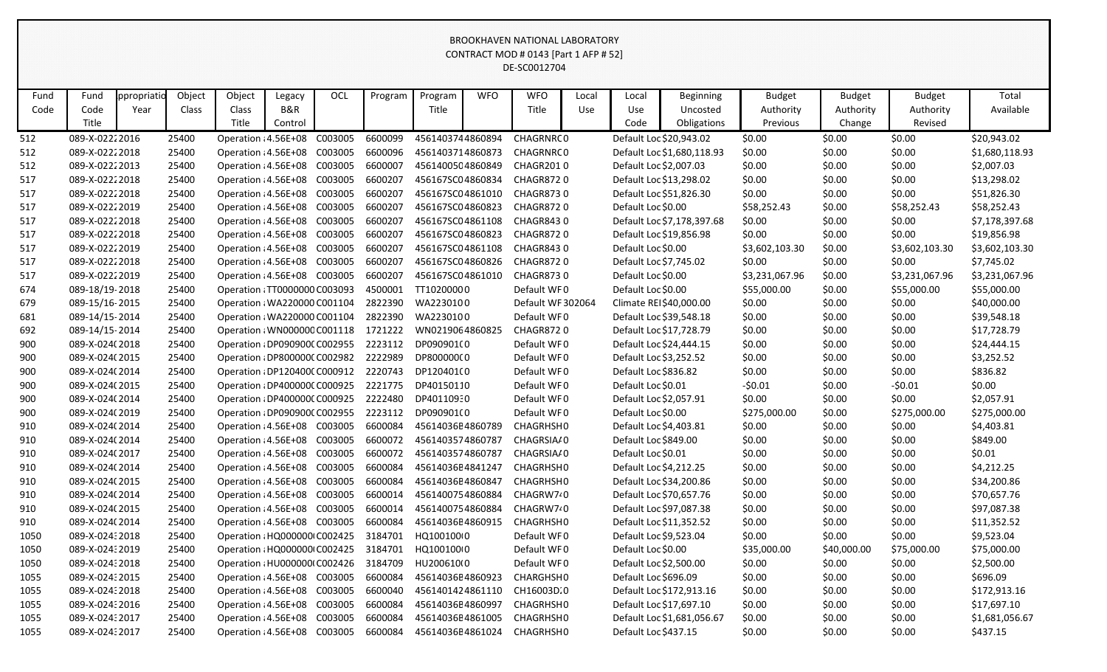|      | CONTRACT MOD # 0143 [Part 1 AFP # 52]<br>DE-SC0012704<br>Object<br>OCL<br><b>WFO</b><br>Total<br>Object<br><b>WFO</b><br><b>Budget</b><br>Fund<br>ppropriatio<br>Program<br>Local<br>Local<br><b>Budget</b><br><b>Budget</b><br>Legacy<br>Program<br><b>Beginning</b> |      |       |                               |         |         |         |                  |                  |                        |     |                         |                            |                |             |                |                |
|------|-----------------------------------------------------------------------------------------------------------------------------------------------------------------------------------------------------------------------------------------------------------------------|------|-------|-------------------------------|---------|---------|---------|------------------|------------------|------------------------|-----|-------------------------|----------------------------|----------------|-------------|----------------|----------------|
|      |                                                                                                                                                                                                                                                                       |      |       |                               |         |         |         |                  |                  |                        |     |                         |                            |                |             |                |                |
|      |                                                                                                                                                                                                                                                                       |      |       |                               |         |         |         |                  |                  |                        |     |                         |                            |                |             |                |                |
| Fund |                                                                                                                                                                                                                                                                       |      |       |                               |         |         |         |                  |                  |                        |     |                         |                            |                |             |                |                |
| Code | Code                                                                                                                                                                                                                                                                  | Year | Class | Class                         | B&R     |         |         | Title            |                  | Title                  | Use | Use                     | Uncosted                   | Authority      | Authority   | Authority      | Available      |
|      | Title                                                                                                                                                                                                                                                                 |      |       | Title                         | Control |         |         |                  |                  |                        |     | Code                    | Obligations                | Previous       | Change      | Revised        |                |
| 512  | 089-X-02222016                                                                                                                                                                                                                                                        |      | 25400 | Operation : 4.56E+08          |         | C003005 | 6600099 | 4561403744860894 |                  | CHAGRNRC0              |     |                         | Default Loc \$20,943.02    | \$0.00         | \$0.00      | \$0.00         | \$20,943.02    |
| 512  | 089-X-02222018                                                                                                                                                                                                                                                        |      | 25400 | Operation : 4.56E+08 C003005  |         |         | 6600096 | 4561403714860873 |                  | CHAGRNRC0              |     |                         | Default Loc \$1,680,118.93 | \$0.00         | \$0.00      | \$0.00         | \$1,680,118.93 |
| 512  | 089-X-02222013                                                                                                                                                                                                                                                        |      | 25400 | Operation : 4.56E+08 C003005  |         |         | 6600007 | 4561400504860849 |                  | CHAGR2010              |     | Default Loc \$2,007.03  |                            | \$0.00         | \$0.00      | \$0.00         | \$2,007.03     |
| 517  | 089-X-02222018                                                                                                                                                                                                                                                        |      | 25400 | Operation : 4.56E+08 C003005  |         |         | 6600207 | 456167SC04860834 |                  | CHAGR8720              |     |                         | Default Loc \$13,298.02    | \$0.00         | \$0.00      | \$0.00         | \$13,298.02    |
| 517  | 089-X-02222018                                                                                                                                                                                                                                                        |      | 25400 | Operation : 4.56E+08 C003005  |         |         | 6600207 | 456167SC04861010 |                  | CHAGR8730              |     |                         | Default Loc \$51,826.30    | \$0.00         | \$0.00      | \$0.00         | \$51,826.30    |
| 517  | 089-X-02222019                                                                                                                                                                                                                                                        |      | 25400 | Operation : 4.56E+08 C003005  |         |         | 6600207 | 456167SC04860823 | <b>CHAGR8720</b> | Default Loc \$0.00     |     | \$58,252.43             | \$0.00                     | \$58,252.43    | \$58,252.43 |                |                |
| 517  | Operation : 4.56E+08 C003005<br>6600207<br>089-X-02222018<br>25400<br>456167SC04861108<br>CHAGR8430                                                                                                                                                                   |      |       |                               |         |         |         |                  |                  |                        |     |                         | Default Loc \$7,178,397.68 | \$0.00         | \$0.00      | \$0.00         | \$7,178,397.68 |
| 517  | 6600207<br><b>CHAGR8720</b><br>089-X-02222018<br>25400<br>Operation : 4.56E+08 C003005<br>456167SC04860823<br>Operation : 4.56E+08 C003005                                                                                                                            |      |       |                               |         |         |         |                  |                  |                        |     |                         | Default Loc \$19,856.98    | \$0.00         | \$0.00      | \$0.00         | \$19,856.98    |
| 517  | 089-X-02222019                                                                                                                                                                                                                                                        |      | 25400 |                               |         |         | 6600207 | 456167SC04861108 |                  | <b>CHAGR8430</b>       |     | Default Loc \$0.00      |                            | \$3,602,103.30 | \$0.00      | \$3,602,103.30 | \$3,602,103.30 |
| 517  | 089-X-02222018                                                                                                                                                                                                                                                        |      | 25400 | Operation : 4.56E+08 C003005  |         |         | 6600207 | 456167SC04860826 |                  | <b>CHAGR8720</b>       |     | Default Loc \$7,745.02  |                            | \$0.00         | \$0.00      | \$0.00         | \$7,745.02     |
| 517  | 089-X-02222019                                                                                                                                                                                                                                                        |      | 25400 | Operation : 4.56E+08 C003005  |         |         | 6600207 | 456167SC04861010 |                  | <b>CHAGR8730</b>       |     | Default Loc \$0.00      |                            | \$3,231,067.96 | \$0.00      | \$3,231,067.96 | \$3,231,067.96 |
| 674  | 089-18/19-2018                                                                                                                                                                                                                                                        |      | 25400 | Operation : TT0000000 C003093 |         |         | 4500001 | TT10200000       |                  | Default WF0            |     | Default Loc \$0.00      |                            | \$55,000.00    | \$0.00      | \$55,000.00    | \$55,000.00    |
| 679  | 089-15/16-2015                                                                                                                                                                                                                                                        |      | 25400 | Operation : WA220000 C001104  |         |         | 2822390 | WA2230100        |                  | Default WF 302064      |     | Climate REI \$40,000.00 |                            | \$0.00         | \$0.00      | \$0.00         | \$40,000.00    |
| 681  | 089-14/15-2014                                                                                                                                                                                                                                                        |      | 25400 | Operation : WA220000 C001104  |         |         | 2822390 | WA2230100        |                  | Default WF0            |     |                         | Default Loc \$39,548.18    | \$0.00         | \$0.00      | \$0.00         | \$39,548.18    |
| 692  | 089-14/15-2014                                                                                                                                                                                                                                                        |      | 25400 | Operation : WN000000 C001118  |         |         | 1721222 | WN0219064860825  |                  | <b>CHAGR8720</b>       |     | Default Loc \$17,728.79 |                            | \$0.00         | \$0.00      | \$0.00         | \$17,728.79    |
| 900  | 089-X-024(2018                                                                                                                                                                                                                                                        |      | 25400 | Operation : DP090900(C002955  |         |         | 2223112 | DP090901(0       |                  | Default WF0            |     |                         | Default Loc \$24,444.15    | \$0.00         | \$0.00      | \$0.00         | \$24,444.15    |
| 900  | 089-X-024(2015                                                                                                                                                                                                                                                        |      | 25400 | Operation : DP800000C C002982 |         |         | 2222989 | DP80000000       |                  | Default WF0            |     | Default Loc \$3,252.52  |                            | \$0.00         | \$0.00      | \$0.00         | \$3,252.52     |
| 900  | 089-X-024(2014                                                                                                                                                                                                                                                        |      | 25400 | Operation : DP1204000 C000912 |         |         | 2220743 | DP120401(0       |                  | Default WF0            |     | Default Loc \$836.82    |                            | \$0.00         | \$0.00      | \$0.00         | \$836.82       |
| 900  | 089-X-024(2015                                                                                                                                                                                                                                                        |      | 25400 | Operation : DP4000000 C000925 |         |         | 2221775 | DP40150110       |                  | Default WF0            |     | Default Loc \$0.01      |                            | $-50.01$       | \$0.00      | $-50.01$       | \$0.00         |
| 900  | 089-X-024(2014                                                                                                                                                                                                                                                        |      | 25400 | Operation : DP400000C C000925 |         |         | 2222480 | DP40110930       |                  | Default WF0            |     | Default Loc \$2,057.91  |                            | \$0.00         | \$0.00      | \$0.00         | \$2,057.91     |
| 900  | 089-X-024(2019                                                                                                                                                                                                                                                        |      | 25400 | Operation : DP0909000 C002955 |         |         | 2223112 | DP090901(0       |                  | Default WF0            |     | Default Loc \$0.00      |                            | \$275,000.00   | \$0.00      | \$275,000.00   | \$275,000.00   |
| 910  | 089-X-024(2014                                                                                                                                                                                                                                                        |      | 25400 | Operation : 4.56E+08 C003005  |         |         | 6600084 | 45614036E4860789 |                  | CHAGRHSH0              |     | Default Loc \$4,403.81  |                            | \$0.00         | \$0.00      | \$0.00         | \$4,403.81     |
| 910  | 089-X-024(2014                                                                                                                                                                                                                                                        |      | 25400 | Operation : 4.56E+08 C003005  |         |         | 6600072 | 4561403574860787 |                  | CHAGRSIA/0             |     | Default Loc \$849.00    |                            | \$0.00         | \$0.00      | \$0.00         | \$849.00       |
| 910  | 089-X-024(2017                                                                                                                                                                                                                                                        |      | 25400 | Operation : 4.56E+08          |         | C003005 | 6600072 | 4561403574860787 |                  | CHAGRSIA/0             |     | Default Loc \$0.01      |                            | \$0.00         | \$0.00      | \$0.00         | \$0.01         |
| 910  | 089-X-024(2014)                                                                                                                                                                                                                                                       |      | 25400 | Operation : 4.56E+08 C003005  |         |         | 6600084 | 45614036E4841247 |                  | CHAGRHSH0              |     | Default Loc \$4,212.25  |                            | \$0.00         | \$0.00      | \$0.00         | \$4,212.25     |
| 910  | 089-X-024(2015                                                                                                                                                                                                                                                        |      | 25400 | Operation : 4.56E+08 C003005  |         |         | 6600084 | 45614036E4860847 |                  | CHAGRHSH0              |     |                         | Default Loc \$34,200.86    | \$0.00         | \$0.00      | \$0.00         | \$34,200.86    |
| 910  | 089-X-024(2014                                                                                                                                                                                                                                                        |      | 25400 | Operation : 4.56E+08 C003005  |         |         | 6600014 | 4561400754860884 |                  | CHAGRW7 <sup>2</sup> 0 |     |                         | Default Loc \$70,657.76    | \$0.00         | \$0.00      | \$0.00         | \$70,657.76    |
| 910  | 089-X-024(2015                                                                                                                                                                                                                                                        |      | 25400 | Operation : 4.56E+08 C003005  |         |         | 6600014 | 4561400754860884 |                  | CHAGRW7 <sup>2</sup> 0 |     |                         | Default Loc \$97,087.38    | \$0.00         | \$0.00      | \$0.00         | \$97,087.38    |
| 910  | 089-X-024(2014                                                                                                                                                                                                                                                        |      | 25400 | Operation : 4.56E+08 C003005  |         |         | 6600084 | 45614036E4860915 |                  | CHAGRHSH0              |     |                         | Default Loc \$11,352.52    | \$0.00         | \$0.00      | \$0.00         | \$11,352.52    |
| 1050 | 089-X-02432018                                                                                                                                                                                                                                                        |      | 25400 | Operation : HQ000000 C002425  |         |         | 3184701 | HQ100100(0       |                  | Default WF0            |     | Default Loc \$9,523.04  |                            | \$0.00         | \$0.00      | \$0.00         | \$9,523.04     |
| 1050 | 089-X-02432019                                                                                                                                                                                                                                                        |      | 25400 | Operation : HQ000000 C002425  |         |         | 3184701 | HQ100100(0       |                  | Default WF0            |     | Default Loc \$0.00      |                            | \$35,000.00    | \$40,000.00 | \$75,000.00    | \$75,000.00    |
| 1050 | 089-X-02432018                                                                                                                                                                                                                                                        |      | 25400 | Operation : HU0000000 C002426 |         |         | 3184709 | HU200610(0       |                  | Default WF0            |     | Default Loc \$2,500.00  |                            | \$0.00         | \$0.00      | \$0.00         | \$2,500.00     |
| 1055 | 089-X-02432015<br>6600084<br>45614036E4860923<br>CHARGHSH0<br>25400<br>Operation : 4.56E+08 C003005                                                                                                                                                                   |      |       |                               |         |         |         |                  |                  |                        |     | Default Loc \$696.09    |                            | \$0.00         | \$0.00      | \$0.00         | \$696.09       |
| 1055 | 6600040<br>089-X-02432018<br>25400<br>Operation : 4.56E+08 C003005<br>4561401424861110                                                                                                                                                                                |      |       |                               |         |         |         |                  |                  | CH16003D.0             |     |                         | Default Loc \$172,913.16   | \$0.00         | \$0.00      | \$0.00         | \$172,913.16   |
| 1055 | 089-X-02432016<br>Operation : 4.56E+08 C003005<br>6600084<br>45614036E4860997<br>25400<br>Operation : 4.56E+08 C003005                                                                                                                                                |      |       |                               |         |         |         |                  |                  | CHAGRHSH0              |     |                         | Default Loc \$17,697.10    | \$0.00         | \$0.00      | \$0.00         | \$17,697.10    |
| 1055 | 089-X-02432017                                                                                                                                                                                                                                                        |      | 25400 |                               |         |         | 6600084 | 45614036E4861005 |                  | CHAGRHSH0              |     |                         | Default Loc \$1,681,056.67 | \$0.00         | \$0.00      | \$0.00         | \$1,681,056.67 |
| 1055 | 089-X-02432017                                                                                                                                                                                                                                                        |      | 25400 | Operation : 4.56E+08 C003005  |         |         | 6600084 | 45614036E4861024 |                  | CHAGRHSH0              |     | Default Loc \$437.15    |                            | \$0.00         | \$0.00      | \$0.00         | \$437.15       |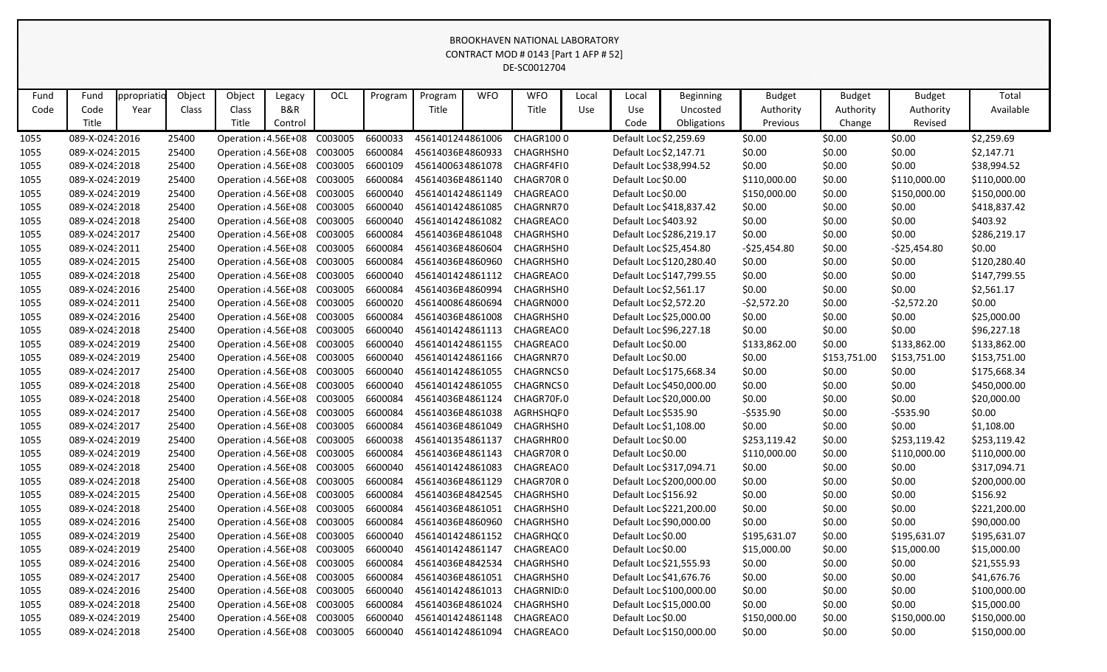|      | BROOKHAVEN NATIONAL LABORATORY<br>CONTRACT MOD # 0143 [Part 1 AFP # 52]                                                                                                                                                                                                                                                                                               |  |       |                                      |         |  |         |                  |  |                            |  |                      |                          |               |              |               |              |
|------|-----------------------------------------------------------------------------------------------------------------------------------------------------------------------------------------------------------------------------------------------------------------------------------------------------------------------------------------------------------------------|--|-------|--------------------------------------|---------|--|---------|------------------|--|----------------------------|--|----------------------|--------------------------|---------------|--------------|---------------|--------------|
|      |                                                                                                                                                                                                                                                                                                                                                                       |  |       |                                      |         |  |         |                  |  |                            |  |                      |                          |               |              |               |              |
|      | DE-SC0012704                                                                                                                                                                                                                                                                                                                                                          |  |       |                                      |         |  |         |                  |  |                            |  |                      |                          |               |              |               |              |
|      | OCL<br>Object<br><b>WFO</b><br>Total<br>ppropriatio<br>Object<br><b>WFO</b><br><b>Budget</b><br><b>Budget</b><br>Fund<br>Fund<br>Program<br>Program<br>Local<br>Local<br><b>Beginning</b><br><b>Budget</b><br>Legacy<br>B&R<br>Title<br>Code<br>Code<br>Class<br>Title<br>Authority<br>Available<br>Year<br>Class<br>Use<br>Use<br>Uncosted<br>Authority<br>Authority |  |       |                                      |         |  |         |                  |  |                            |  |                      |                          |               |              |               |              |
|      |                                                                                                                                                                                                                                                                                                                                                                       |  |       |                                      |         |  |         |                  |  |                            |  |                      |                          |               |              |               |              |
|      | Title                                                                                                                                                                                                                                                                                                                                                                 |  |       | Title                                |         |  |         |                  |  |                            |  | Code                 | Obligations              | Previous      |              | Revised       |              |
|      |                                                                                                                                                                                                                                                                                                                                                                       |  |       |                                      | Control |  |         |                  |  |                            |  |                      |                          |               | Change       |               |              |
| 1055 | 089-X-024: 2016                                                                                                                                                                                                                                                                                                                                                       |  | 25400 | Operation : 4.56E+08 C003005         |         |  | 6600033 | 4561401244861006 |  | <b>CHAGR1000</b>           |  |                      | Default Loc \$2,259.69   | \$0.00        | \$0.00       | \$0.00        | \$2,259.69   |
| 1055 | 089-X-02432015                                                                                                                                                                                                                                                                                                                                                        |  | 25400 | Operation : 4.56E+08 C003005         |         |  | 6600084 | 45614036E4860933 |  | CHAGRHSH0                  |  |                      | Default Loc \$2,147.71   | \$0.00        | \$0.00       | \$0.00        | \$2,147.71   |
| 1055 | 089-X-024:2018                                                                                                                                                                                                                                                                                                                                                        |  | 25400 | Operation : 4.56E+08 C003005         |         |  | 6600109 | 4561400634861078 |  | CHAGRF4FI0                 |  |                      | Default Loc \$38,994.52  | \$0.00        | \$0.00       | \$0.00        | \$38,994.52  |
| 1055 | 089-X-024:2019                                                                                                                                                                                                                                                                                                                                                        |  | 25400 | Operation : 4.56E+08 C003005         |         |  | 6600084 | 45614036E4861140 |  | CHAGR70R0                  |  | Default Loc \$0.00   |                          | \$110,000.00  | \$0.00       | \$110,000.00  | \$110,000.00 |
| 1055 | 089-X-024:2019                                                                                                                                                                                                                                                                                                                                                        |  | 25400 | Operation : 4.56E+08 C003005         |         |  | 6600040 | 4561401424861149 |  | CHAGREAO0                  |  | Default Loc \$0.00   |                          | \$150,000.00  | \$0.00       | \$150,000.00  | \$150,000.00 |
| 1055 | 089-X-02432018                                                                                                                                                                                                                                                                                                                                                        |  | 25400 | Operation : 4.56E+08 C003005         |         |  | 6600040 | 4561401424861085 |  | CHAGRNR70                  |  |                      | Default Loc \$418,837.42 | \$0.00        | \$0.00       | \$0.00        | \$418,837.42 |
| 1055 | 089-X-024:2018                                                                                                                                                                                                                                                                                                                                                        |  | 25400 | Operation : 4.56E+08 C003005         |         |  | 6600040 | 4561401424861082 |  | CHAGREAO0                  |  | Default Loc \$403.92 |                          | \$0.00        | \$0.00       | \$0.00        | \$403.92     |
| 1055 | 089-X-02432017                                                                                                                                                                                                                                                                                                                                                        |  | 25400 | Operation : 4.56E+08 C003005         |         |  | 6600084 | 45614036E4861048 |  | CHAGRHSH0                  |  |                      | Default Loc \$286,219.17 | \$0.00        | \$0.00       | \$0.00        | \$286,219.17 |
| 1055 | 089-X-02432011                                                                                                                                                                                                                                                                                                                                                        |  | 25400 | Operation : 4.56E+08 C003005         |         |  | 6600084 | 45614036E4860604 |  | CHAGRHSH0                  |  |                      | Default Loc \$25,454.80  | $-525,454.80$ | \$0.00       | $-525,454.80$ | \$0.00       |
| 1055 | 089-X-02432015                                                                                                                                                                                                                                                                                                                                                        |  | 25400 | Operation : 4.56E+08 C003005         |         |  | 6600084 | 45614036E4860960 |  | CHAGRHSH0                  |  |                      | Default Loc \$120,280.40 | \$0.00        | \$0.00       | \$0.00        | \$120,280.40 |
| 1055 | 089-X-024:2018                                                                                                                                                                                                                                                                                                                                                        |  | 25400 | Operation : 4.56E+08 C003005         |         |  | 6600040 | 4561401424861112 |  | CHAGREAO0                  |  |                      | Default Loc \$147,799.55 | \$0.00        | \$0.00       | \$0.00        | \$147,799.55 |
| 1055 | 089-X-024: 2016                                                                                                                                                                                                                                                                                                                                                       |  | 25400 | Operation : 4.56E+08 C003005         |         |  | 6600084 | 45614036E4860994 |  | CHAGRHSH0                  |  |                      | Default Loc \$2,561.17   | \$0.00        | \$0.00       | \$0.00        | \$2,561.17   |
| 1055 | 089-X-02432011                                                                                                                                                                                                                                                                                                                                                        |  | 25400 | Operation : 4.56E+08 C003005         |         |  | 6600020 | 4561400864860694 |  | CHAGRN000                  |  |                      | Default Loc \$2,572.20   | $-52,572.20$  | \$0.00       | $-52,572.20$  | \$0.00       |
| 1055 | 089-X-024: 2016                                                                                                                                                                                                                                                                                                                                                       |  | 25400 | Operation : 4.56E+08 C003005         |         |  | 6600084 | 45614036E4861008 |  | CHAGRHSH0                  |  |                      | Default Loc \$25,000.00  | \$0.00        | \$0.00       | \$0.00        | \$25,000.00  |
| 1055 | 089-X-024:2018                                                                                                                                                                                                                                                                                                                                                        |  | 25400 | Operation : 4.56E+08 C003005         |         |  | 6600040 | 4561401424861113 |  | CHAGREAO0                  |  |                      | Default Loc \$96,227.18  | \$0.00        | \$0.00       | \$0.00        | \$96,227.18  |
| 1055 | 089-X-024:2019                                                                                                                                                                                                                                                                                                                                                        |  | 25400 | Operation : 4.56E+08 C003005         |         |  | 6600040 | 4561401424861155 |  | CHAGREAO0                  |  | Default Loc \$0.00   |                          | \$133,862.00  | \$0.00       | \$133,862.00  | \$133,862.00 |
| 1055 | 089-X-02432019                                                                                                                                                                                                                                                                                                                                                        |  | 25400 | Operation : 4.56E+08 C003005         |         |  | 6600040 | 4561401424861166 |  | CHAGRNR70                  |  | Default Loc \$0.00   |                          | \$0.00        | \$153,751.00 | \$153,751.00  | \$153,751.00 |
| 1055 | 089-X-02432017                                                                                                                                                                                                                                                                                                                                                        |  | 25400 | Operation : 4.56E+08 C003005         |         |  | 6600040 | 4561401424861055 |  | <b>CHAGRNCSO</b>           |  |                      | Default Loc \$175,668.34 | \$0.00        | \$0.00       | \$0.00        | \$175,668.34 |
| 1055 | 089-X-024:2018                                                                                                                                                                                                                                                                                                                                                        |  | 25400 | Operation : 4.56E+08 C003005         |         |  | 6600040 | 4561401424861055 |  | <b>CHAGRNCS 0</b>          |  |                      | Default Loc \$450,000.00 | \$0.00        | \$0.00       | \$0.00        | \$450,000.00 |
| 1055 | 089-X-024:2018                                                                                                                                                                                                                                                                                                                                                        |  | 25400 | Operation : 4.56E+08 C003005         |         |  | 6600084 | 45614036E4861124 |  | CHAGR70F.0                 |  |                      | Default Loc \$20,000.00  | \$0.00        | \$0.00       | \$0.00        | \$20,000.00  |
| 1055 | 089-X-02432017                                                                                                                                                                                                                                                                                                                                                        |  | 25400 | Operation : 4.56E+08 C003005         |         |  | 6600084 | 45614036E4861038 |  | AGRHSHQF0                  |  | Default Loc \$535.90 |                          | $-5535.90$    | \$0.00       | $-$ \$535.90  | \$0.00       |
| 1055 | 089-X-024: 2017                                                                                                                                                                                                                                                                                                                                                       |  | 25400 | Operation : 4.56E+08 C003005         |         |  | 6600084 | 45614036E4861049 |  | <b>CHAGRHSHO</b>           |  |                      | Default Loc \$1,108.00   | \$0.00        | \$0.00       | \$0.00        | \$1,108.00   |
| 1055 | 089-X-02432019                                                                                                                                                                                                                                                                                                                                                        |  | 25400 | Operation : 4.56E+08 C003005         |         |  | 6600038 | 4561401354861137 |  | CHAGRHR00                  |  | Default Loc \$0.00   |                          | \$253,119.42  | \$0.00       | \$253,119.42  | \$253,119.42 |
| 1055 | 089-X-024:2019                                                                                                                                                                                                                                                                                                                                                        |  | 25400 | Operation : 4.56E+08 C003005         |         |  | 6600084 | 45614036E4861143 |  | CHAGR70R0                  |  | Default Loc \$0.00   |                          | \$110,000.00  | \$0.00       | \$110,000.00  | \$110,000.00 |
| 1055 | 089-X-02432018                                                                                                                                                                                                                                                                                                                                                        |  | 25400 | Operation : 4.56E+08 C003005 6600040 |         |  |         |                  |  | 4561401424861083 CHAGREAO0 |  |                      | Default Loc \$317,094.71 | \$0.00        | \$0.00       | \$0.00        | \$317,094.71 |
| 1055 | 089-X-02432018                                                                                                                                                                                                                                                                                                                                                        |  | 25400 | Operation : 4.56E+08 C003005         |         |  | 6600084 | 45614036E4861129 |  | CHAGR70R0                  |  |                      | Default Loc \$200,000.00 | \$0.00        | \$0.00       | \$0.00        | \$200,000.00 |
| 1055 | 089-X-02432015                                                                                                                                                                                                                                                                                                                                                        |  | 25400 | Operation : 4.56E+08 C003005         |         |  | 6600084 | 45614036E4842545 |  | CHAGRHSH0                  |  | Default Loc \$156.92 |                          | \$0.00        | \$0.00       | \$0.00        | \$156.92     |
| 1055 | 089-X-02432018                                                                                                                                                                                                                                                                                                                                                        |  | 25400 | Operation : 4.56E+08 C003005         |         |  | 6600084 | 45614036E4861051 |  | CHAGRHSH0                  |  |                      | Default Loc \$221,200.00 | \$0.00        | \$0.00       | \$0.00        | \$221,200.00 |
| 1055 | 089-X-02432016                                                                                                                                                                                                                                                                                                                                                        |  | 25400 | Operation : 4.56E+08 C003005         |         |  | 6600084 | 45614036E4860960 |  | CHAGRHSH0                  |  |                      | Default Loc \$90,000.00  | \$0.00        | \$0.00       | \$0.00        | \$90,000.00  |
| 1055 | 089-X-024: 2019                                                                                                                                                                                                                                                                                                                                                       |  | 25400 | Operation : 4.56E+08 C003005         |         |  | 6600040 | 4561401424861152 |  | CHAGRHQ(0                  |  | Default Loc \$0.00   |                          | \$195,631.07  | \$0.00       | \$195,631.07  | \$195,631.07 |
| 1055 | 089-X-02432019                                                                                                                                                                                                                                                                                                                                                        |  | 25400 | Operation : 4.56E+08 C003005         |         |  | 6600040 | 4561401424861147 |  | CHAGREAO0                  |  | Default Loc \$0.00   |                          | \$15,000.00   | \$0.00       | \$15,000.00   | \$15,000.00  |
| 1055 | 089-X-02432016                                                                                                                                                                                                                                                                                                                                                        |  | 25400 | Operation : 4.56E+08 C003005         |         |  | 6600084 | 45614036E4842534 |  | CHAGRHSH0                  |  |                      | Default Loc \$21,555.93  | \$0.00        | \$0.00       | \$0.00        | \$21,555.93  |
| 1055 | 089-X-02432017                                                                                                                                                                                                                                                                                                                                                        |  | 25400 | Operation : 4.56E+08 C003005         |         |  | 6600084 | 45614036E4861051 |  | CHAGRHSH0                  |  |                      | Default Loc \$41,676.76  | \$0.00        | \$0.00       | \$0.00        | \$41,676.76  |
| 1055 | 089-X-02432016                                                                                                                                                                                                                                                                                                                                                        |  | 25400 | Operation : 4.56E+08 C003005         |         |  | 6600040 | 4561401424861013 |  | CHAGRNID 0                 |  |                      | Default Loc \$100,000.00 | \$0.00        | \$0.00       | \$0.00        | \$100,000.00 |
| 1055 | 089-X-02432018                                                                                                                                                                                                                                                                                                                                                        |  | 25400 | Operation : 4.56E+08 C003005         |         |  | 6600084 | 45614036E4861024 |  | CHAGRHSH0                  |  |                      | Default Loc \$15,000.00  | \$0.00        | \$0.00       | \$0.00        | \$15,000.00  |
| 1055 | 089-X-02432019                                                                                                                                                                                                                                                                                                                                                        |  | 25400 | Operation : 4.56E+08 C003005         |         |  | 6600040 | 4561401424861148 |  | CHAGREAO0                  |  | Default Loc \$0.00   |                          | \$150,000.00  | \$0.00       | \$150,000.00  | \$150,000.00 |
| 1055 | 089-X-02432018                                                                                                                                                                                                                                                                                                                                                        |  | 25400 | Operation : 4.56E+08 C003005         |         |  | 6600040 | 4561401424861094 |  | CHAGREAO0                  |  |                      | Default Loc \$150,000.00 | \$0.00        | \$0.00       | \$0.00        | \$150,000.00 |
|      |                                                                                                                                                                                                                                                                                                                                                                       |  |       |                                      |         |  |         |                  |  |                            |  |                      |                          |               |              |               |              |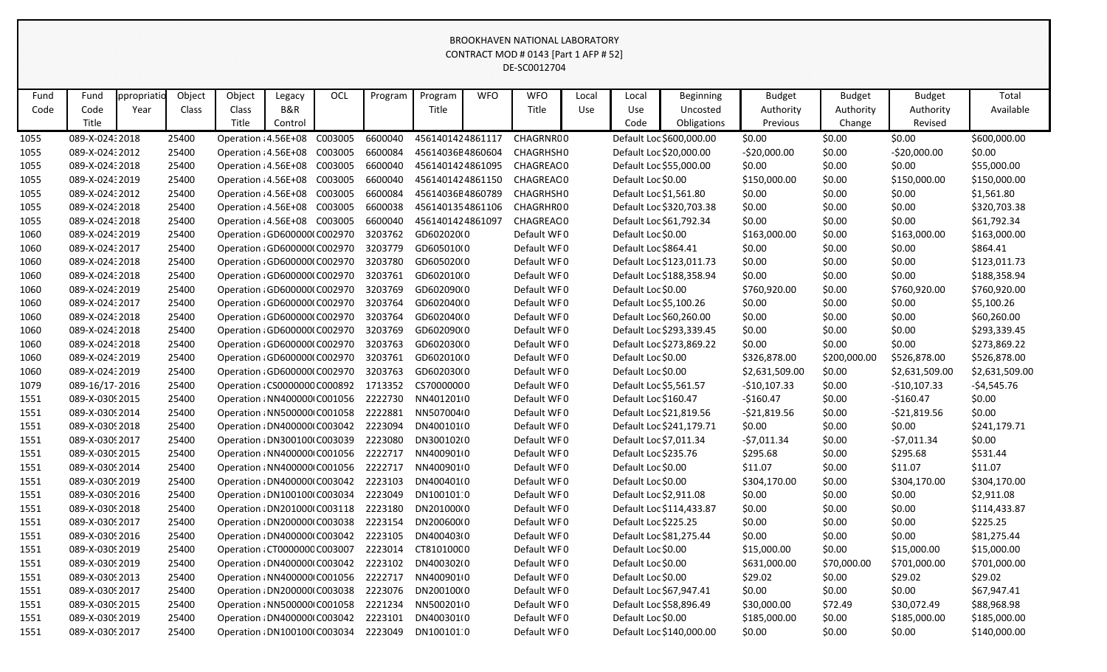|                                                                                                                                                                                                                     | CONTRACT MOD # 0143 [Part 1 AFP # 52]<br>DE-SC0012704 |      |       |                               |         |  |         |                  |  |             |     |                        |                          |                |              |                |                |
|---------------------------------------------------------------------------------------------------------------------------------------------------------------------------------------------------------------------|-------------------------------------------------------|------|-------|-------------------------------|---------|--|---------|------------------|--|-------------|-----|------------------------|--------------------------|----------------|--------------|----------------|----------------|
|                                                                                                                                                                                                                     |                                                       |      |       |                               |         |  |         |                  |  |             |     |                        |                          |                |              |                |                |
| Object<br>Object<br>OCL<br><b>WFO</b><br><b>WFO</b><br>Total<br>Fund<br>Fund<br>ppropriati<br>Program<br>Program<br>Legacy<br>Local<br>Local<br><b>Beginning</b><br><b>Budget</b><br><b>Budget</b><br><b>Budget</b> |                                                       |      |       |                               |         |  |         |                  |  |             |     |                        |                          |                |              |                |                |
|                                                                                                                                                                                                                     |                                                       |      |       |                               |         |  |         |                  |  |             |     |                        |                          |                |              |                |                |
| Code                                                                                                                                                                                                                | Code                                                  | Year | Class | Class                         | B&R     |  |         | Title            |  | Title       | Use | Use                    | Uncosted                 | Authority      | Authority    | Authority      | Available      |
|                                                                                                                                                                                                                     | Title                                                 |      |       | Title                         | Control |  |         |                  |  |             |     | Code                   | Obligations              | Previous       | Change       | Revised        |                |
| 1055                                                                                                                                                                                                                | 089-X-02432018                                        |      | 25400 | Operation : 4.56E+08 C003005  |         |  | 6600040 | 4561401424861117 |  | CHAGRNR00   |     |                        | Default Loc \$600,000.00 | \$0.00         | \$0.00       | \$0.00         | \$600,000.00   |
| 1055                                                                                                                                                                                                                | 089-X-02432012                                        |      | 25400 | Operation : 4.56E+08 C003005  |         |  | 6600084 | 45614036E4860604 |  | CHAGRHSH0   |     |                        | Default Loc \$20,000.00  | $-520,000.00$  | \$0.00       | $-$20,000.00$  | \$0.00         |
| 1055                                                                                                                                                                                                                | 089-X-02432018                                        |      | 25400 | Operation : 4.56E+08 C003005  |         |  | 6600040 | 4561401424861095 |  | CHAGREAO0   |     |                        | Default Loc \$55,000.00  | \$0.00         | \$0.00       | \$0.00         | \$55,000.00    |
| 1055                                                                                                                                                                                                                | 089-X-02432019                                        |      | 25400 | Operation : 4.56E+08 C003005  |         |  | 6600040 | 4561401424861150 |  | CHAGREAO0   |     | Default Loc \$0.00     |                          | \$150,000.00   | \$0.00       | \$150,000.00   | \$150,000.00   |
| 1055                                                                                                                                                                                                                | 089-X-02432012                                        |      | 25400 | Operation : 4.56E+08 C003005  |         |  | 6600084 | 45614036E4860789 |  | CHAGRHSH0   |     | Default Loc \$1,561.80 |                          | \$0.00         | \$0.00       | \$0.00         | \$1,561.80     |
| 1055                                                                                                                                                                                                                | 089-X-02432018                                        |      | 25400 | Operation : 4.56E+08 C003005  |         |  | 6600038 | 4561401354861106 |  | CHAGRHR00   |     |                        | Default Loc \$320,703.38 | \$0.00         | \$0.00       | \$0.00         | \$320,703.38   |
| 1055                                                                                                                                                                                                                | 089-X-02432018                                        |      | 25400 | Operation : 4.56E+08 C003005  |         |  | 6600040 | 4561401424861097 |  | CHAGREAO0   |     |                        | Default Loc \$61,792.34  | \$0.00         | \$0.00       | \$0.00         | \$61,792.34    |
| 1060                                                                                                                                                                                                                | 089-X-02432019                                        |      | 25400 | Operation : GD600000(C002970  |         |  | 3203762 | GD602020(0       |  | Default WF0 |     | Default Loc \$0.00     |                          | \$163,000.00   | \$0.00       | \$163,000.00   | \$163,000.00   |
| 1060                                                                                                                                                                                                                | 089-X-02432017                                        |      | 25400 | Operation : GD600000(C002970  |         |  | 3203779 | GD605010(0       |  | Default WF0 |     | Default Loc \$864.41   |                          | \$0.00         | \$0.00       | \$0.00         | \$864.41       |
| 1060                                                                                                                                                                                                                | 089-X-02432018                                        |      | 25400 | Operation ¿GD600000(C002970   |         |  | 3203780 | GD605020(0       |  | Default WF0 |     |                        | Default Loc \$123,011.73 | \$0.00         | \$0.00       | \$0.00         | \$123,011.73   |
| 1060                                                                                                                                                                                                                | 089-X-02432018                                        |      | 25400 | Operation : GD600000(C002970  |         |  | 3203761 | GD602010(0       |  | Default WF0 |     |                        | Default Loc \$188,358.94 | \$0.00         | \$0.00       | \$0.00         | \$188,358.94   |
| 1060                                                                                                                                                                                                                | 089-X-02432019                                        |      | 25400 | Operation : GD600000(C002970  |         |  | 3203769 | GD602090(0       |  | Default WF0 |     | Default Loc \$0.00     |                          | \$760,920.00   | \$0.00       | \$760,920.00   | \$760,920.00   |
| 1060                                                                                                                                                                                                                | 089-X-02432017                                        |      | 25400 | Operation : GD600000(C002970  |         |  | 3203764 | GD602040(0       |  | Default WF0 |     | Default Loc \$5,100.26 |                          | \$0.00         | \$0.00       | \$0.00         | \$5,100.26     |
| 1060                                                                                                                                                                                                                | 089-X-02432018                                        |      | 25400 | Operation : GD600000(C002970  |         |  | 3203764 | GD602040(0       |  | Default WF0 |     |                        | Default Loc \$60,260.00  | \$0.00         | \$0.00       | \$0.00         | \$60,260.00    |
| 1060                                                                                                                                                                                                                | 089-X-02432018                                        |      | 25400 | Operation : GD600000(C002970  |         |  | 3203769 | GD602090(0       |  | Default WF0 |     |                        | Default Loc \$293,339.45 | \$0.00         | \$0.00       | \$0.00         | \$293,339.45   |
| 1060                                                                                                                                                                                                                | 089-X-02432018                                        |      | 25400 | Operation : GD600000(C002970  |         |  | 3203763 | GD602030(0       |  | Default WF0 |     |                        | Default Loc \$273,869.22 | \$0.00         | \$0.00       | \$0.00         | \$273,869.22   |
| 1060                                                                                                                                                                                                                | 089-X-02432019                                        |      | 25400 | Operation : GD600000(C002970  |         |  | 3203761 | GD602010(0       |  | Default WF0 |     | Default Loc \$0.00     |                          | \$326,878.00   | \$200,000.00 | \$526,878.00   | \$526,878.00   |
| 1060                                                                                                                                                                                                                | 089-X-02432019                                        |      | 25400 | Operation : GD600000(C002970  |         |  | 3203763 | GD602030(0       |  | Default WF0 |     | Default Loc \$0.00     |                          | \$2,631,509.00 | \$0.00       | \$2,631,509.00 | \$2,631,509.00 |
| 1079                                                                                                                                                                                                                | 089-16/17-2016                                        |      | 25400 | Operation : CS0000000 C000892 |         |  | 1713352 | CS70000000       |  | Default WF0 |     | Default Loc \$5,561.57 |                          | $-$10,107.33$  | \$0.00       | -\$10,107.33   | $-54,545.76$   |
| 1551                                                                                                                                                                                                                | 089-X-03092015                                        |      | 25400 | Operation : NN400000 C001056  |         |  | 2222730 | NN4012010        |  | Default WF0 |     | Default Loc \$160.47   |                          | $-5160.47$     | \$0.00       | $-$160.47$     | \$0.00         |
| 1551                                                                                                                                                                                                                | 089-X-0309 2014                                       |      | 25400 | Operation : NN500000 C001058  |         |  | 2222881 | NN507004(0       |  | Default WF0 |     |                        | Default Loc \$21,819.56  | $-521,819.56$  | \$0.00       | $-521,819.56$  | \$0.00         |
| 1551                                                                                                                                                                                                                | 089-X-0309 2018                                       |      | 25400 | Operation : DN400000(C003042  |         |  | 2223094 | DN400101(0       |  | Default WF0 |     |                        | Default Loc \$241,179.71 | \$0.00         | \$0.00       | \$0.00         | \$241,179.71   |
| 1551                                                                                                                                                                                                                | 089-X-0309 2017                                       |      | 25400 | Operation : DN300100(C003039  |         |  | 2223080 | DN300102(0       |  | Default WF0 |     | Default Loc \$7,011.34 |                          | $-57,011.34$   | \$0.00       | $-57,011.34$   | \$0.00         |
| 1551                                                                                                                                                                                                                | 089-X-0309 2015                                       |      | 25400 | Operation : NN400000 C001056  |         |  | 2222717 | NN400901(0       |  | Default WF0 |     | Default Loc \$235.76   |                          | \$295.68       | \$0.00       | \$295.68       | \$531.44       |
| 1551                                                                                                                                                                                                                | 089-X-0309 2014                                       |      | 25400 | Operation : NN400000 C001056  |         |  | 2222717 | NN400901(0       |  | Default WF0 |     | Default Loc \$0.00     |                          | \$11.07        | \$0.00       | \$11.07        | \$11.07        |
| 1551                                                                                                                                                                                                                | 089-X-0309 2019                                       |      | 25400 | Operation : DN400000(C003042  |         |  | 2223103 | DN400401(0       |  | Default WF0 |     | Default Loc \$0.00     |                          | \$304,170.00   | \$0.00       | \$304,170.00   | \$304,170.00   |
| 1551                                                                                                                                                                                                                | 089-X-0309 2016                                       |      | 25400 | Operation : DN100100(C003034  |         |  | 2223049 | DN100101:0       |  | Default WF0 |     | Default Loc \$2,911.08 |                          | \$0.00         | \$0.00       | \$0.00         | \$2,911.08     |
| 1551                                                                                                                                                                                                                | 089-X-0309 2018                                       |      | 25400 | Operation : DN201000(C003118  |         |  | 2223180 | DN201000(0       |  | Default WF0 |     |                        | Default Loc \$114,433.87 | \$0.00         | \$0.00       | \$0.00         | \$114,433.87   |
| 1551                                                                                                                                                                                                                | 089-X-0309 2017                                       |      | 25400 | Operation : DN2000001 C003038 |         |  | 2223154 | DN200600(0       |  | Default WF0 |     | Default Loc \$225.25   |                          | \$0.00         | \$0.00       | \$0.00         | \$225.25       |
| 1551                                                                                                                                                                                                                | 089-X-0309 2016                                       |      | 25400 | Operation : DN400000(C003042  |         |  | 2223105 | DN400403(0       |  | Default WF0 |     |                        | Default Loc \$81,275.44  | \$0.00         | \$0.00       | \$0.00         | \$81,275.44    |
| 1551                                                                                                                                                                                                                | 089-X-0309 2019                                       |      | 25400 | Operation : CT0000000 C003007 |         |  | 2223014 | CT81010000       |  | Default WF0 |     | Default Loc \$0.00     |                          | \$15,000.00    | \$0.00       | \$15,000.00    | \$15,000.00    |
| 1551                                                                                                                                                                                                                | 089-X-0309 2019                                       |      | 25400 | Operation : DN400000 C003042  |         |  | 2223102 | DN400302(0       |  | Default WF0 |     | Default Loc \$0.00     |                          | \$631,000.00   | \$70,000.00  | \$701,000.00   | \$701,000.00   |
| 1551                                                                                                                                                                                                                | 089-X-0309 2013                                       |      | 25400 | Operation : NN400000 C001056  |         |  | 2222717 | NN4009010        |  | Default WF0 |     | Default Loc \$0.00     |                          | \$29.02        | \$0.00       | \$29.02        | \$29.02        |
| 1551                                                                                                                                                                                                                | 089-X-0309 2017                                       |      | 25400 | Operation : DN2000001 C003038 |         |  | 2223076 | DN200100(0       |  | Default WF0 |     |                        | Default Loc \$67,947.41  | \$0.00         | \$0.00       | \$0.00         | \$67,947.41    |
| 1551                                                                                                                                                                                                                | 089-X-0309 2015                                       |      | 25400 | Operation : NN500000 C001058  |         |  | 2221234 | NN5002010        |  | Default WF0 |     |                        | Default Loc \$58,896.49  | \$30,000.00    | \$72.49      | \$30,072.49    | \$88,968.98    |
| 1551                                                                                                                                                                                                                | 089-X-0309 2019                                       |      | 25400 | Operation : DN400000 C003042  |         |  | 2223101 | DN400301(0       |  | Default WF0 |     | Default Loc \$0.00     |                          | \$185,000.00   | \$0.00       | \$185,000.00   | \$185,000.00   |
| 1551                                                                                                                                                                                                                | 089-X-0309 2017                                       |      | 25400 | Operation : DN100100(C003034  |         |  | 2223049 | DN100101:0       |  | Default WF0 |     |                        | Default Loc \$140,000.00 | \$0.00         | \$0.00       | \$0.00         | \$140,000.00   |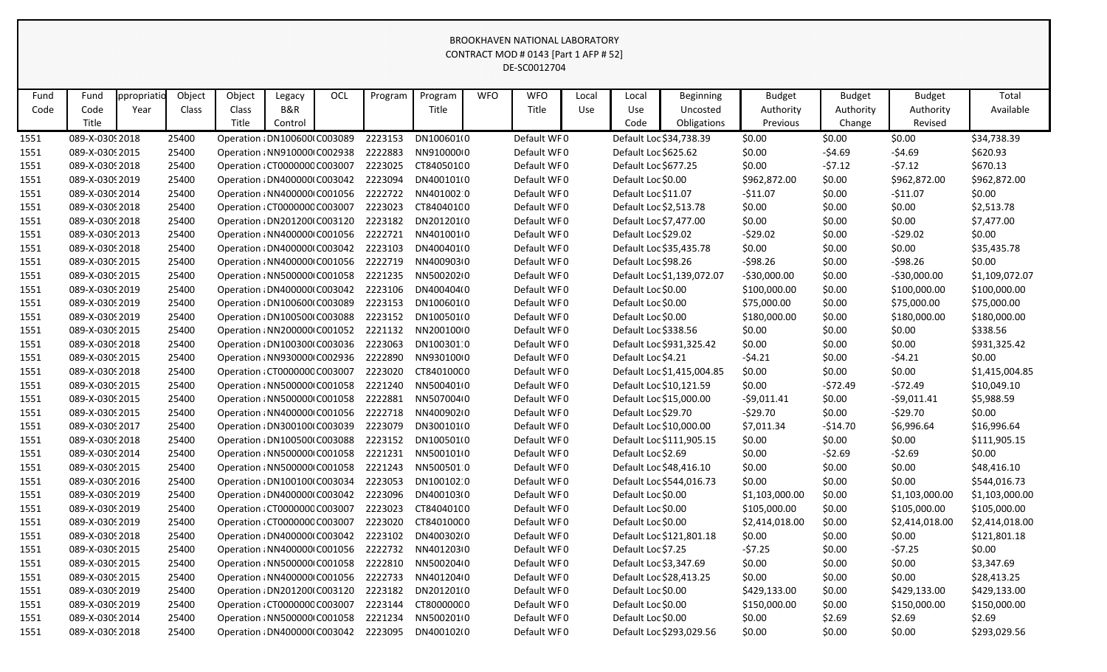|              | CONTRACT MOD # 0143 [Part 1 AFP # 52]                                                                                                                                                                                                                                                                                                                                 |  |                |                                                               |         |  |                    |                          |  |                            |  |                                                  |                            |                  |                  |                     |                          |
|--------------|-----------------------------------------------------------------------------------------------------------------------------------------------------------------------------------------------------------------------------------------------------------------------------------------------------------------------------------------------------------------------|--|----------------|---------------------------------------------------------------|---------|--|--------------------|--------------------------|--|----------------------------|--|--------------------------------------------------|----------------------------|------------------|------------------|---------------------|--------------------------|
|              | DE-SC0012704                                                                                                                                                                                                                                                                                                                                                          |  |                |                                                               |         |  |                    |                          |  |                            |  |                                                  |                            |                  |                  |                     |                          |
|              | Object<br>Object<br>OCL<br><b>WFO</b><br><b>WFO</b><br>Total<br>ppropriatic<br>Program<br><b>Budget</b><br><b>Budget</b><br>Fund<br>Fund<br>Legacy<br>Program<br>Local<br>Local<br><b>Beginning</b><br><b>Budget</b><br>B&R<br>Code<br>Code<br>Class<br>Title<br>Title<br>Use<br>Authority<br>Available<br>Year<br>Class<br>Use<br>Uncosted<br>Authority<br>Authority |  |                |                                                               |         |  |                    |                          |  |                            |  |                                                  |                            |                  |                  |                     |                          |
|              |                                                                                                                                                                                                                                                                                                                                                                       |  |                |                                                               |         |  |                    |                          |  |                            |  |                                                  |                            |                  |                  |                     |                          |
|              |                                                                                                                                                                                                                                                                                                                                                                       |  |                |                                                               |         |  |                    |                          |  |                            |  |                                                  |                            |                  |                  |                     |                          |
|              | Title                                                                                                                                                                                                                                                                                                                                                                 |  |                | Title                                                         | Control |  |                    |                          |  |                            |  | Code                                             | Obligations                | Previous         | Change           | Revised             |                          |
| 1551         | 089-X-03092018                                                                                                                                                                                                                                                                                                                                                        |  | 25400          | Operation : DN100600(C003089                                  |         |  | 2223153            | DN100601(0               |  | Default WF0                |  |                                                  | Default Loc \$34,738.39    | \$0.00           | \$0.00           | \$0.00              | \$34,738.39              |
| 1551         | 089-X-03092015                                                                                                                                                                                                                                                                                                                                                        |  | 25400          | Operation : NN910000 C002938                                  |         |  | 2222883            | NN910000(0               |  | Default WF0                |  | Default Loc \$625.62                             |                            | \$0.00           | $-54.69$         | $-54.69$            | \$620.93                 |
| 1551         | 089-X-03092018                                                                                                                                                                                                                                                                                                                                                        |  | 25400          | Operation : CT0000000 C003007                                 |         |  | 2223025            | CT84050100               |  | Default WF0                |  | Default Loc \$677.25                             |                            | \$0.00           | $-57.12$         | $-57.12$            | \$670.13                 |
| 1551         | 089-X-03092019                                                                                                                                                                                                                                                                                                                                                        |  | 25400          | Operation : DN400000 C003042                                  |         |  | 2223094            | DN400101(0               |  | Default WF0                |  | Default Loc \$0.00                               |                            | \$962,872.00     | \$0.00           | \$962,872.00        | \$962,872.00             |
| 1551         | 089-X-03092014<br>089-X-03092018                                                                                                                                                                                                                                                                                                                                      |  | 25400<br>25400 | Operation : NN400000 C001056                                  |         |  | 2222722            | NN401002 0<br>CT84040100 |  | Default WF0<br>Default WF0 |  | Default Loc \$11.07                              |                            | $-511.07$        | \$0.00<br>\$0.00 | $-$11.07$<br>\$0.00 | \$0.00                   |
| 1551         | 089-X-03092018                                                                                                                                                                                                                                                                                                                                                        |  | 25400          | Operation : CT0000000 C003007<br>Operation : DN201200(C003120 |         |  | 2223023<br>2223182 | DN201201(0               |  | Default WF0                |  | Default Loc \$2,513.78<br>Default Loc \$7,477.00 |                            | \$0.00<br>\$0.00 | \$0.00           | \$0.00              | \$2,513.78<br>\$7,477.00 |
| 1551<br>1551 | 089-X-03092013                                                                                                                                                                                                                                                                                                                                                        |  | 25400          | Operation : NN400000 C001056                                  |         |  | 2222721            | NN401001(0               |  | Default WF0                |  | Default Loc \$29.02                              |                            | $-529.02$        | \$0.00           | $-529.02$           | \$0.00                   |
| 1551         | 089-X-03092018                                                                                                                                                                                                                                                                                                                                                        |  | 25400          | Operation : DN400000 C003042                                  |         |  | 2223103            | DN400401(0               |  | Default WF0                |  |                                                  | Default Loc \$35,435.78    | \$0.00           | \$0.00           | \$0.00              | \$35,435.78              |
| 1551         | 089-X-03092015                                                                                                                                                                                                                                                                                                                                                        |  | 25400          | Operation : NN400000 C001056                                  |         |  | 2222719            | NN400903(0               |  | Default WF0                |  | Default Loc \$98.26                              |                            | $-598.26$        | \$0.00           | $-598.26$           | \$0.00                   |
| 1551         | 089-X-03092015                                                                                                                                                                                                                                                                                                                                                        |  | 25400          | Operation : NN500000 C001058                                  |         |  | 2221235            | NN500202(0               |  | Default WF0                |  |                                                  | Default Loc \$1,139,072.07 | $-530,000.00$    | \$0.00           | $-530,000.00$       | \$1,109,072.07           |
| 1551         | 089-X-03092019                                                                                                                                                                                                                                                                                                                                                        |  | 25400          | Operation : DN400000(C003042                                  |         |  | 2223106            | DN400404(0               |  | Default WF0                |  | Default Loc \$0.00                               |                            | \$100,000.00     | \$0.00           | \$100,000.00        | \$100,000.00             |
| 1551         | 089-X-03092019                                                                                                                                                                                                                                                                                                                                                        |  | 25400          | Operation : DN1006000 C003089                                 |         |  | 2223153            | DN100601(0               |  | Default WF0                |  | Default Loc \$0.00                               |                            | \$75,000.00      | \$0.00           | \$75,000.00         | \$75,000.00              |
| 1551         | 089-X-0309 2019                                                                                                                                                                                                                                                                                                                                                       |  | 25400          | Operation : DN100500(C003088                                  |         |  | 2223152            | DN100501(0               |  | Default WF0                |  | Default Loc \$0.00                               |                            | \$180,000.00     | \$0.00           | \$180,000.00        | \$180,000.00             |
| 1551         | 089-X-03092015                                                                                                                                                                                                                                                                                                                                                        |  | 25400          | Operation : NN200000 C001052                                  |         |  | 2221132            | NN200100(0               |  | Default WF0                |  | Default Loc \$338.56                             |                            | \$0.00           | \$0.00           | \$0.00              | \$338.56                 |
| 1551         | 089-X-03092018                                                                                                                                                                                                                                                                                                                                                        |  | 25400          | Operation : DN100300(C003036                                  |         |  | 2223063            | DN100301:0               |  | Default WF0                |  |                                                  | Default Loc \$931,325.42   | \$0.00           | \$0.00           | \$0.00              | \$931,325.42             |
| 1551         | 089-X-03092015                                                                                                                                                                                                                                                                                                                                                        |  | 25400          | Operation : NN930000 C002936                                  |         |  | 2222890            | NN930100(0               |  | Default WF0                |  | Default Loc \$4.21                               |                            | $-54.21$         | \$0.00           | $-54.21$            | \$0.00                   |
| 1551         | 089-X-03092018                                                                                                                                                                                                                                                                                                                                                        |  | 25400          | Operation : CT0000000 C003007                                 |         |  | 2223020            | CT84010000               |  | Default WF0                |  |                                                  | Default Loc \$1,415,004.85 | \$0.00           | \$0.00           | \$0.00              | \$1,415,004.85           |
| 1551         | 089-X-03092015                                                                                                                                                                                                                                                                                                                                                        |  | 25400          | Operation : NN500000 C001058                                  |         |  | 2221240            | NN500401(0               |  | Default WF0                |  |                                                  | Default Loc \$10,121.59    | \$0.00           | $-572.49$        | $-572.49$           | \$10,049.10              |
| 1551         | 089-X-03092015                                                                                                                                                                                                                                                                                                                                                        |  | 25400          | Operation : NN500000 C001058                                  |         |  | 2222881            | NN507004(0               |  | Default WF0                |  |                                                  | Default Loc \$15,000.00    | $-59,011.41$     | \$0.00           | $-59,011.41$        | \$5,988.59               |
| 1551         | 089-X-03092015                                                                                                                                                                                                                                                                                                                                                        |  | 25400          | Operation : NN400000 C001056                                  |         |  | 2222718            | NN40090210               |  | Default WF0                |  | Default Loc \$29.70                              |                            | $-529.70$        | \$0.00           | $-529.70$           | \$0.00                   |
| 1551         | 089-X-03092017                                                                                                                                                                                                                                                                                                                                                        |  | 25400          | Operation : DN300100(C003039                                  |         |  | 2223079            | DN300101(0               |  | Default WF0                |  |                                                  | Default Loc \$10,000.00    | \$7,011.34       | $-514.70$        | \$6,996.64          | \$16,996.64              |
| 1551         | 089-X-03092018                                                                                                                                                                                                                                                                                                                                                        |  | 25400          | Operation : DN100500(C003088                                  |         |  | 2223152            | DN100501(0               |  | Default WF0                |  |                                                  | Default Loc \$111,905.15   | \$0.00           | \$0.00           | \$0.00              | \$111,905.15             |
| 1551         | 089-X-03092014                                                                                                                                                                                                                                                                                                                                                        |  | 25400          | Operation : NN500000 C001058                                  |         |  | 2221231            | NN500101(0               |  | Default WF0                |  | Default Loc \$2.69                               |                            | \$0.00           | $-52.69$         | $-52.69$            | \$0.00                   |
| 1551         | 089-X-0309 2015                                                                                                                                                                                                                                                                                                                                                       |  | 25400          | Operation : NN500000 C001058                                  |         |  | 2221243            | NN5005010                |  | Default WF0                |  |                                                  | Default Loc \$48,416.10    | \$0.00           | \$0.00           | \$0.00              | \$48,416.10              |
| 1551         | 089-X-03092016                                                                                                                                                                                                                                                                                                                                                        |  | 25400          | Operation : DN100100(C003034                                  |         |  | 2223053            | DN100102:0               |  | Default WF0                |  |                                                  | Default Loc \$544,016.73   | \$0.00           | \$0.00           | \$0.00              | \$544,016.73             |
| 1551         | 089-X-03092019                                                                                                                                                                                                                                                                                                                                                        |  | 25400          | Operation : DN400000(C003042                                  |         |  | 2223096            | DN400103(0               |  | Default WF0                |  | Default Loc \$0.00                               |                            | \$1,103,000.00   | \$0.00           | \$1,103,000.00      | \$1,103,000.00           |
| 1551         | 089-X-0309 2019                                                                                                                                                                                                                                                                                                                                                       |  | 25400          | Operation : CT0000000 C003007                                 |         |  | 2223023            | CT84040100               |  | Default WF0                |  | Default Loc \$0.00                               |                            | \$105,000.00     | \$0.00           | \$105,000.00        | \$105,000.00             |
| 1551         | 089-X-0309 2019                                                                                                                                                                                                                                                                                                                                                       |  | 25400          | Operation : CT0000000 C003007                                 |         |  | 2223020            | CT84010000               |  | Default WF0                |  | Default Loc \$0.00                               |                            | \$2,414,018.00   | \$0.00           | \$2,414,018.00      | \$2,414,018.00           |
| 1551         | 089-X-03092018                                                                                                                                                                                                                                                                                                                                                        |  | 25400          | Operation : DN4000001 C003042                                 |         |  | 2223102            | DN400302(0               |  | Default WF0                |  |                                                  | Default Loc \$121,801.18   | \$0.00           | \$0.00           | \$0.00              | \$121,801.18             |
| 1551         | 089-X-03092015                                                                                                                                                                                                                                                                                                                                                        |  | 25400          | Operation : NN400000 C001056                                  |         |  | 2222732            | NN401203(0               |  | Default WF0                |  | Default Loc \$7.25                               |                            | $-57.25$         | \$0.00           | $-57.25$            | \$0.00                   |
| 1551         | 089-X-03092015                                                                                                                                                                                                                                                                                                                                                        |  | 25400          | Operation : NN500000 C001058                                  |         |  | 2222810            | NN500204(0               |  | Default WF0                |  | Default Loc \$3,347.69                           |                            | \$0.00           | \$0.00           | \$0.00              | \$3,347.69               |
| 1551         | 089-X-03092015                                                                                                                                                                                                                                                                                                                                                        |  | 25400          | Operation : NN400000 C001056                                  |         |  | 2222733            | NN401204(0               |  | Default WF0                |  |                                                  | Default Loc \$28,413.25    | \$0.00           | \$0.00           | \$0.00              | \$28,413.25              |
| 1551         | 089-X-0309 2019                                                                                                                                                                                                                                                                                                                                                       |  | 25400          | Operation : DN201200(C003120                                  |         |  | 2223182            | DN201201(0               |  | Default WF0                |  | Default Loc \$0.00                               |                            | \$429,133.00     | \$0.00           | \$429,133.00        | \$429,133.00             |
| 1551         | 089-X-0309 2019                                                                                                                                                                                                                                                                                                                                                       |  | 25400          | Operation : CT0000000 C003007                                 |         |  | 2223144            | CT80000000               |  | Default WF0                |  | Default Loc \$0.00                               |                            | \$150,000.00     | \$0.00           | \$150,000.00        | \$150,000.00             |
| 1551         | 089-X-03092014                                                                                                                                                                                                                                                                                                                                                        |  | 25400          | Operation : NN500000 C001058                                  |         |  | 2221234            | NN5002010                |  | Default WF0                |  | Default Loc \$0.00                               |                            | \$0.00           | \$2.69           | \$2.69              | \$2.69                   |
| 1551         | 089-X-03092018                                                                                                                                                                                                                                                                                                                                                        |  | 25400          | Operation : DN400000(C003042 2223095                          |         |  |                    | DN400102(0               |  | Default WF0                |  |                                                  | Default Loc \$293,029.56   | \$0.00           | \$0.00           | \$0.00              | \$293,029.56             |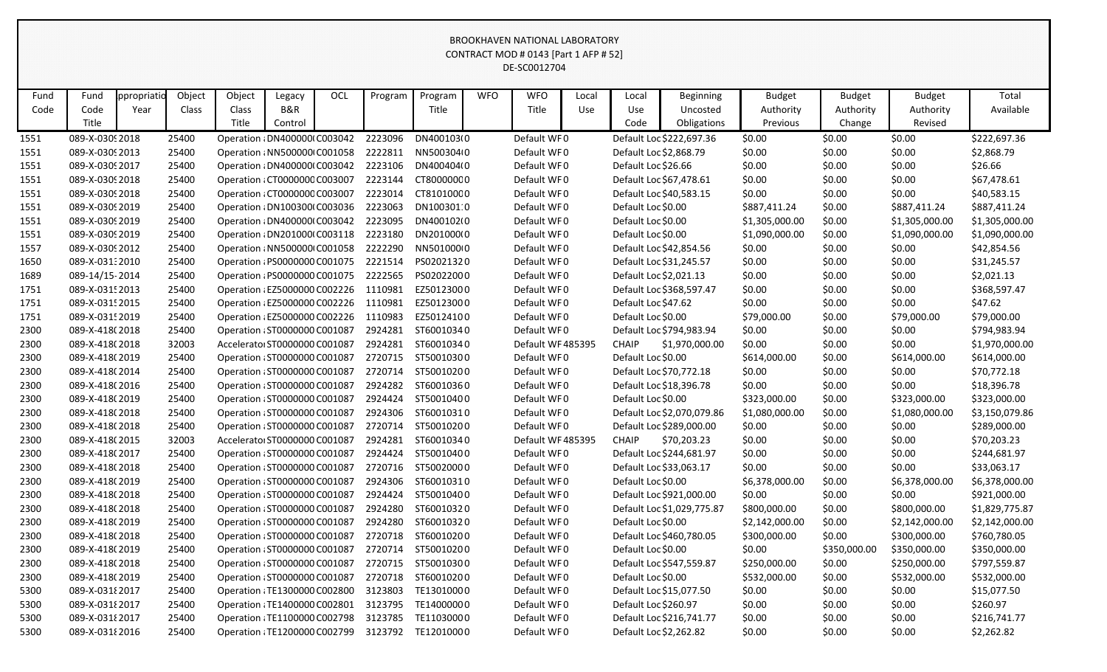|              | CONTRACT MOD # 0143 [Part 1 AFP # 52]                                                     |      |                |                                                                |         |  |                    |                          |  |                                  |     |                      |                                         |                  |                  |                  |                             |
|--------------|-------------------------------------------------------------------------------------------|------|----------------|----------------------------------------------------------------|---------|--|--------------------|--------------------------|--|----------------------------------|-----|----------------------|-----------------------------------------|------------------|------------------|------------------|-----------------------------|
|              | DE-SC0012704                                                                              |      |                |                                                                |         |  |                    |                          |  |                                  |     |                      |                                         |                  |                  |                  |                             |
|              | OCL<br><b>WFO</b><br><b>WFO</b><br>Total<br>ppropriatio<br>Local<br>Fund<br>Fund<br>Local |      |                |                                                                |         |  |                    |                          |  |                                  |     |                      |                                         |                  |                  |                  |                             |
|              |                                                                                           |      | Object         | Object                                                         | Legacy  |  | Program            | Program                  |  |                                  |     |                      | <b>Beginning</b>                        | <b>Budget</b>    | <b>Budget</b>    | <b>Budget</b>    |                             |
| Code         | Code                                                                                      | Year | Class          | Class                                                          | B&R     |  |                    | Title                    |  | Title                            | Use | Use                  | Uncosted                                | Authority        | Authority        | Authority        | Available                   |
|              | Title                                                                                     |      |                | Title                                                          | Control |  |                    |                          |  |                                  |     | Code                 | Obligations                             | Previous         | Change           | Revised          |                             |
| 1551         | 089-X-0309 2018                                                                           |      | 25400          | Operation : DN400000(C003042                                   |         |  | 2223096            | DN400103(0               |  | Default WF0                      |     |                      | Default Loc \$222,697.36                | \$0.00           | \$0.00           | \$0.00           | \$222,697.36                |
| 1551         | 089-X-0309 2013                                                                           |      | 25400          | Operation : NN500000 C001058                                   |         |  | 2222811            | NN500304(0               |  | Default WF0                      |     |                      | Default Loc \$2,868.79                  | \$0.00           | \$0.00           | \$0.00           | \$2,868.79                  |
| 1551         | 089-X-0309 2017                                                                           |      | 25400          | Operation : DN400000 C003042                                   |         |  | 2223106            | DN400404(0               |  | Default WF0                      |     | Default Loc \$26.66  |                                         | \$0.00           | \$0.00           | \$0.00           | \$26.66                     |
| 1551         | 089-X-03092018                                                                            |      | 25400          | Operation ¿CT0000000 C003007                                   |         |  | 2223144            | CT80000000               |  | Default WF0                      |     |                      | Default Loc \$67,478.61                 | \$0.00           | \$0.00           | \$0.00           | \$67,478.61                 |
| 1551         | 089-X-03092018                                                                            |      | 25400          | Operation : CT0000000 C003007                                  |         |  | 2223014            | CT81010000               |  | Default WF0                      |     |                      | Default Loc \$40,583.15                 | \$0.00           | \$0.00           | \$0.00           | \$40,583.15                 |
| 1551         | 089-X-0309 2019                                                                           |      | 25400          | Operation : DN100300(C003036                                   |         |  | 2223063            | DN100301:0               |  | Default WF0                      |     | Default Loc \$0.00   |                                         | \$887,411.24     | \$0.00           | \$887,411.24     | \$887,411.24                |
| 1551         | 089-X-0309 2019                                                                           |      | 25400          | Operation : DN400000(C003042                                   |         |  | 2223095            | DN400102(0               |  | Default WF0                      |     | Default Loc \$0.00   |                                         | \$1,305,000.00   | \$0.00           | \$1,305,000.00   | \$1,305,000.00              |
| 1551         | 089-X-0309 2019                                                                           |      | 25400          | Operation : DN201000(C003118                                   |         |  | 2223180            | DN201000(0               |  | Default WF0                      |     | Default Loc \$0.00   |                                         | \$1,090,000.00   | \$0.00           | \$1,090,000.00   | \$1,090,000.00              |
| 1557         | 089-X-03092012                                                                            |      | 25400          | Operation : NN500000 C001058                                   |         |  | 2222290            | NN501000(0               |  | Default WF0                      |     |                      | Default Loc \$42,854.56                 | \$0.00           | \$0.00           | \$0.00           | \$42,854.56                 |
| 1650         | 089-X-031:2010                                                                            |      | 25400          | Operation : PS0000000 C001075                                  |         |  | 2221514            | PS02021320               |  | Default WF0                      |     |                      | Default Loc \$31,245.57                 | \$0.00           | \$0.00           | \$0.00           | \$31,245.57                 |
| 1689         | 089-14/15-2014                                                                            |      | 25400          | Operation : PS0000000 C001075                                  |         |  | 2222565            | PS02022000               |  | Default WF0                      |     |                      | Default Loc \$2,021.13                  | \$0.00           | \$0.00           | \$0.00           | \$2,021.13                  |
| 1751         | 089-X-0315 2013                                                                           |      | 25400          | Operation : EZ5000000 C002226                                  |         |  | 1110981            | EZ50123000               |  | Default WF0                      |     |                      | Default Loc \$368,597.47                | \$0.00           | \$0.00           | \$0.00           | \$368,597.47                |
| 1751         | 089-X-0315 2015                                                                           |      | 25400          | Operation : EZ5000000 C002226                                  |         |  | 1110981            | EZ50123000               |  | Default WF0                      |     | Default Loc \$47.62  |                                         | \$0.00           | \$0.00           | \$0.00           | \$47.62                     |
| 1751         | 089-X-0315 2019                                                                           |      | 25400          | Operation : EZ5000000 C002226                                  |         |  | 1110983            | EZ50124100               |  | Default WF0                      |     | Default Loc \$0.00   |                                         | \$79,000.00      | \$0.00           | \$79,000.00      | \$79,000.00                 |
| 2300         | 089-X-418(2018                                                                            |      | 25400          | Operation : ST0000000 C001087                                  |         |  | 2924281            | ST60010340               |  | Default WF0                      |     |                      | Default Loc \$794,983.94                | \$0.00           | \$0.00           | \$0.00           | \$794,983.94                |
| 2300         | 089-X-418(2018                                                                            |      | 32003          | Accelerator ST0000000 C001087                                  |         |  | 2924281            | ST60010340               |  | Default WF 485395                |     | <b>CHAIP</b>         | \$1,970,000.00                          | \$0.00           | \$0.00           | \$0.00           | \$1,970,000.00              |
| 2300         | 089-X-418(2019                                                                            |      | 25400          | Operation : ST0000000 C001087                                  |         |  | 2720715            | ST50010300               |  | Default WF0                      |     | Default Loc \$0.00   |                                         | \$614,000.00     | \$0.00           | \$614,000.00     | \$614,000.00                |
| 2300         | 089-X-418(2014                                                                            |      | 25400          | Operation : ST0000000 C001087                                  |         |  | 2720714            | ST50010200               |  | Default WF0                      |     |                      | Default Loc \$70,772.18                 | \$0.00           | \$0.00           | \$0.00           | \$70,772.18                 |
| 2300         | 089-X-418(2016                                                                            |      | 25400          | Operation : ST0000000 C001087                                  |         |  | 2924282            | ST60010360               |  | Default WF0                      |     |                      | Default Loc \$18,396.78                 | \$0.00           | \$0.00           | \$0.00           | \$18,396.78                 |
| 2300         | 089-X-418(2019                                                                            |      | 25400          | Operation : ST0000000 C001087                                  |         |  | 2924424            | ST50010400               |  | Default WF0                      |     | Default Loc \$0.00   |                                         | \$323,000.00     | \$0.00           | \$323,000.00     | \$323,000.00                |
| 2300         | 089-X-418(2018                                                                            |      | 25400          | Operation : ST0000000 C001087                                  |         |  | 2924306            | ST60010310               |  | Default WF0                      |     |                      | Default Loc \$2,070,079.86              | \$1,080,000.00   | \$0.00           | \$1,080,000.00   | \$3,150,079.86              |
| 2300         | 089-X-418(2018                                                                            |      | 25400          | Operation : ST0000000 C001087                                  |         |  | 2720714            | ST50010200<br>ST60010340 |  | Default WF0                      |     |                      | Default Loc \$289,000.00                | \$0.00           | \$0.00           | \$0.00           | \$289,000.00                |
| 2300         | 089-X-418(2015<br>089-X-418(2017                                                          |      | 32003<br>25400 | Accelerator ST0000000 C001087                                  |         |  | 2924281<br>2924424 | ST50010400               |  | Default WF 485395<br>Default WF0 |     | <b>CHAIP</b>         | \$70,203.23<br>Default Loc \$244,681.97 | \$0.00           | \$0.00           | \$0.00           | \$70,203.23<br>\$244,681.97 |
| 2300<br>2300 | 089-X-418(2018                                                                            |      | 25400          | Operation : ST0000000 C001087<br>Operation : ST0000000 C001087 |         |  | 2720716            | ST50020000               |  | Default WF0                      |     |                      | Default Loc \$33,063.17                 | \$0.00<br>\$0.00 | \$0.00<br>\$0.00 | \$0.00<br>\$0.00 | \$33,063.17                 |
| 2300         | 089-X-418(2019                                                                            |      | 25400          | Operation : ST0000000 C001087                                  |         |  | 2924306            | ST60010310               |  | Default WF0                      |     | Default Loc \$0.00   |                                         | \$6,378,000.00   | \$0.00           | \$6,378,000.00   | \$6,378,000.00              |
| 2300         | 089-X-418(2018                                                                            |      | 25400          | Operation : ST0000000 C001087                                  |         |  | 2924424            | ST50010400               |  | Default WF0                      |     |                      | Default Loc \$921,000.00                | \$0.00           | \$0.00           | \$0.00           | \$921,000.00                |
| 2300         | 089-X-418(2018                                                                            |      | 25400          | Operation : ST0000000 C001087                                  |         |  | 2924280            | ST60010320               |  | Default WF0                      |     |                      | Default Loc \$1,029,775.87              | \$800,000.00     | \$0.00           | \$800,000.00     | \$1,829,775.87              |
| 2300         | 089-X-418(2019                                                                            |      | 25400          | Operation : ST0000000 C001087                                  |         |  | 2924280            | ST60010320               |  | Default WF0                      |     | Default Loc \$0.00   |                                         | \$2,142,000.00   | \$0.00           | \$2,142,000.00   | \$2,142,000.00              |
| 2300         | 089-X-418(2018                                                                            |      | 25400          | Operation : ST0000000 C001087                                  |         |  | 2720718            | ST60010200               |  | Default WF0                      |     |                      | Default Loc \$460,780.05                | \$300,000.00     | \$0.00           | \$300,000.00     | \$760,780.05                |
| 2300         | 089-X-418(2019                                                                            |      | 25400          | Operation : ST0000000 C001087                                  |         |  | 2720714            | ST50010200               |  | Default WF0                      |     | Default Loc \$0.00   |                                         | \$0.00           | \$350,000.00     | \$350,000.00     | \$350,000.00                |
| 2300         | 089-X-418(2018                                                                            |      | 25400          | Operation : ST0000000 C001087                                  |         |  | 2720715            | ST50010300               |  | Default WF0                      |     |                      | Default Loc \$547,559.87                | \$250,000.00     | \$0.00           | \$250,000.00     | \$797,559.87                |
| 2300         | 089-X-418(2019                                                                            |      | 25400          | Operation : ST0000000 C001087                                  |         |  | 2720718            | ST60010200               |  | Default WF0                      |     | Default Loc \$0.00   |                                         | \$532,000.00     | \$0.00           | \$532,000.00     | \$532,000.00                |
| 5300         | 089-X-031 {2017                                                                           |      | 25400          | Operation : TE1300000 C002800                                  |         |  | 3123803            | TE13010000               |  | Default WF0                      |     |                      | Default Loc \$15,077.50                 | \$0.00           | \$0.00           | \$0.00           | \$15,077.50                 |
| 5300         | 089-X-03182017                                                                            |      | 25400          | Operation : TE1400000 C002801                                  |         |  | 3123795            | TE14000000               |  | Default WF0                      |     | Default Loc \$260.97 |                                         | \$0.00           | \$0.00           | \$0.00           | \$260.97                    |
| 5300         | 089-X-031 {2017                                                                           |      | 25400          | Operation : TE1100000 C002798                                  |         |  | 3123785            | TE11030000               |  | Default WF0                      |     |                      | Default Loc \$216,741.77                | \$0.00           | \$0.00           | \$0.00           | \$216,741.77                |
| 5300         | 089-X-031 {2016                                                                           |      | 25400          | Operation : TE1200000 C002799                                  |         |  | 3123792            | TE12010000               |  | Default WF0                      |     |                      | Default Loc \$2,262.82                  | \$0.00           | \$0.00           | \$0.00           | \$2,262.82                  |
|              |                                                                                           |      |                |                                                                |         |  |                    |                          |  |                                  |     |                      |                                         |                  |                  |                  |                             |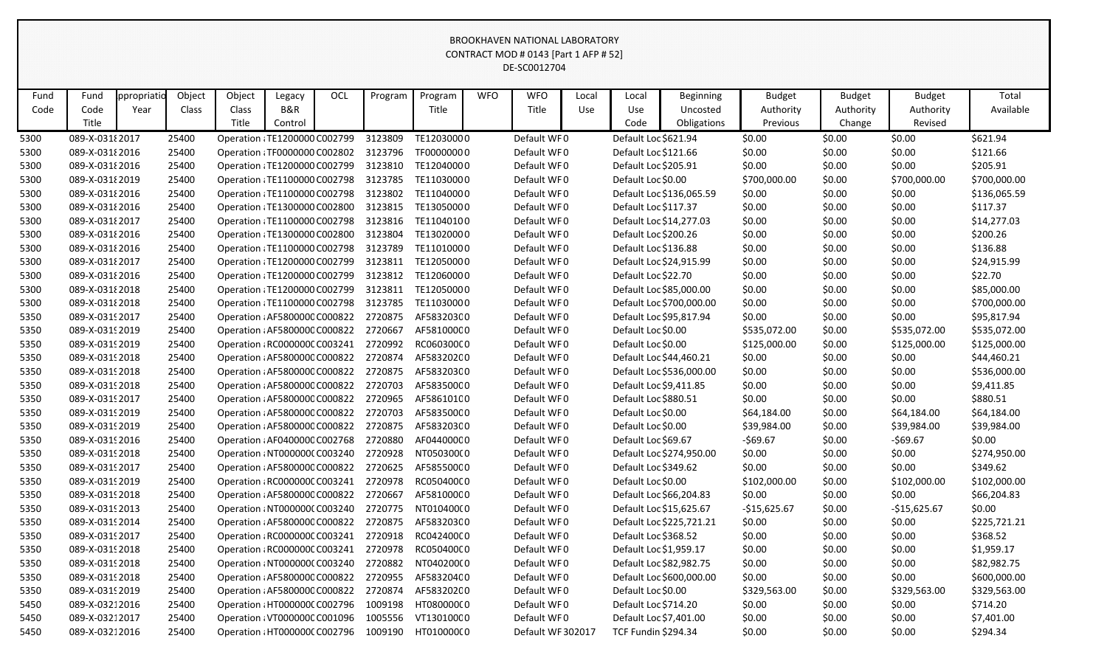|      | CONTRACT MOD # 0143 [Part 1 AFP # 52] |             |        |                               |         |     |         |            |            |                   |       |                            |                          |               |               |               |              |
|------|---------------------------------------|-------------|--------|-------------------------------|---------|-----|---------|------------|------------|-------------------|-------|----------------------------|--------------------------|---------------|---------------|---------------|--------------|
|      | DE-SC0012704                          |             |        |                               |         |     |         |            |            |                   |       |                            |                          |               |               |               |              |
|      |                                       |             |        |                               |         |     |         |            |            |                   |       |                            |                          |               |               |               |              |
| Fund | Fund                                  | ppropriatic | Object | Object                        | Legacy  | OCL | Program | Program    | <b>WFO</b> | <b>WFO</b>        | Local | Local                      | <b>Beginning</b>         | <b>Budget</b> | <b>Budget</b> | <b>Budget</b> | Total        |
| Code | Code                                  | Year        | Class  | Class                         | B&R     |     |         | Title      |            | Title             | Use   | Use                        | Uncosted                 | Authority     | Authority     | Authority     | Available    |
|      | Title                                 |             |        | Title                         | Control |     |         |            |            |                   |       | Code                       | Obligations              | Previous      | Change        | Revised       |              |
| 5300 | 089-X-03182017                        |             | 25400  | Operation : TE1200000 C002799 |         |     | 3123809 | TE12030000 |            | Default WF0       |       | Default Loc \$621.94       |                          | \$0.00        | \$0.00        | \$0.00        | \$621.94     |
| 5300 | 089-X-03182016                        |             | 25400  | Operation : TF0000000 C002802 |         |     | 3123796 | TF00000000 |            | Default WF0       |       | Default Loc \$121.66       |                          | \$0.00        | \$0.00        | \$0.00        | \$121.66     |
| 5300 | 089-X-03182016                        |             | 25400  | Operation : TE1200000 C002799 |         |     | 3123810 | TE12040000 |            | Default WF0       |       | Default Loc \$205.91       |                          | \$0.00        | \$0.00        | \$0.00        | \$205.91     |
| 5300 | 089-X-03182019                        |             | 25400  | Operation : TE1100000 C002798 |         |     | 3123785 | TE11030000 |            | Default WF0       |       | Default Loc \$0.00         |                          | \$700,000.00  | \$0.00        | \$700,000.00  | \$700,000.00 |
| 5300 | 089-X-03182016                        |             | 25400  | Operation : TE1100000 C002798 |         |     | 3123802 | TE11040000 |            | Default WF0       |       |                            | Default Loc \$136,065.59 | \$0.00        | \$0.00        | \$0.00        | \$136,065.59 |
| 5300 | 089-X-03182016                        |             | 25400  | Operation : TE1300000 C002800 |         |     | 3123815 | TE13050000 |            | Default WF0       |       | Default Loc \$117.37       |                          | \$0.00        | \$0.00        | \$0.00        | \$117.37     |
| 5300 | 089-X-03182017                        |             | 25400  | Operation : TE1100000 C002798 |         |     | 3123816 | TE11040100 |            | Default WF0       |       |                            | Default Loc \$14,277.03  | \$0.00        | \$0.00        | \$0.00        | \$14,277.03  |
| 5300 | 089-X-03182016                        |             | 25400  | Operation : TE1300000 C002800 |         |     | 3123804 | TE13020000 |            | Default WF0       |       | Default Loc \$200.26       |                          | \$0.00        | \$0.00        | \$0.00        | \$200.26     |
| 5300 | 089-X-03182016                        |             | 25400  | Operation : TE1100000 C002798 |         |     | 3123789 | TE11010000 |            | Default WF0       |       | Default Loc \$136.88       |                          | \$0.00        | \$0.00        | \$0.00        | \$136.88     |
| 5300 | 089-X-03182017                        |             | 25400  | Operation : TE1200000 C002799 |         |     | 3123811 | TE12050000 |            | Default WF0       |       |                            | Default Loc \$24,915.99  | \$0.00        | \$0.00        | \$0.00        | \$24,915.99  |
| 5300 | 089-X-03182016                        |             | 25400  | Operation : TE1200000 C002799 |         |     | 3123812 | TE12060000 |            | Default WF0       |       | Default Loc \$22.70        |                          | \$0.00        | \$0.00        | \$0.00        | \$22.70      |
| 5300 | 089-X-03182018                        |             | 25400  | Operation : TE1200000 C002799 |         |     | 3123811 | TE12050000 |            | Default WF0       |       |                            | Default Loc \$85,000.00  | \$0.00        | \$0.00        | \$0.00        | \$85,000.00  |
| 5300 | 089-X-031 2018                        |             | 25400  | Operation : TE1100000 C002798 |         |     | 3123785 | TE11030000 |            | Default WF0       |       |                            | Default Loc \$700,000.00 | \$0.00        | \$0.00        | \$0.00        | \$700,000.00 |
| 5350 | 089-X-03192017                        |             | 25400  | Operation : AF5800000 C000822 |         |     | 2720875 | AF58320300 |            | Default WF0       |       |                            | Default Loc \$95,817.94  | \$0.00        | \$0.00        | \$0.00        | \$95,817.94  |
| 5350 | 089-X-03192019                        |             | 25400  | Operation : AF5800000 C000822 |         |     | 2720667 | AF58100000 |            | Default WF0       |       | Default Loc \$0.00         |                          | \$535,072.00  | \$0.00        | \$535,072.00  | \$535,072.00 |
| 5350 | 089-X-03192019                        |             | 25400  | Operation : RC000000C C003241 |         |     | 2720992 | RC060300C0 |            | Default WF0       |       | Default Loc \$0.00         |                          | \$125,000.00  | \$0.00        | \$125,000.00  | \$125,000.00 |
| 5350 | 089-X-0319 2018                       |             | 25400  | Operation : AF5800000 C000822 |         |     | 2720874 | AF58320200 |            | Default WF0       |       |                            | Default Loc \$44,460.21  | \$0.00        | \$0.00        | \$0.00        | \$44,460.21  |
| 5350 | 089-X-03192018                        |             | 25400  | Operation : AF5800000 C000822 |         |     | 2720875 | AF58320300 |            | Default WF0       |       |                            | Default Loc \$536,000.00 | \$0.00        | \$0.00        | \$0.00        | \$536,000.00 |
| 5350 | 089-X-03192018                        |             | 25400  | Operation : AF5800000 C000822 |         |     | 2720703 | AF58350000 |            | Default WF0       |       | Default Loc \$9,411.85     |                          | \$0.00        | \$0.00        | \$0.00        | \$9,411.85   |
| 5350 | 089-X-0319 2017                       |             | 25400  | Operation : AF5800000 C000822 |         |     | 2720965 | AF58610100 |            | Default WF0       |       | Default Loc \$880.51       |                          | \$0.00        | \$0.00        | \$0.00        | \$880.51     |
| 5350 | 089-X-0319 2019                       |             | 25400  | Operation : AF5800000 C000822 |         |     | 2720703 | AF58350000 |            | Default WF0       |       | Default Loc \$0.00         |                          | \$64,184.00   | \$0.00        | \$64,184.00   | \$64,184.00  |
| 5350 | 089-X-03192019                        |             | 25400  | Operation : AF5800000 C000822 |         |     | 2720875 | AF58320300 |            | Default WF0       |       | Default Loc \$0.00         |                          | \$39,984.00   | \$0.00        | \$39,984.00   | \$39,984.00  |
| 5350 | 089-X-03192016                        |             | 25400  | Operation : AF0400000 C002768 |         |     | 2720880 | AF04400000 |            | Default WF0       |       | Default Loc \$69.67        |                          | $-569.67$     | \$0.00        | $-569.67$     | \$0.00       |
| 5350 | 089-X-03192018                        |             | 25400  | Operation : NT000000C C003240 |         |     | 2720928 | NT050300(0 |            | Default WF0       |       |                            | Default Loc \$274,950.00 | \$0.00        | \$0.00        | \$0.00        | \$274,950.00 |
| 5350 | 089-X-0319 2017                       |             | 25400  | Operation : AF5800000 C000822 |         |     | 2720625 | AF58550000 |            | Default WF0       |       | Default Loc \$349.62       |                          | \$0.00        | \$0.00        | \$0.00        | \$349.62     |
| 5350 | 089-X-0319 2019                       |             | 25400  | Operation : RC000000C C003241 |         |     | 2720978 | RC050400C0 |            | Default WF0       |       | Default Loc \$0.00         |                          | \$102,000.00  | \$0.00        | \$102,000.00  | \$102,000.00 |
| 5350 | 089-X-03192018                        |             | 25400  | Operation : AF5800000 C000822 |         |     | 2720667 | AF58100000 |            | Default WF0       |       |                            | Default Loc \$66,204.83  | \$0.00        | \$0.00        | \$0.00        | \$66,204.83  |
| 5350 | 089-X-03192013                        |             | 25400  | Operation : NT0000000 C003240 |         |     | 2720775 | NT010400(0 |            | Default WF0       |       |                            | Default Loc \$15,625.67  | $-$15,625.67$ | \$0.00        | $-$15,625.67$ | \$0.00       |
| 5350 | 089-X-03192014                        |             | 25400  | Operation : AF5800000 C000822 |         |     | 2720875 | AF58320300 |            | Default WF0       |       |                            | Default Loc \$225,721.21 | \$0.00        | \$0.00        | \$0.00        | \$225,721.21 |
| 5350 | 089-X-03192017                        |             | 25400  | Operation : RC000000C C003241 |         |     | 2720918 | RC042400C0 |            | Default WF0       |       | Default Loc \$368.52       |                          | \$0.00        | \$0.00        | \$0.00        | \$368.52     |
| 5350 | 089-X-03192018                        |             | 25400  | Operation : RC000000C C003241 |         |     | 2720978 | RC050400C0 |            | Default WF0       |       | Default Loc \$1,959.17     |                          | \$0.00        | \$0.00        | \$0.00        | \$1,959.17   |
| 5350 | 089-X-03192018                        |             | 25400  | Operation : NT0000000 C003240 |         |     | 2720882 | NT04020000 |            | Default WF0       |       |                            | Default Loc \$82,982.75  | \$0.00        | \$0.00        | \$0.00        | \$82,982.75  |
| 5350 | 089-X-03192018                        |             | 25400  | Operation : AF5800000 C000822 |         |     | 2720955 | AF58320400 |            | Default WF0       |       |                            | Default Loc \$600,000.00 | \$0.00        | \$0.00        | \$0.00        | \$600,000.00 |
| 5350 | 089-X-03192019                        |             | 25400  | Operation : AF5800000 C000822 |         |     | 2720874 | AF58320200 |            | Default WF0       |       | Default Loc \$0.00         |                          | \$329,563.00  | \$0.00        | \$329,563.00  | \$329,563.00 |
| 5450 | 089-X-03212016                        |             | 25400  | Operation : HT0000000 C002796 |         |     | 1009198 | HT08000000 |            | Default WF0       |       | Default Loc \$714.20       |                          | \$0.00        | \$0.00        | \$0.00        | \$714.20     |
| 5450 | 089-X-03212017                        |             | 25400  | Operation : VT000000C C001096 |         |     | 1005556 | VT130100C0 |            | Default WF0       |       | Default Loc \$7,401.00     |                          | \$0.00        | \$0.00        | \$0.00        | \$7,401.00   |
| 5450 | 089-X-03212016                        |             | 25400  | Operation : HT0000000 C002796 |         |     | 1009190 | HT01000000 |            | Default WF 302017 |       | <b>TCF Fundin \$294.34</b> |                          | \$0.00        | \$0.00        | \$0.00        | \$294.34     |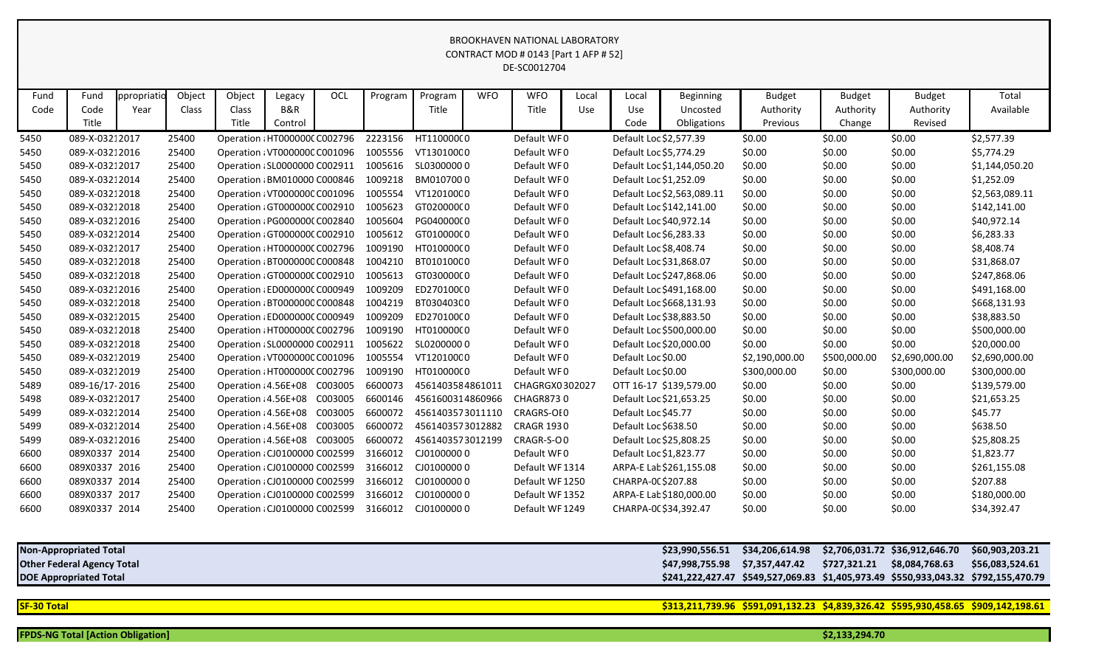|                                                                                                                     | BROOKHAVEN NATIONAL LABORATORY<br>CONTRACT MOD # 0143 [Part 1 AFP # 52]<br>DE-SC0012704 |                     |                 |                               |                                     |            |                                       |                  |            |                     |              |                      |                                             |                                        |                                      |                                       |                    |
|---------------------------------------------------------------------------------------------------------------------|-----------------------------------------------------------------------------------------|---------------------|-----------------|-------------------------------|-------------------------------------|------------|---------------------------------------|------------------|------------|---------------------|--------------|----------------------|---------------------------------------------|----------------------------------------|--------------------------------------|---------------------------------------|--------------------|
| Fund<br>Code                                                                                                        | Fund<br>Code<br>Title                                                                   | ppropriatio<br>Year | Object<br>Class | Object<br>Class<br>Title      | Legacy<br><b>B&amp;R</b><br>Control | <b>OCL</b> | Program                               | Program<br>Title | <b>WFO</b> | <b>WFO</b><br>Title | Local<br>Use | Local<br>Use<br>Code | <b>Beginning</b><br>Uncosted<br>Obligations | <b>Budget</b><br>Authority<br>Previous | <b>Budget</b><br>Authority<br>Change | <b>Budget</b><br>Authority<br>Revised | Total<br>Available |
| 5450                                                                                                                | 089-X-03212017                                                                          |                     | 25400           | Operation : HT000000C C002796 |                                     |            | 2223156                               | HT11000000       |            | Default WF0         |              |                      | Default Loc \$2,577.39                      | \$0.00                                 | \$0.00                               | \$0.00                                | \$2,577.39         |
| 5450                                                                                                                | 089-X-03212016                                                                          |                     | 25400           | Operation : VT000000C C001096 |                                     |            | 1005556                               | VT130100C0       |            | Default WF0         |              |                      | Default Loc \$5,774.29                      | \$0.00                                 | \$0.00                               | \$0.00                                | \$5,774.29         |
| 5450                                                                                                                | 089-X-03212017                                                                          |                     | 25400           | Operation (SL0000000 C002911  |                                     |            | 1005616                               | SL03000000       |            | Default WF0         |              |                      | Default Loc \$1,144,050.20                  | \$0.00                                 | \$0.00                               | \$0.00                                | \$1,144,050.20     |
| 5450                                                                                                                | 089-X-03212014                                                                          |                     | 25400           | Operation : BM010000 C000846  |                                     |            | 1009218                               | BM0107000        |            | Default WF0         |              |                      | Default Loc \$1,252.09                      | \$0.00                                 | \$0.00                               | \$0.00                                | \$1,252.09         |
| 5450                                                                                                                | 089-X-03212018                                                                          |                     | 25400           | Operation : VT000000C C001096 |                                     |            | 1005554                               | VT120100C0       |            | Default WF0         |              |                      | Default Loc \$2,563,089.11                  | \$0.00                                 | \$0.00                               | \$0.00                                | \$2,563,089.11     |
| 5450                                                                                                                | 089-X-03212018                                                                          |                     | 25400           | Operation (GT0000000 C002910  |                                     |            | 1005623                               | GT02000000       |            | Default WF0         |              |                      | Default Loc \$142,141.00                    | \$0.00                                 | \$0.00                               | \$0.00                                | \$142,141.00       |
| 5450                                                                                                                | 089-X-03212016                                                                          |                     | 25400           | Operation : PG0000000 C002840 |                                     |            | 1005604                               | PG04000000       |            | Default WF0         |              |                      | Default Loc \$40,972.14                     | \$0.00                                 | \$0.00                               | \$0.00                                | \$40,972.14        |
| 5450                                                                                                                | 089-X-03212014                                                                          |                     | 25400           | Operation (GT0000000 C002910  |                                     |            | 1005612                               | GT01000000       |            | Default WF0         |              |                      | Default Loc \$6,283.33                      | \$0.00                                 | \$0.00                               | \$0.00                                | \$6,283.33         |
| 5450                                                                                                                | 089-X-03212017                                                                          |                     | 25400           | Operation : HT0000000 C002796 |                                     |            | 1009190                               | HT01000000       |            | Default WF0         |              |                      | Default Loc \$8,408.74                      | \$0.00                                 | \$0.00                               | \$0.00                                | \$8,408.74         |
| 5450                                                                                                                | 089-X-03212018                                                                          |                     | 25400           | Operation : BT0000000 C000848 |                                     |            | 1004210                               | BT01010000       |            | Default WF0         |              |                      | Default Loc \$31,868.07                     | \$0.00                                 | \$0.00                               | \$0.00                                | \$31,868.07        |
| 5450                                                                                                                | 089-X-03212018                                                                          |                     | 25400           | Operation (GT0000000 C002910  |                                     |            | 1005613                               | GT03000000       |            | Default WF0         |              |                      | Default Loc \$247,868.06                    | \$0.00                                 | \$0.00                               | \$0.00                                | \$247,868.06       |
| 5450                                                                                                                | 089-X-03212016                                                                          |                     | 25400           | Operation ¿ED000000C C000949  |                                     |            | 1009209                               | ED27010000       |            | Default WF0         |              |                      | Default Loc \$491,168.00                    | \$0.00                                 | \$0.00                               | \$0.00                                | \$491,168.00       |
| 5450                                                                                                                | 089-X-03212018                                                                          |                     | 25400           | Operation : BT0000000 C000848 |                                     |            | 1004219                               | BT03040300       |            | Default WF0         |              |                      | Default Loc \$668,131.93                    | \$0.00                                 | \$0.00                               | \$0.00                                | \$668,131.93       |
| 5450                                                                                                                | 089-X-03212015                                                                          |                     | 25400           | Operation ¿ED000000C C000949  |                                     |            | 1009209                               | ED27010000       |            | Default WF0         |              |                      | Default Loc \$38,883.50                     | \$0.00                                 | \$0.00                               | \$0.00                                | \$38,883.50        |
| 5450                                                                                                                | 089-X-03212018                                                                          |                     | 25400           | Operation : HT0000000 C002796 |                                     |            | 1009190                               | HT01000000       |            | Default WF0         |              |                      | Default Loc \$500,000.00                    | \$0.00                                 | \$0.00                               | \$0.00                                | \$500,000.00       |
| 5450                                                                                                                | 089-X-03212018                                                                          |                     | 25400           | Operation : SL0000000 C002911 |                                     |            | 1005622                               | SL02000000       |            | Default WF0         |              |                      | Default Loc \$20,000.00                     | \$0.00                                 | \$0.00                               | \$0.00                                | \$20,000.00        |
| 5450                                                                                                                | 089-X-03212019                                                                          |                     | 25400           | Operation : VT000000C C001096 |                                     |            | 1005554                               | VT120100C0       |            | Default WF0         |              | Default Loc \$0.00   |                                             | \$2,190,000.00                         | \$500,000.00                         | \$2,690,000.00                        | \$2,690,000.00     |
| 5450                                                                                                                | 089-X-03212019                                                                          |                     | 25400           | Operation : HT0000000 C002796 |                                     |            | 1009190                               | HT01000000       |            | Default WF0         |              | Default Loc \$0.00   |                                             | \$300,000.00                           | \$0.00                               | \$300,000.00                          | \$300,000.00       |
| 5489                                                                                                                | 089-16/17-2016                                                                          |                     | 25400           | Operation : 4.56E+08 C003005  |                                     |            | 6600073                               | 4561403584861011 |            | CHAGRGX0302027      |              |                      | OTT 16-17 \$139,579.00                      | \$0.00                                 | \$0.00                               | \$0.00                                | \$139,579.00       |
| 5498                                                                                                                | 089-X-03212017                                                                          |                     | 25400           | Operation : 4.56E+08 C003005  |                                     |            | 6600146                               | 4561600314860966 |            | <b>CHAGR8730</b>    |              |                      | Default Loc \$21,653.25                     | \$0.00                                 | \$0.00                               | \$0.00                                | \$21,653.25        |
| 5499                                                                                                                | 089-X-03212014                                                                          |                     | 25400           | Operation : 4.56E+08          |                                     | C003005    | 6600072                               | 4561403573011110 |            | CRAGRS-OI0          |              | Default Loc \$45.77  |                                             | \$0.00                                 | \$0.00                               | \$0.00                                | \$45.77            |
| 5499                                                                                                                | 089-X-03212014                                                                          |                     | 25400           | Operation : 4.56E+08          |                                     | C003005    | 6600072                               | 4561403573012882 |            | <b>CRAGR 1930</b>   |              | Default Loc \$638.50 |                                             | \$0.00                                 | \$0.00                               | \$0.00                                | \$638.50           |
| 5499                                                                                                                | 089-X-03212016                                                                          |                     | 25400           | Operation : 4.56E+08 C003005  |                                     |            | 6600072                               | 4561403573012199 |            | CRAGR-S-OO          |              |                      | Default Loc \$25,808.25                     | \$0.00                                 | \$0.00                               | \$0.00                                | \$25,808.25        |
| 6600                                                                                                                | 089X0337 2014                                                                           |                     | 25400           | Operation (CJ0100000 C002599  |                                     |            | 3166012                               | CJ01000000       |            | Default WF0         |              |                      | Default Loc \$1,823.77                      | \$0.00                                 | \$0.00                               | \$0.00                                | \$1,823.77         |
| 6600                                                                                                                | 089X0337 2016                                                                           |                     | 25400           |                               |                                     |            | Operation : CJ0100000 C002599 3166012 | CJ01000000       |            | Default WF 1314     |              |                      | ARPA-E Lat \$261,155.08                     | \$0.00                                 | \$0.00                               | \$0.00                                | \$261,155.08       |
| 6600                                                                                                                | 089X0337 2014                                                                           |                     | 25400           | Operation : CJ0100000 C002599 |                                     |            | 3166012                               | CJ01000000       |            | Default WF 1250     |              | CHARPA-00 \$207.88   |                                             | \$0.00                                 | \$0.00                               | \$0.00                                | \$207.88           |
| 6600                                                                                                                | 089X0337 2017                                                                           |                     | 25400           | Operation (CJ0100000 C002599  |                                     |            | 3166012                               | CJ01000000       |            | Default WF 1352     |              |                      | ARPA-E Lat \$180,000.00                     | \$0.00                                 | \$0.00                               | \$0.00                                | \$180,000.00       |
| 6600                                                                                                                | 089X0337 2014                                                                           |                     | 25400           | Operation ¿CJ0100000 C002599  |                                     |            | 3166012                               | CJ01000000       |            | Default WF 1249     |              |                      | CHARPA-00 \$34,392.47                       | \$0.00                                 | \$0.00                               | \$0.00                                | \$34,392.47        |
|                                                                                                                     | <b>Non-Appropriated Total</b>                                                           |                     |                 |                               |                                     |            |                                       |                  |            |                     |              |                      | \$23,990,556.51                             | \$34,206,614.98                        |                                      | \$2,706,031.72 \$36,912,646.70        | \$60,903,203.21    |
|                                                                                                                     | <b>Other Federal Agency Total</b>                                                       |                     |                 |                               |                                     |            |                                       |                  |            |                     |              |                      | \$47,998,755.98                             | \$7,357,447.42                         | \$727,321.21 \$8,084,768.63          |                                       | \$56,083,524.61    |
| <b>DOE Appropriated Total</b><br>\$241,222,427.47 \$549,527,069.83 \$1,405,973.49 \$550,933,043.32 \$792,155,470.79 |                                                                                         |                     |                 |                               |                                     |            |                                       |                  |            |                     |              |                      |                                             |                                        |                                      |                                       |                    |
|                                                                                                                     |                                                                                         |                     |                 |                               |                                     |            |                                       |                  |            |                     |              |                      |                                             |                                        |                                      |                                       |                    |
| <b>SF-30 Total</b>                                                                                                  | \$313,211,739.96 \$591,091,132.23 \$4,839,326.42 \$595,930,458.65 \$909,142,198.61      |                     |                 |                               |                                     |            |                                       |                  |            |                     |              |                      |                                             |                                        |                                      |                                       |                    |
|                                                                                                                     | <b>FPDS-NG Total [Action Obligation]</b>                                                |                     |                 |                               |                                     |            |                                       |                  |            |                     |              |                      |                                             |                                        | \$2,133,294.70                       |                                       |                    |

| <b>Non-Appropriated Total</b>     | \$23,990,556.51 \$34,206,614.98             | \$2,706,0 |
|-----------------------------------|---------------------------------------------|-----------|
| <b>Other Federal Agency Total</b> |                                             | \$727,32  |
| <b>DOE Appropriated Total</b>     | \$241,222,427.47 \$549,527,069.83 \$1,405,9 |           |
|                                   |                                             |           |